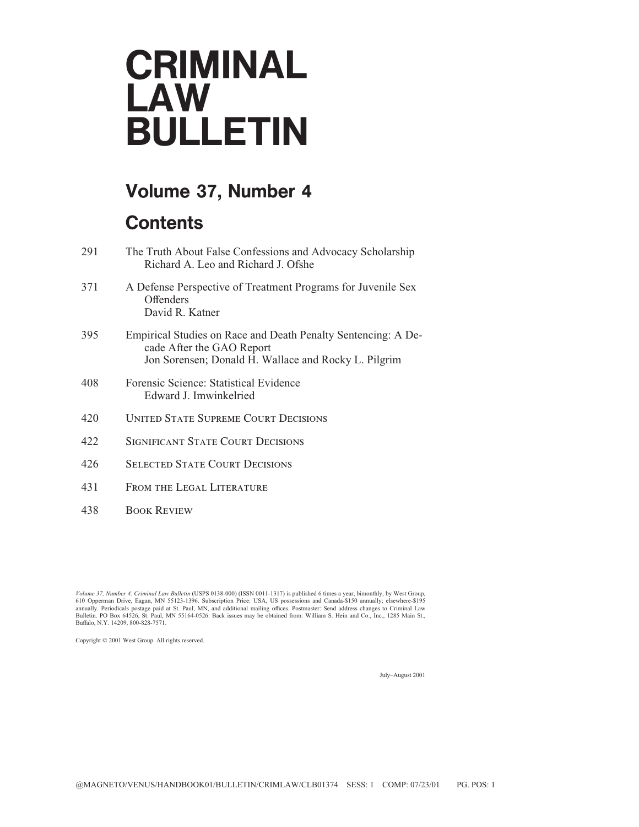# **CRIMINAL LAW BULLETIN**

# **Volume 37, Number 4**

# **Contents**

| 291 | The Truth About False Confessions and Advocacy Scholarship<br>Richard A. Leo and Richard J. Ofshe                                                  |
|-----|----------------------------------------------------------------------------------------------------------------------------------------------------|
| 371 | A Defense Perspective of Treatment Programs for Juvenile Sex<br><b>Offenders</b><br>David R. Katner                                                |
| 395 | Empirical Studies on Race and Death Penalty Sentencing: A De-<br>cade After the GAO Report<br>Jon Sorensen; Donald H. Wallace and Rocky L. Pilgrim |
| 408 | Forensic Science: Statistical Evidence<br>Edward J. Imwinkelried                                                                                   |
| 420 | <b>UNITED STATE SUPREME COURT DECISIONS</b>                                                                                                        |
| 422 | <b>SIGNIFICANT STATE COURT DECISIONS</b>                                                                                                           |
| 426 | <b>SELECTED STATE COURT DECISIONS</b>                                                                                                              |

- 431 From the Legal Literature
- 438 Book Review

Volume 37, Number 4. Criminal Law Bulletin (USPS 0138-000) (ISSN 0011-1317) is published 6 times a year, bimonthly, by West Group, 610 Opperman Drive, Eagan, MN 55123-1396. Subscription Price: USA, US possessions and Canad Buffalo, N.Y. 14209, 800-828-7571.

Copyright © 2001 West Group. All rights reserved.

July–August 2001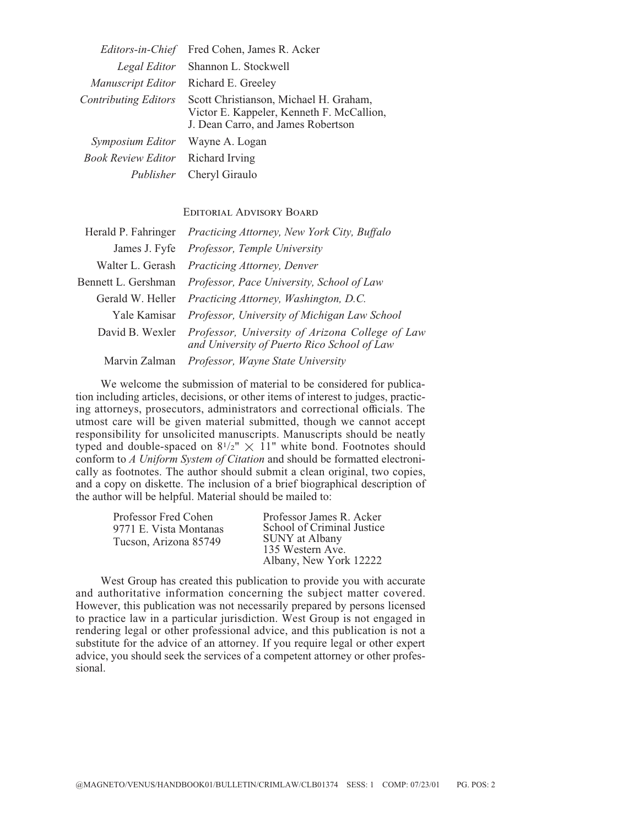|                                          | Editors-in-Chief Fred Cohen, James R. Acker                                                                               |
|------------------------------------------|---------------------------------------------------------------------------------------------------------------------------|
|                                          | Legal Editor Shannon L. Stockwell                                                                                         |
| Manuscript Editor Richard E. Greeley     |                                                                                                                           |
| Contributing Editors                     | Scott Christianson, Michael H. Graham,<br>Victor E. Kappeler, Kenneth F. McCallion,<br>J. Dean Carro, and James Robertson |
| Symposium Editor Wayne A. Logan          |                                                                                                                           |
| <i>Book Review Editor</i> Richard Irving |                                                                                                                           |
|                                          | Publisher Cheryl Giraulo                                                                                                  |

#### Editorial Advisory Board

|               | Herald P. Fahringer Practicing Attorney, New York City, Buffalo                                                |
|---------------|----------------------------------------------------------------------------------------------------------------|
|               | James J. Fyfe Professor, Temple University                                                                     |
|               | Walter L. Gerash Practicing Attorney, Denver                                                                   |
|               | Bennett L. Gershman Professor, Pace University, School of Law                                                  |
|               | Gerald W. Heller Practicing Attorney, Washington, D.C.                                                         |
| Yale Kamisar  | Professor, University of Michigan Law School                                                                   |
|               | David B. Wexler Professor, University of Arizona College of Law<br>and University of Puerto Rico School of Law |
| Marvin Zalman | Professor, Wayne State University                                                                              |

We welcome the submission of material to be considered for publication including articles, decisions, or other items of interest to judges, practicing attorneys, prosecutors, administrators and correctional officials. The utmost care will be given material submitted, though we cannot accept responsibility for unsolicited manuscripts. Manuscripts should be neatly typed and double-spaced on  $8^{1/2}$ "  $\times$  11" white bond. Footnotes should conform to *A Uniform System of Citation* and should be formatted electronically as footnotes. The author should submit a clean original, two copies, and a copy on diskette. The inclusion of a brief biographical description of the author will be helpful. Material should be mailed to:

| Professor Fred Cohen   | Professor James R. Acker   |
|------------------------|----------------------------|
| 9771 E. Vista Montanas | School of Criminal Justice |
| Tucson, Arizona 85749  | <b>SUNY</b> at Albany      |
|                        | 135 Western Ave.           |
|                        | Albany, New York 12222     |

West Group has created this publication to provide you with accurate and authoritative information concerning the subject matter covered. However, this publication was not necessarily prepared by persons licensed to practice law in a particular jurisdiction. West Group is not engaged in rendering legal or other professional advice, and this publication is not a substitute for the advice of an attorney. If you require legal or other expert advice, you should seek the services of a competent attorney or other professional.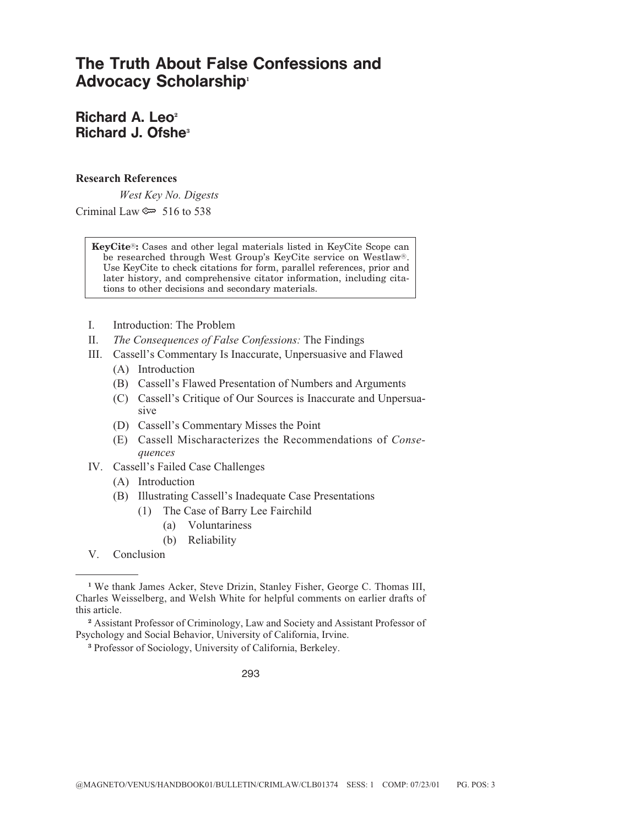# **The Truth About False Confessions and Advocacy Scholarship<sup>1</sup>**

# **Richard A. Leo<sup>2</sup> Richard J. Ofshe<sup>3</sup>**

#### **Research References**

*West Key No. Digests*

Criminal Law  $\approx$  516 to 538

KeyCite®: Cases and other legal materials listed in KeyCite Scope can be researched through West Group's KeyCite service on Westlaw®. Use KeyCite to check citations for form, parallel references, prior and later history, and comprehensive citator information, including citations to other decisions and secondary materials.

- I. Introduction: The Problem
- II. *The Consequences of False Confessions:* The Findings
- III. Cassell's Commentary Is Inaccurate, Unpersuasive and Flawed
	- (A) Introduction
	- (B) Cassell's Flawed Presentation of Numbers and Arguments
	- (C) Cassell's Critique of Our Sources is Inaccurate and Unpersuasive
	- (D) Cassell's Commentary Misses the Point
	- (E) Cassell Mischaracterizes the Recommendations of *Consequences*
- IV. Cassell's Failed Case Challenges
	- (A) Introduction
	- (B) Illustrating Cassell's Inadequate Case Presentations
		- (1) The Case of Barry Lee Fairchild
			- (a) Voluntariness
			- (b) Reliability
- V. Conclusion

**<sup>1</sup>** We thank James Acker, Steve Drizin, Stanley Fisher, George C. Thomas III, Charles Weisselberg, and Welsh White for helpful comments on earlier drafts of this article.

**<sup>2</sup>** Assistant Professor of Criminology, Law and Society and Assistant Professor of Psychology and Social Behavior, University of California, Irvine.

**<sup>3</sup>** Professor of Sociology, University of California, Berkeley.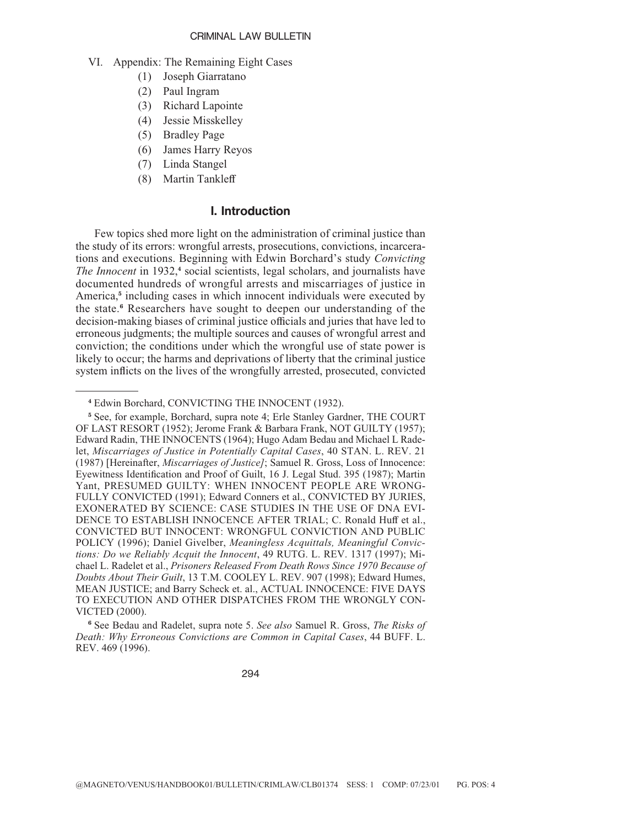- VI. Appendix: The Remaining Eight Cases
	- (1) Joseph Giarratano
	- (2) Paul Ingram
	- (3) Richard Lapointe
	- (4) Jessie Misskelley
	- (5) Bradley Page
	- (6) James Harry Reyos
	- (7) Linda Stangel
	- (8) Martin Tankle

#### **I. Introduction**

Few topics shed more light on the administration of criminal justice than the study of its errors: wrongful arrests, prosecutions, convictions, incarcerations and executions. Beginning with Edwin Borchard's study *Convicting The Innocent* in 1932,<sup>4</sup> social scientists, legal scholars, and journalists have documented hundreds of wrongful arrests and miscarriages of justice in America,**<sup>5</sup>** including cases in which innocent individuals were executed by the state.**<sup>6</sup>** Researchers have sought to deepen our understanding of the decision-making biases of criminal justice officials and juries that have led to erroneous judgments; the multiple sources and causes of wrongful arrest and conviction; the conditions under which the wrongful use of state power is likely to occur; the harms and deprivations of liberty that the criminal justice system inflicts on the lives of the wrongfully arrested, prosecuted, convicted

**<sup>6</sup>** See Bedau and Radelet, supra note 5. *See also* Samuel R. Gross, *The Risks of Death: Why Erroneous Convictions are Common in Capital Cases*, 44 BUFF. L. REV. 469 (1996).

**<sup>4</sup>** Edwin Borchard, CONVICTING THE INNOCENT (1932).

**<sup>5</sup>** See, for example, Borchard, supra note 4; Erle Stanley Gardner, THE COURT OF LAST RESORT (1952); Jerome Frank & Barbara Frank, NOT GUILTY (1957); Edward Radin, THE INNOCENTS (1964); Hugo Adam Bedau and Michael L Radelet, *Miscarriages of Justice in Potentially Capital Cases*, 40 STAN. L. REV. 21 (1987) [Hereinafter, *Miscarriages of Justice]*; Samuel R. Gross, Loss of Innocence: Eyewitness Identication and Proof of Guilt, 16 J. Legal Stud. 395 (1987); Martin Yant, PRESUMED GUILTY: WHEN INNOCENT PEOPLE ARE WRONG-FULLY CONVICTED (1991); Edward Conners et al., CONVICTED BY JURIES, EXONERATED BY SCIENCE: CASE STUDIES IN THE USE OF DNA EVI-DENCE TO ESTABLISH INNOCENCE AFTER TRIAL; C. Ronald Huff et al., CONVICTED BUT INNOCENT: WRONGFUL CONVICTION AND PUBLIC POLICY (1996); Daniel Givelber, *Meaningless Acquittals, Meaningful Convictions: Do we Reliably Acquit the Innocent*, 49 RUTG. L. REV. 1317 (1997); Michael L. Radelet et al., *Prisoners Released From Death Rows Since 1970 Because of Doubts About Their Guilt*, 13 T.M. COOLEY L. REV. 907 (1998); Edward Humes, MEAN JUSTICE; and Barry Scheck et. al., ACTUAL INNOCENCE: FIVE DAYS TO EXECUTION AND OTHER DISPATCHES FROM THE WRONGLY CON-VICTED (2000).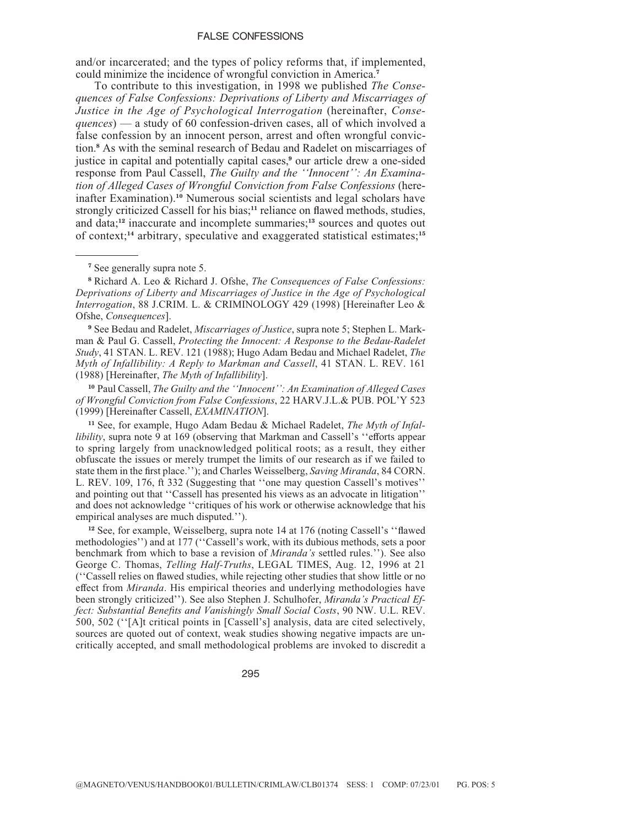and/or incarcerated; and the types of policy reforms that, if implemented, could minimize the incidence of wrongful conviction in America.**<sup>7</sup>**

To contribute to this investigation, in 1998 we published *The Consequences of False Confessions: Deprivations of Liberty and Miscarriages of Justice in the Age of Psychological Interrogation* (hereinafter, *Consequences*) — a study of 60 confession-driven cases, all of which involved a false confession by an innocent person, arrest and often wrongful conviction.**<sup>8</sup>** As with the seminal research of Bedau and Radelet on miscarriages of justice in capital and potentially capital cases,**<sup>9</sup>** our article drew a one-sided response from Paul Cassell, *The Guilty and the ''Innocent'': An Examination of Alleged Cases of Wrongful Conviction from False Confessions* (hereinafter Examination).**<sup>10</sup>** Numerous social scientists and legal scholars have strongly criticized Cassell for his bias;<sup>11</sup> reliance on flawed methods, studies, and data;**<sup>12</sup>** inaccurate and incomplete summaries;**<sup>13</sup>** sources and quotes out of context;**<sup>14</sup>** arbitrary, speculative and exaggerated statistical estimates;**<sup>15</sup>**

**<sup>7</sup>** See generally supra note 5.

**<sup>8</sup>** Richard A. Leo & Richard J. Ofshe, *The Consequences of False Confessions: Deprivations of Liberty and Miscarriages of Justice in the Age of Psychological Interrogation*, 88 J.CRIM. L. & CRIMINOLOGY 429 (1998) [Hereinafter Leo & Ofshe, *Consequences*].

**<sup>9</sup>** See Bedau and Radelet, *Miscarriages of Justice*, supra note 5; Stephen L. Markman & Paul G. Cassell, *Protecting the Innocent: A Response to the Bedau-Radelet Study*, 41 STAN. L. REV. 121 (1988); Hugo Adam Bedau and Michael Radelet, *The Myth of Infallibility: A Reply to Markman and Cassell*, 41 STAN. L. REV. 161 (1988) [Hereinafter, *The Myth of Infallibility*].

**<sup>10</sup>** Paul Cassell, *The Guilty and the ''Innocent'': An Examination of Alleged Cases of Wrongful Conviction from False Confessions*, 22 HARV.J.L.& PUB. POL'Y 523 (1999) [Hereinafter Cassell, *EXAMINATION*].

**<sup>11</sup>** See, for example, Hugo Adam Bedau & Michael Radelet, *The Myth of Infallibility*, supra note 9 at 169 (observing that Markman and Cassell's "efforts appear to spring largely from unacknowledged political roots; as a result, they either obfuscate the issues or merely trumpet the limits of our research as if we failed to state them in the first place.''); and Charles Weisselberg, *Saving Miranda*, 84 CORN. L. REV. 109, 176, ft 332 (Suggesting that ''one may question Cassell's motives'' and pointing out that ''Cassell has presented his views as an advocate in litigation'' and does not acknowledge ''critiques of his work or otherwise acknowledge that his empirical analyses are much disputed.'').

<sup>12</sup> See, for example, Weisselberg, supra note 14 at 176 (noting Cassell's "flawed methodologies'') and at 177 (''Cassell's work, with its dubious methods, sets a poor benchmark from which to base a revision of *Miranda's* settled rules.''). See also George C. Thomas, *Telling Half-Truths*, LEGAL TIMES, Aug. 12, 1996 at 21 (''Cassell relies on awed studies, while rejecting other studies that show little or no effect from *Miranda*. His empirical theories and underlying methodologies have been strongly criticized''). See also Stephen J. Schulhofer, *Miranda's Practical Effect: Substantial Benets and Vanishingly Small Social Costs*, 90 NW. U.L. REV. 500, 502 (''[A]t critical points in [Cassell's] analysis, data are cited selectively, sources are quoted out of context, weak studies showing negative impacts are uncritically accepted, and small methodological problems are invoked to discredit a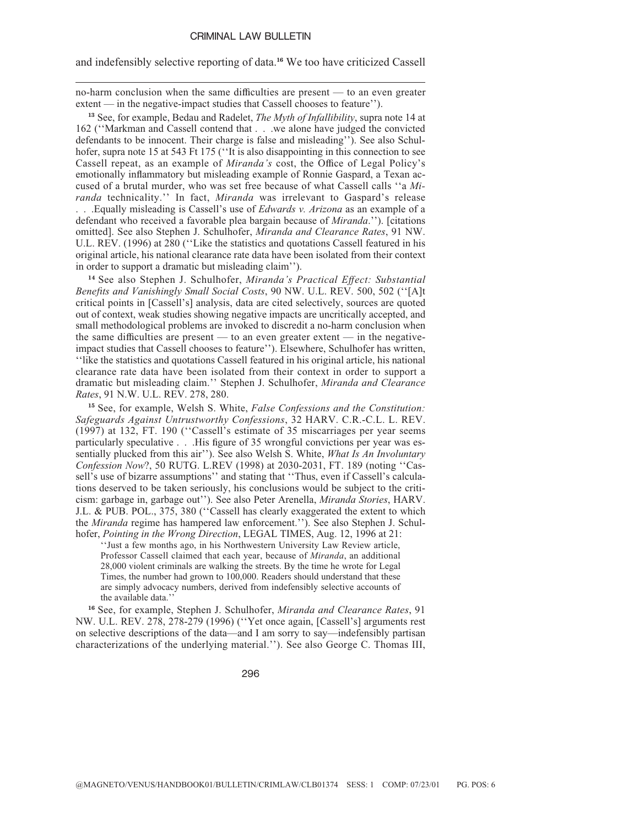#### CRIMINAL LAW BULLETIN

and indefensibly selective reporting of data.**<sup>16</sup>** We too have criticized Cassell

no-harm conclusion when the same difficulties are present  $-$  to an even greater extent — in the negative-impact studies that Cassell chooses to feature'').

**<sup>13</sup>** See, for example, Bedau and Radelet, *The Myth of Infallibility*, supra note 14 at 162 (''Markman and Cassell contend that . . .we alone have judged the convicted defendants to be innocent. Their charge is false and misleading''). See also Schulhofer, supra note 15 at 543 Ft 175 ("It is also disappointing in this connection to see Cassell repeat, as an example of *Miranda's* cost, the Office of Legal Policy's emotionally inflammatory but misleading example of Ronnie Gaspard, a Texan accused of a brutal murder, who was set free because of what Cassell calls ''a *Miranda* technicality.'' In fact, *Miranda* was irrelevant to Gaspard's release . . .Equally misleading is Cassell's use of *Edwards v. Arizona* as an example of a defendant who received a favorable plea bargain because of *Miranda*.''). [citations omitted]. See also Stephen J. Schulhofer, *Miranda and Clearance Rates*, 91 NW. U.L. REV. (1996) at 280 (''Like the statistics and quotations Cassell featured in his original article, his national clearance rate data have been isolated from their context in order to support a dramatic but misleading claim'').

<sup>14</sup> See also Stephen J. Schulhofer, *Miranda's Practical Effect: Substantial Benets and Vanishingly Small Social Costs*, 90 NW. U.L. REV. 500, 502 (''[A]t critical points in [Cassell's] analysis, data are cited selectively, sources are quoted out of context, weak studies showing negative impacts are uncritically accepted, and small methodological problems are invoked to discredit a no-harm conclusion when the same difficulties are present  $-$  to an even greater extent  $-$  in the negativeimpact studies that Cassell chooses to feature''). Elsewhere, Schulhofer has written, ''like the statistics and quotations Cassell featured in his original article, his national clearance rate data have been isolated from their context in order to support a dramatic but misleading claim.'' Stephen J. Schulhofer, *Miranda and Clearance Rates*, 91 N.W. U.L. REV. 278, 280.

**<sup>15</sup>** See, for example, Welsh S. White, *False Confessions and the Constitution: Safeguards Against Untrustworthy Confessions*, 32 HARV. C.R.-C.L. L. REV. (1997) at 132, FT. 190 (''Cassell's estimate of 35 miscarriages per year seems particularly speculative . . .His figure of 35 wrongful convictions per year was essentially plucked from this air''). See also Welsh S. White, *What Is An Involuntary Confession Now*?, 50 RUTG. L.REV (1998) at 2030-2031, FT. 189 (noting ''Cassell's use of bizarre assumptions'' and stating that ''Thus, even if Cassell's calculations deserved to be taken seriously, his conclusions would be subject to the criticism: garbage in, garbage out''). See also Peter Arenella, *Miranda Stories*, HARV. J.L. & PUB. POL., 375, 380 (''Cassell has clearly exaggerated the extent to which the *Miranda* regime has hampered law enforcement.''). See also Stephen J. Schulhofer, *Pointing in the Wrong Direction*, LEGAL TIMES, Aug. 12, 1996 at 21:

''Just a few months ago, in his Northwestern University Law Review article, Professor Cassell claimed that each year, because of *Miranda*, an additional 28,000 violent criminals are walking the streets. By the time he wrote for Legal Times, the number had grown to 100,000. Readers should understand that these are simply advocacy numbers, derived from indefensibly selective accounts of the available data.''

**<sup>16</sup>** See, for example, Stephen J. Schulhofer, *Miranda and Clearance Rates*, 91 NW. U.L. REV. 278, 278-279 (1996) (''Yet once again, [Cassell's] arguments rest on selective descriptions of the data—and I am sorry to say—indefensibly partisan characterizations of the underlying material.''). See also George C. Thomas III,

296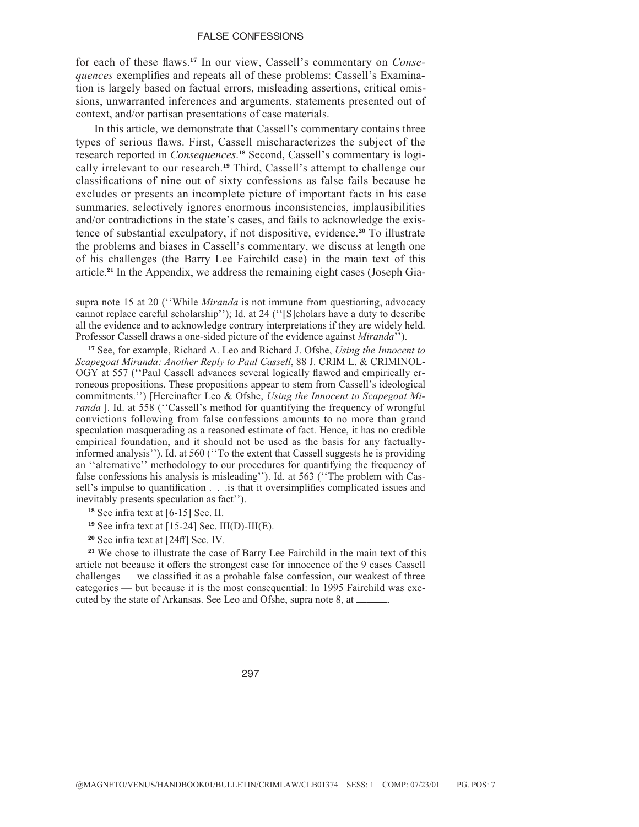for each of these flaws.<sup>17</sup> In our view, Cassell's commentary on *Consequences* exemplifies and repeats all of these problems: Cassell's Examination is largely based on factual errors, misleading assertions, critical omissions, unwarranted inferences and arguments, statements presented out of context, and/or partisan presentations of case materials.

In this article, we demonstrate that Cassell's commentary contains three types of serious flaws. First, Cassell mischaracterizes the subject of the research reported in *Consequences*. **<sup>18</sup>** Second, Cassell's commentary is logically irrelevant to our research.**<sup>19</sup>** Third, Cassell's attempt to challenge our classications of nine out of sixty confessions as false fails because he excludes or presents an incomplete picture of important facts in his case summaries, selectively ignores enormous inconsistencies, implausibilities and/or contradictions in the state's cases, and fails to acknowledge the existence of substantial exculpatory, if not dispositive, evidence.**<sup>20</sup>** To illustrate the problems and biases in Cassell's commentary, we discuss at length one of his challenges (the Barry Lee Fairchild case) in the main text of this article.**<sup>21</sup>** In the Appendix, we address the remaining eight cases (Joseph Gia-

**<sup>17</sup>** See, for example, Richard A. Leo and Richard J. Ofshe, *Using the Innocent to Scapegoat Miranda: Another Reply to Paul Cassell*, 88 J. CRIM L. & CRIMINOL-OGY at 557 ("Paul Cassell advances several logically flawed and empirically erroneous propositions. These propositions appear to stem from Cassell's ideological commitments.'') [Hereinafter Leo & Ofshe, *Using the Innocent to Scapegoat Miranda* ]. Id. at 558 (''Cassell's method for quantifying the frequency of wrongful convictions following from false confessions amounts to no more than grand speculation masquerading as a reasoned estimate of fact. Hence, it has no credible empirical foundation, and it should not be used as the basis for any factuallyinformed analysis''). Id. at 560 (''To the extent that Cassell suggests he is providing an ''alternative'' methodology to our procedures for quantifying the frequency of false confessions his analysis is misleading''). Id. at 563 (''The problem with Cassell's impulse to quantification . . . is that it oversimplifies complicated issues and inevitably presents speculation as fact'').

- **<sup>18</sup>** See infra text at [6-15] Sec. II.
- **<sup>19</sup>** See infra text at [15-24] Sec. III(D)-III(E).
- <sup>20</sup> See infra text at [24ff] Sec. IV.

**<sup>21</sup>** We chose to illustrate the case of Barry Lee Fairchild in the main text of this article not because it offers the strongest case for innocence of the 9 cases Cassell  $challenges$  — we classified it as a probable false confession, our weakest of three categories — but because it is the most consequential: In 1995 Fairchild was executed by the state of Arkansas. See Leo and Ofshe, supra note 8, at  $\perp$ 

supra note 15 at 20 (''While *Miranda* is not immune from questioning, advocacy cannot replace careful scholarship''); Id. at 24 (''[S]cholars have a duty to describe all the evidence and to acknowledge contrary interpretations if they are widely held. Professor Cassell draws a one-sided picture of the evidence against *Miranda*'').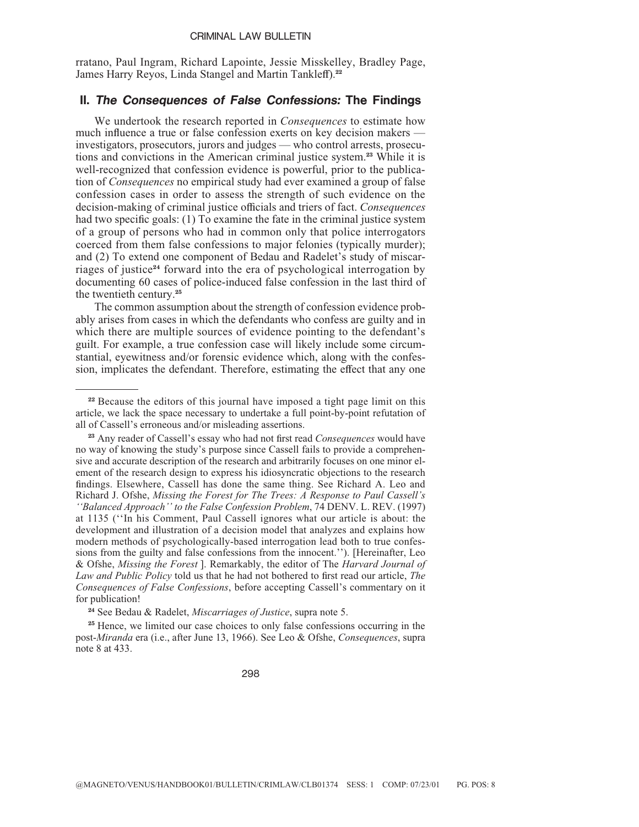rratano, Paul Ingram, Richard Lapointe, Jessie Misskelley, Bradley Page, James Harry Reyos, Linda Stangel and Martin Tankleff).<sup>22</sup>

#### **II. The Consequences of False Confessions: The Findings**

We undertook the research reported in *Consequences* to estimate how much influence a true or false confession exerts on key decision makers investigators, prosecutors, jurors and judges — who control arrests, prosecutions and convictions in the American criminal justice system.**<sup>23</sup>** While it is well-recognized that confession evidence is powerful, prior to the publication of *Consequences* no empirical study had ever examined a group of false confession cases in order to assess the strength of such evidence on the decision-making of criminal justice officials and triers of fact. *Consequences* had two specific goals: (1) To examine the fate in the criminal justice system of a group of persons who had in common only that police interrogators coerced from them false confessions to major felonies (typically murder); and (2) To extend one component of Bedau and Radelet's study of miscarriages of justice**<sup>24</sup>** forward into the era of psychological interrogation by documenting 60 cases of police-induced false confession in the last third of the twentieth century.**<sup>25</sup>**

The common assumption about the strength of confession evidence probably arises from cases in which the defendants who confess are guilty and in which there are multiple sources of evidence pointing to the defendant's guilt. For example, a true confession case will likely include some circumstantial, eyewitness and/or forensic evidence which, along with the confession, implicates the defendant. Therefore, estimating the effect that any one

**<sup>24</sup>** See Bedau & Radelet, *Miscarriages of Justice*, supra note 5.

**<sup>25</sup>** Hence, we limited our case choices to only false confessions occurring in the post-*Miranda* era (i.e., after June 13, 1966). See Leo & Ofshe, *Consequences*, supra note 8 at 433.

<sup>&</sup>lt;sup>22</sup> Because the editors of this journal have imposed a tight page limit on this article, we lack the space necessary to undertake a full point-by-point refutation of all of Cassell's erroneous and/or misleading assertions.

<sup>&</sup>lt;sup>23</sup> Any reader of Cassell's essay who had not first read *Consequences* would have no way of knowing the study's purpose since Cassell fails to provide a comprehensive and accurate description of the research and arbitrarily focuses on one minor element of the research design to express his idiosyncratic objections to the research ndings. Elsewhere, Cassell has done the same thing. See Richard A. Leo and Richard J. Ofshe, *Missing the Forest for The Trees: A Response to Paul Cassell's ''Balanced Approach'' to the False Confession Problem*, 74 DENV. L. REV. (1997) at 1135 (''In his Comment, Paul Cassell ignores what our article is about: the development and illustration of a decision model that analyzes and explains how modern methods of psychologically-based interrogation lead both to true confessions from the guilty and false confessions from the innocent.''). [Hereinafter, Leo & Ofshe, *Missing the Forest* ]. Remarkably, the editor of The *Harvard Journal of Law and Public Policy* told us that he had not bothered to first read our article, *The Consequences of False Confessions*, before accepting Cassell's commentary on it for publication!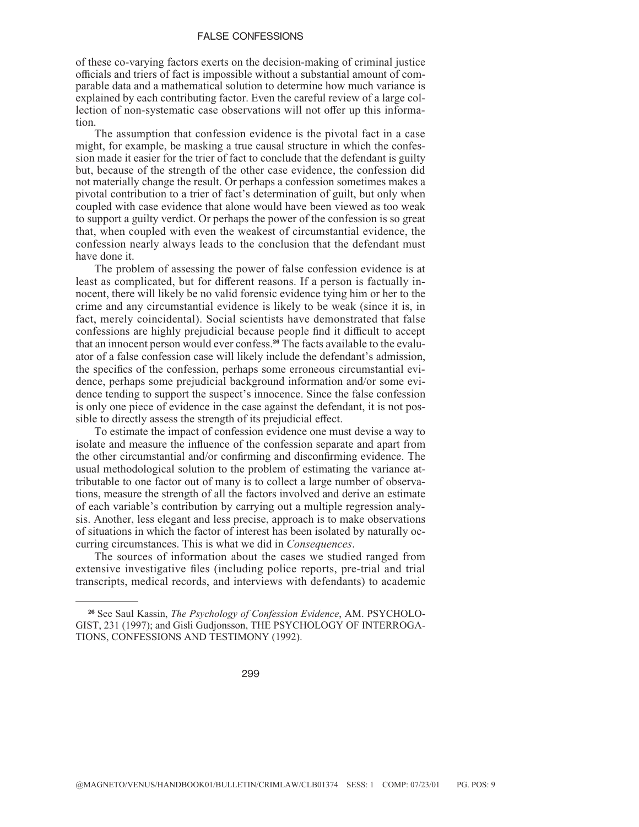of these co-varying factors exerts on the decision-making of criminal justice officials and triers of fact is impossible without a substantial amount of comparable data and a mathematical solution to determine how much variance is explained by each contributing factor. Even the careful review of a large collection of non-systematic case observations will not offer up this information.

The assumption that confession evidence is the pivotal fact in a case might, for example, be masking a true causal structure in which the confession made it easier for the trier of fact to conclude that the defendant is guilty but, because of the strength of the other case evidence, the confession did not materially change the result. Or perhaps a confession sometimes makes a pivotal contribution to a trier of fact's determination of guilt, but only when coupled with case evidence that alone would have been viewed as too weak to support a guilty verdict. Or perhaps the power of the confession is so great that, when coupled with even the weakest of circumstantial evidence, the confession nearly always leads to the conclusion that the defendant must have done it.

The problem of assessing the power of false confession evidence is at least as complicated, but for different reasons. If a person is factually innocent, there will likely be no valid forensic evidence tying him or her to the crime and any circumstantial evidence is likely to be weak (since it is, in fact, merely coincidental). Social scientists have demonstrated that false confessions are highly prejudicial because people find it difficult to accept that an innocent person would ever confess.**<sup>26</sup>** The facts available to the evaluator of a false confession case will likely include the defendant's admission, the specifics of the confession, perhaps some erroneous circumstantial evidence, perhaps some prejudicial background information and/or some evidence tending to support the suspect's innocence. Since the false confession is only one piece of evidence in the case against the defendant, it is not possible to directly assess the strength of its prejudicial effect.

To estimate the impact of confession evidence one must devise a way to isolate and measure the influence of the confession separate and apart from the other circumstantial and/or confirming and disconfirming evidence. The usual methodological solution to the problem of estimating the variance attributable to one factor out of many is to collect a large number of observations, measure the strength of all the factors involved and derive an estimate of each variable's contribution by carrying out a multiple regression analysis. Another, less elegant and less precise, approach is to make observations of situations in which the factor of interest has been isolated by naturally occurring circumstances. This is what we did in *Consequences*.

The sources of information about the cases we studied ranged from extensive investigative files (including police reports, pre-trial and trial transcripts, medical records, and interviews with defendants) to academic

**<sup>26</sup>** See Saul Kassin, *The Psychology of Confession Evidence*, AM. PSYCHOLO-GIST, 231 (1997); and Gisli Gudjonsson, THE PSYCHOLOGY OF INTERROGA-TIONS, CONFESSIONS AND TESTIMONY (1992).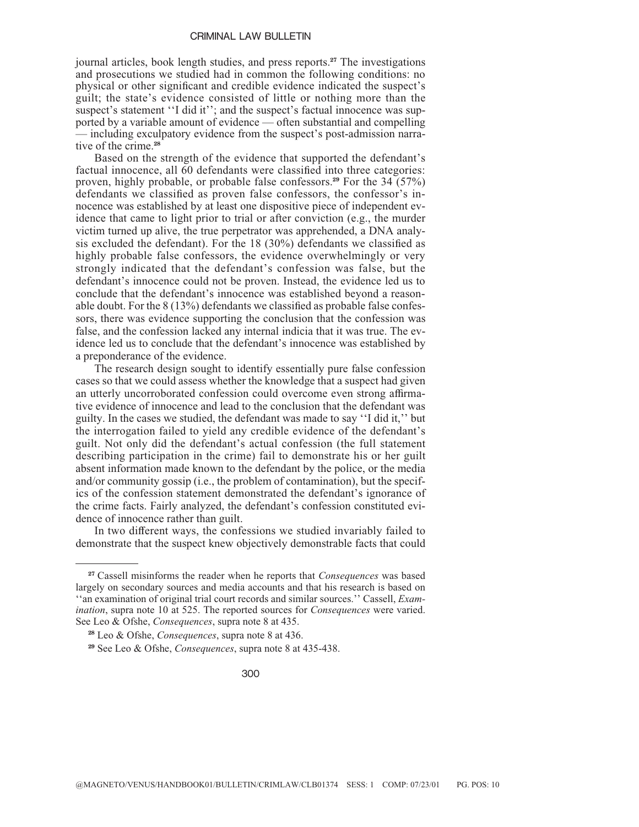journal articles, book length studies, and press reports.**<sup>27</sup>** The investigations and prosecutions we studied had in common the following conditions: no physical or other signicant and credible evidence indicated the suspect's guilt; the state's evidence consisted of little or nothing more than the suspect's statement "I did it"; and the suspect's factual innocence was supported by a variable amount of evidence — often substantial and compelling — including exculpatory evidence from the suspect's post-admission narrative of the crime.**<sup>28</sup>**

Based on the strength of the evidence that supported the defendant's factual innocence, all 60 defendants were classified into three categories: proven, highly probable, or probable false confessors.**<sup>29</sup>** For the 34 (57%) defendants we classified as proven false confessors, the confessor's innocence was established by at least one dispositive piece of independent evidence that came to light prior to trial or after conviction (e.g., the murder victim turned up alive, the true perpetrator was apprehended, a DNA analysis excluded the defendant). For the  $18 (30\%)$  defendants we classified as highly probable false confessors, the evidence overwhelmingly or very strongly indicated that the defendant's confession was false, but the defendant's innocence could not be proven. Instead, the evidence led us to conclude that the defendant's innocence was established beyond a reasonable doubt. For the  $8(13\%)$  defendants we classified as probable false confessors, there was evidence supporting the conclusion that the confession was false, and the confession lacked any internal indicia that it was true. The evidence led us to conclude that the defendant's innocence was established by a preponderance of the evidence.

The research design sought to identify essentially pure false confession cases so that we could assess whether the knowledge that a suspect had given an utterly uncorroborated confession could overcome even strong affirmative evidence of innocence and lead to the conclusion that the defendant was guilty. In the cases we studied, the defendant was made to say ''I did it,'' but the interrogation failed to yield any credible evidence of the defendant's guilt. Not only did the defendant's actual confession (the full statement describing participation in the crime) fail to demonstrate his or her guilt absent information made known to the defendant by the police, or the media and/or community gossip (i.e., the problem of contamination), but the specifics of the confession statement demonstrated the defendant's ignorance of the crime facts. Fairly analyzed, the defendant's confession constituted evidence of innocence rather than guilt.

In two different ways, the confessions we studied invariably failed to demonstrate that the suspect knew objectively demonstrable facts that could

**<sup>27</sup>** Cassell misinforms the reader when he reports that *Consequences* was based largely on secondary sources and media accounts and that his research is based on ''an examination of original trial court records and similar sources.'' Cassell, *Examination*, supra note 10 at 525. The reported sources for *Consequences* were varied. See Leo & Ofshe, *Consequences*, supra note 8 at 435.

**<sup>28</sup>** Leo & Ofshe, *Consequences*, supra note 8 at 436.

**<sup>29</sup>** See Leo & Ofshe, *Consequences*, supra note 8 at 435-438.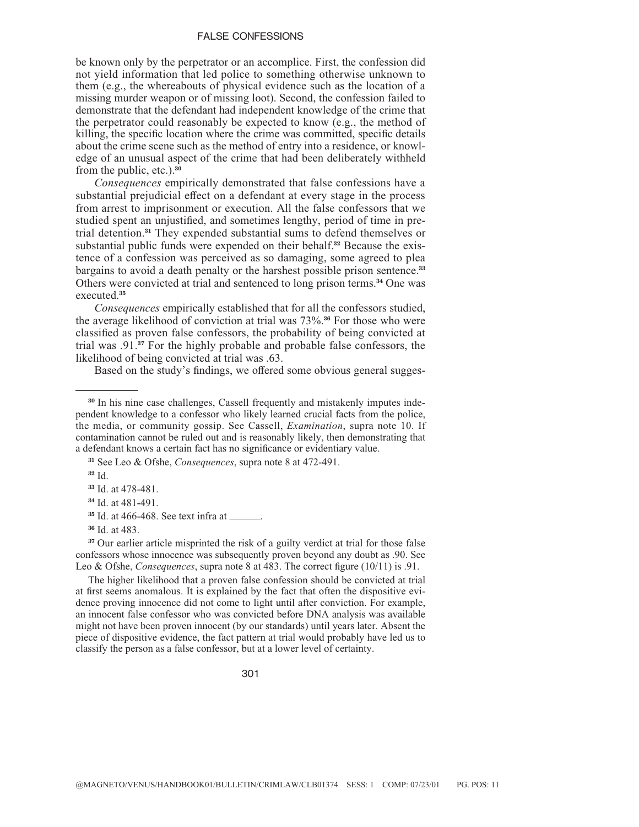be known only by the perpetrator or an accomplice. First, the confession did not yield information that led police to something otherwise unknown to them (e.g., the whereabouts of physical evidence such as the location of a missing murder weapon or of missing loot). Second, the confession failed to demonstrate that the defendant had independent knowledge of the crime that the perpetrator could reasonably be expected to know (e.g., the method of killing, the specific location where the crime was committed, specific details about the crime scene such as the method of entry into a residence, or knowledge of an unusual aspect of the crime that had been deliberately withheld from the public, etc.).**<sup>30</sup>**

*Consequences* empirically demonstrated that false confessions have a substantial prejudicial effect on a defendant at every stage in the process from arrest to imprisonment or execution. All the false confessors that we studied spent an uniustified, and sometimes lengthy, period of time in pretrial detention.**<sup>31</sup>** They expended substantial sums to defend themselves or substantial public funds were expended on their behalf.**<sup>32</sup>** Because the existence of a confession was perceived as so damaging, some agreed to plea bargains to avoid a death penalty or the harshest possible prison sentence.**<sup>33</sup>** Others were convicted at trial and sentenced to long prison terms.**<sup>34</sup>** One was executed.**<sup>35</sup>**

*Consequences* empirically established that for all the confessors studied, the average likelihood of conviction at trial was 73%.**<sup>36</sup>** For those who were classified as proven false confessors, the probability of being convicted at trial was .91.**<sup>37</sup>** For the highly probable and probable false confessors, the likelihood of being convicted at trial was .63.

Based on the study's findings, we offered some obvious general sugges-

**<sup>31</sup>** See Leo & Ofshe, *Consequences*, supra note 8 at 472-491.

**<sup>32</sup>** Id.

**<sup>33</sup>** Id. at 478-481.

**<sup>34</sup>** Id. at 481-491.

**<sup>35</sup>** Id. at 466-468. See text infra at .

**<sup>36</sup>** Id. at 483.

**<sup>37</sup>** Our earlier article misprinted the risk of a guilty verdict at trial for those false confessors whose innocence was subsequently proven beyond any doubt as .90. See Leo & Ofshe, *Consequences*, supra note 8 at 483. The correct figure (10/11) is .91.

The higher likelihood that a proven false confession should be convicted at trial at first seems anomalous. It is explained by the fact that often the dispositive evidence proving innocence did not come to light until after conviction. For example, an innocent false confessor who was convicted before DNA analysis was available might not have been proven innocent (by our standards) until years later. Absent the piece of dispositive evidence, the fact pattern at trial would probably have led us to classify the person as a false confessor, but at a lower level of certainty.

**<sup>30</sup>** In his nine case challenges, Cassell frequently and mistakenly imputes independent knowledge to a confessor who likely learned crucial facts from the police, the media, or community gossip. See Cassell, *Examination*, supra note 10. If contamination cannot be ruled out and is reasonably likely, then demonstrating that a defendant knows a certain fact has no signicance or evidentiary value.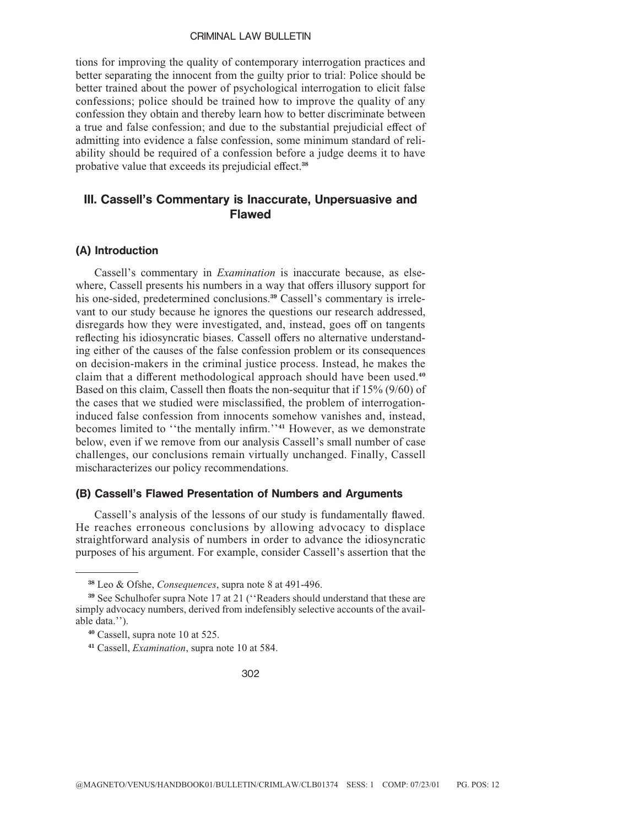#### CRIMINAL LAW BULLETIN

tions for improving the quality of contemporary interrogation practices and better separating the innocent from the guilty prior to trial: Police should be better trained about the power of psychological interrogation to elicit false confessions; police should be trained how to improve the quality of any confession they obtain and thereby learn how to better discriminate between a true and false confession; and due to the substantial prejudicial effect of admitting into evidence a false confession, some minimum standard of reliability should be required of a confession before a judge deems it to have probative value that exceeds its prejudicial effect.<sup>38</sup>

#### **III. Cassell's Commentary is Inaccurate, Unpersuasive and Flawed**

#### **(A) Introduction**

Cassell's commentary in *Examination* is inaccurate because, as elsewhere, Cassell presents his numbers in a way that offers illusory support for his one-sided, predetermined conclusions.**<sup>39</sup>** Cassell's commentary is irrelevant to our study because he ignores the questions our research addressed, disregards how they were investigated, and, instead, goes off on tangents reflecting his idiosyncratic biases. Cassell offers no alternative understanding either of the causes of the false confession problem or its consequences on decision-makers in the criminal justice process. Instead, he makes the claim that a different methodological approach should have been used.<sup>40</sup> Based on this claim, Cassell then floats the non-sequitur that if  $15\%$  (9/60) of the cases that we studied were misclassified, the problem of interrogationinduced false confession from innocents somehow vanishes and, instead, becomes limited to "the mentally infirm."<sup>41</sup> However, as we demonstrate below, even if we remove from our analysis Cassell's small number of case challenges, our conclusions remain virtually unchanged. Finally, Cassell mischaracterizes our policy recommendations.

#### **(B) Cassell's Flawed Presentation of Numbers and Arguments**

Cassell's analysis of the lessons of our study is fundamentally flawed. He reaches erroneous conclusions by allowing advocacy to displace straightforward analysis of numbers in order to advance the idiosyncratic purposes of his argument. For example, consider Cassell's assertion that the

**<sup>38</sup>** Leo & Ofshe, *Consequences*, supra note 8 at 491-496.

**<sup>39</sup>** See Schulhofer supra Note 17 at 21 (''Readers should understand that these are simply advocacy numbers, derived from indefensibly selective accounts of the available data.'').

**<sup>40</sup>** Cassell, supra note 10 at 525.

**<sup>41</sup>** Cassell, *Examination*, supra note 10 at 584.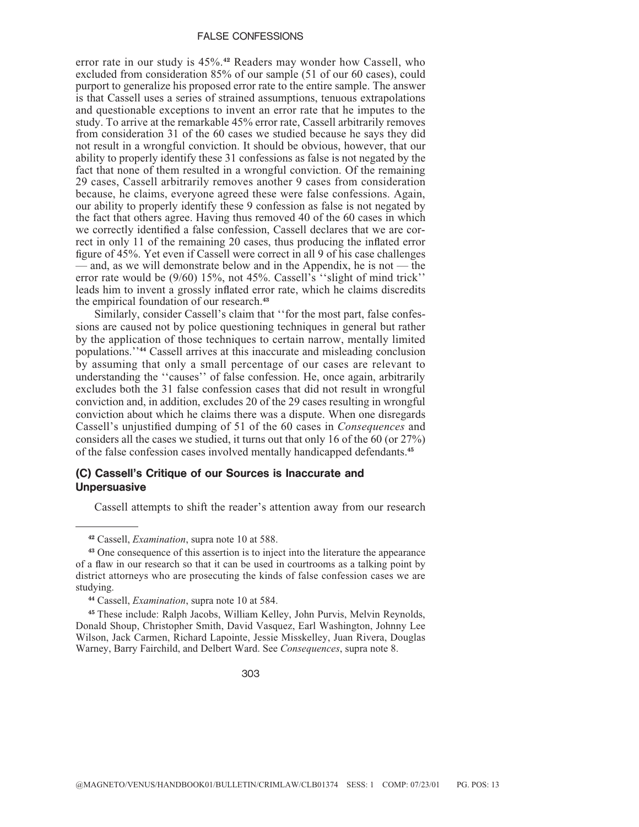error rate in our study is 45%.**<sup>42</sup>** Readers may wonder how Cassell, who excluded from consideration 85% of our sample (51 of our 60 cases), could purport to generalize his proposed error rate to the entire sample. The answer is that Cassell uses a series of strained assumptions, tenuous extrapolations and questionable exceptions to invent an error rate that he imputes to the study. To arrive at the remarkable 45% error rate, Cassell arbitrarily removes from consideration 31 of the 60 cases we studied because he says they did not result in a wrongful conviction. It should be obvious, however, that our ability to properly identify these 31 confessions as false is not negated by the fact that none of them resulted in a wrongful conviction. Of the remaining 29 cases, Cassell arbitrarily removes another 9 cases from consideration because, he claims, everyone agreed these were false confessions. Again, our ability to properly identify these 9 confession as false is not negated by the fact that others agree. Having thus removed 40 of the 60 cases in which we correctly identified a false confession, Cassell declares that we are correct in only 11 of the remaining 20 cases, thus producing the inflated error figure of 45%. Yet even if Cassell were correct in all 9 of his case challenges — and, as we will demonstrate below and in the Appendix, he is not — the error rate would be (9/60) 15%, not 45%. Cassell's ''slight of mind trick'' leads him to invent a grossly inflated error rate, which he claims discredits the empirical foundation of our research.**<sup>43</sup>**

Similarly, consider Cassell's claim that ''for the most part, false confessions are caused not by police questioning techniques in general but rather by the application of those techniques to certain narrow, mentally limited populations.''**<sup>44</sup>** Cassell arrives at this inaccurate and misleading conclusion by assuming that only a small percentage of our cases are relevant to understanding the ''causes'' of false confession. He, once again, arbitrarily excludes both the 31 false confession cases that did not result in wrongful conviction and, in addition, excludes 20 of the 29 cases resulting in wrongful conviction about which he claims there was a dispute. When one disregards Cassell's unjustied dumping of 51 of the 60 cases in *Consequences* and considers all the cases we studied, it turns out that only 16 of the 60 (or 27%) of the false confession cases involved mentally handicapped defendants.**<sup>45</sup>**

#### **(C) Cassell's Critique of our Sources is Inaccurate and Unpersuasive**

Cassell attempts to shift the reader's attention away from our research

**<sup>42</sup>** Cassell, *Examination*, supra note 10 at 588.

**<sup>43</sup>** One consequence of this assertion is to inject into the literature the appearance of a flaw in our research so that it can be used in courtrooms as a talking point by district attorneys who are prosecuting the kinds of false confession cases we are studying.

**<sup>44</sup>** Cassell, *Examination*, supra note 10 at 584.

**<sup>45</sup>** These include: Ralph Jacobs, William Kelley, John Purvis, Melvin Reynolds, Donald Shoup, Christopher Smith, David Vasquez, Earl Washington, Johnny Lee Wilson, Jack Carmen, Richard Lapointe, Jessie Misskelley, Juan Rivera, Douglas Warney, Barry Fairchild, and Delbert Ward. See *Consequences*, supra note 8.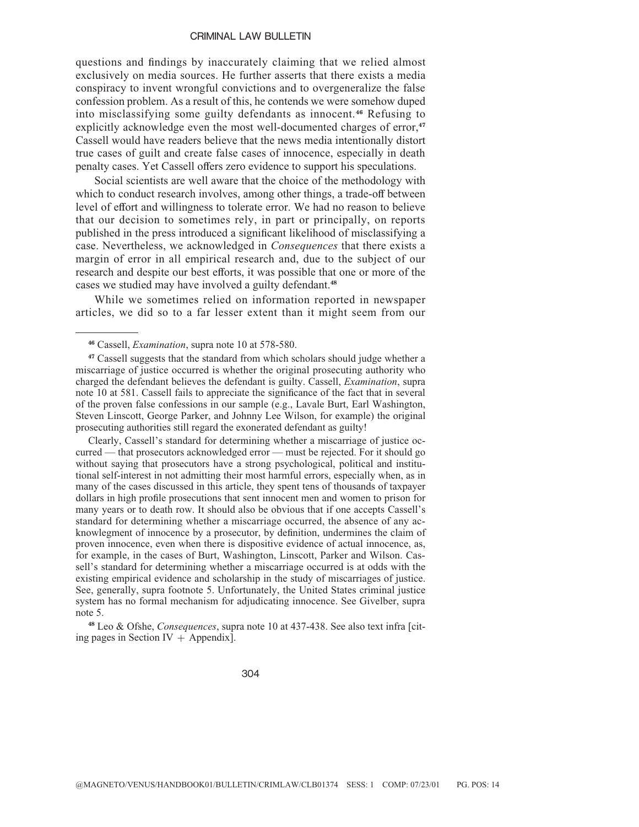#### CRIMINAL LAW BULLETIN

questions and findings by inaccurately claiming that we relied almost exclusively on media sources. He further asserts that there exists a media conspiracy to invent wrongful convictions and to overgeneralize the false confession problem. As a result of this, he contends we were somehow duped into misclassifying some guilty defendants as innocent.**<sup>46</sup>** Refusing to explicitly acknowledge even the most well-documented charges of error,**<sup>47</sup>** Cassell would have readers believe that the news media intentionally distort true cases of guilt and create false cases of innocence, especially in death penalty cases. Yet Cassell offers zero evidence to support his speculations.

Social scientists are well aware that the choice of the methodology with which to conduct research involves, among other things, a trade-off between level of effort and willingness to tolerate error. We had no reason to believe that our decision to sometimes rely, in part or principally, on reports published in the press introduced a signicant likelihood of misclassifying a case. Nevertheless, we acknowledged in *Consequences* that there exists a margin of error in all empirical research and, due to the subject of our research and despite our best efforts, it was possible that one or more of the cases we studied may have involved a guilty defendant.**<sup>48</sup>**

While we sometimes relied on information reported in newspaper articles, we did so to a far lesser extent than it might seem from our

Clearly, Cassell's standard for determining whether a miscarriage of justice occurred — that prosecutors acknowledged error — must be rejected. For it should go without saying that prosecutors have a strong psychological, political and institutional self-interest in not admitting their most harmful errors, especially when, as in many of the cases discussed in this article, they spent tens of thousands of taxpayer dollars in high profile prosecutions that sent innocent men and women to prison for many years or to death row. It should also be obvious that if one accepts Cassell's standard for determining whether a miscarriage occurred, the absence of any acknowlegment of innocence by a prosecutor, by definition, undermines the claim of proven innocence, even when there is dispositive evidence of actual innocence, as, for example, in the cases of Burt, Washington, Linscott, Parker and Wilson. Cassell's standard for determining whether a miscarriage occurred is at odds with the existing empirical evidence and scholarship in the study of miscarriages of justice. See, generally, supra footnote 5. Unfortunately, the United States criminal justice system has no formal mechanism for adjudicating innocence. See Givelber, supra note 5.

**<sup>48</sup>** Leo & Ofshe, *Consequences*, supra note 10 at 437-438. See also text infra [citing pages in Section IV  $+$  Appendix].

**<sup>46</sup>** Cassell, *Examination*, supra note 10 at 578-580.

**<sup>47</sup>** Cassell suggests that the standard from which scholars should judge whether a miscarriage of justice occurred is whether the original prosecuting authority who charged the defendant believes the defendant is guilty. Cassell, *Examination*, supra note 10 at 581. Cassell fails to appreciate the signicance of the fact that in several of the proven false confessions in our sample (e.g., Lavale Burt, Earl Washington, Steven Linscott, George Parker, and Johnny Lee Wilson, for example) the original prosecuting authorities still regard the exonerated defendant as guilty!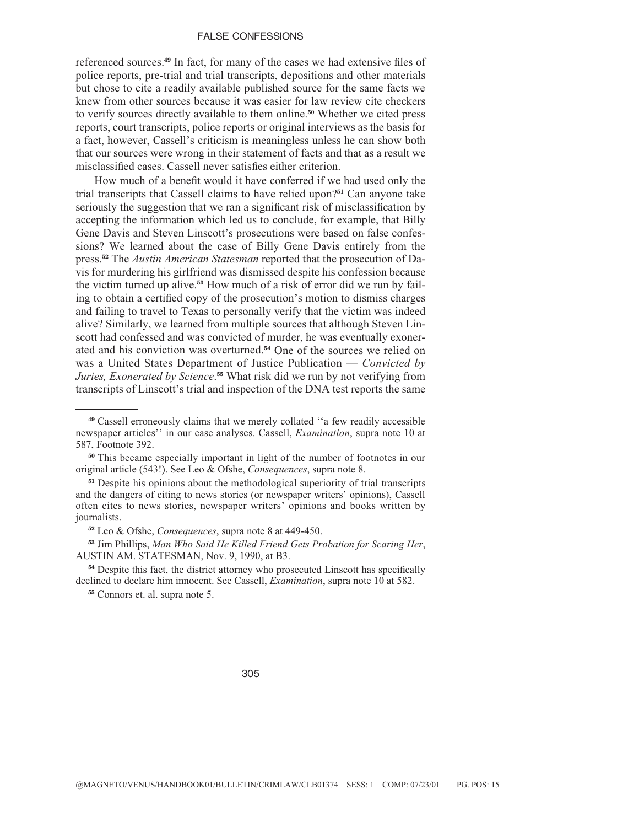referenced sources.<sup>49</sup> In fact, for many of the cases we had extensive files of police reports, pre-trial and trial transcripts, depositions and other materials but chose to cite a readily available published source for the same facts we knew from other sources because it was easier for law review cite checkers to verify sources directly available to them online.**<sup>50</sup>** Whether we cited press reports, court transcripts, police reports or original interviews as the basis for a fact, however, Cassell's criticism is meaningless unless he can show both that our sources were wrong in their statement of facts and that as a result we misclassified cases. Cassell never satisfies either criterion.

How much of a benefit would it have conferred if we had used only the trial transcripts that Cassell claims to have relied upon?**<sup>51</sup>** Can anyone take seriously the suggestion that we ran a significant risk of misclassification by accepting the information which led us to conclude, for example, that Billy Gene Davis and Steven Linscott's prosecutions were based on false confessions? We learned about the case of Billy Gene Davis entirely from the press.**<sup>52</sup>** The *Austin American Statesman* reported that the prosecution of Davis for murdering his girlfriend was dismissed despite his confession because the victim turned up alive.**<sup>53</sup>** How much of a risk of error did we run by failing to obtain a certified copy of the prosecution's motion to dismiss charges and failing to travel to Texas to personally verify that the victim was indeed alive? Similarly, we learned from multiple sources that although Steven Linscott had confessed and was convicted of murder, he was eventually exonerated and his conviction was overturned.**<sup>54</sup>** One of the sources we relied on was a United States Department of Justice Publication — *Convicted by Juries, Exonerated by Science*. **<sup>55</sup>** What risk did we run by not verifying from transcripts of Linscott's trial and inspection of the DNA test reports the same

**<sup>49</sup>** Cassell erroneously claims that we merely collated ''a few readily accessible newspaper articles'' in our case analyses. Cassell, *Examination*, supra note 10 at 587, Footnote 392.

**<sup>50</sup>** This became especially important in light of the number of footnotes in our original article (543!). See Leo & Ofshe, *Consequences*, supra note 8.

**<sup>51</sup>** Despite his opinions about the methodological superiority of trial transcripts and the dangers of citing to news stories (or newspaper writers' opinions), Cassell often cites to news stories, newspaper writers' opinions and books written by journalists.

**<sup>52</sup>** Leo & Ofshe, *Consequences*, supra note 8 at 449-450.

**<sup>53</sup>** Jim Phillips, *Man Who Said He Killed Friend Gets Probation for Scaring Her*, AUSTIN AM. STATESMAN, Nov. 9, 1990, at B3.

<sup>&</sup>lt;sup>54</sup> Despite this fact, the district attorney who prosecuted Linscott has specifically declined to declare him innocent. See Cassell, *Examination*, supra note 10 at 582.

**<sup>55</sup>** Connors et. al. supra note 5.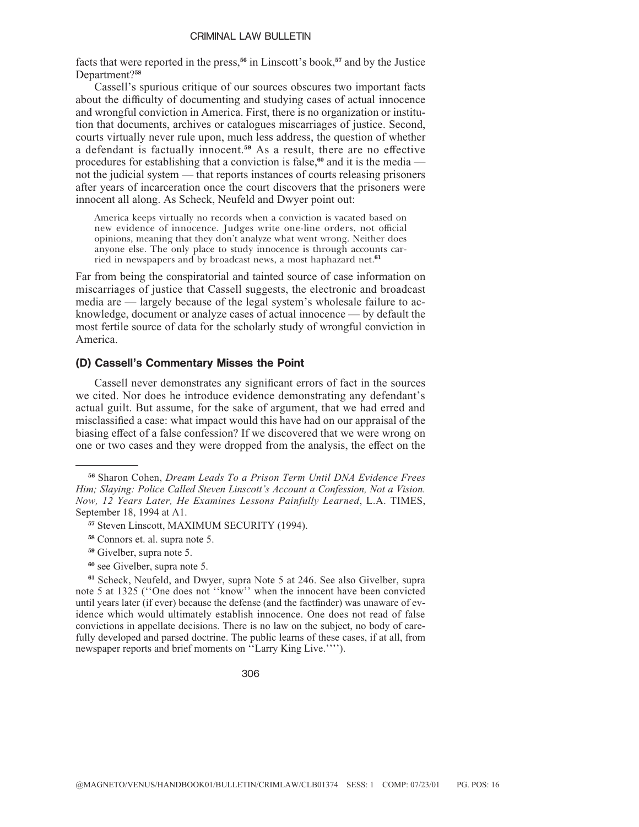facts that were reported in the press,**<sup>56</sup>** in Linscott's book,**<sup>57</sup>** and by the Justice Department?**<sup>58</sup>**

Cassell's spurious critique of our sources obscures two important facts about the difficulty of documenting and studying cases of actual innocence and wrongful conviction in America. First, there is no organization or institution that documents, archives or catalogues miscarriages of justice. Second, courts virtually never rule upon, much less address, the question of whether a defendant is factually innocent.<sup>59</sup> As a result, there are no effective procedures for establishing that a conviction is false,**<sup>60</sup>** and it is the media not the judicial system — that reports instances of courts releasing prisoners after years of incarceration once the court discovers that the prisoners were innocent all along. As Scheck, Neufeld and Dwyer point out:

America keeps virtually no records when a conviction is vacated based on new evidence of innocence. Judges write one-line orders, not official opinions, meaning that they don't analyze what went wrong. Neither does anyone else. The only place to study innocence is through accounts carried in newspapers and by broadcast news, a most haphazard net.**<sup>61</sup>**

Far from being the conspiratorial and tainted source of case information on miscarriages of justice that Cassell suggests, the electronic and broadcast media are — largely because of the legal system's wholesale failure to acknowledge, document or analyze cases of actual innocence — by default the most fertile source of data for the scholarly study of wrongful conviction in America.

#### **(D) Cassell's Commentary Misses the Point**

Cassell never demonstrates any signicant errors of fact in the sources we cited. Nor does he introduce evidence demonstrating any defendant's actual guilt. But assume, for the sake of argument, that we had erred and misclassified a case: what impact would this have had on our appraisal of the biasing effect of a false confession? If we discovered that we were wrong on one or two cases and they were dropped from the analysis, the effect on the

- **<sup>59</sup>** Givelber, supra note 5.
- **<sup>60</sup>** see Givelber, supra note 5.

**<sup>61</sup>** Scheck, Neufeld, and Dwyer, supra Note 5 at 246. See also Givelber, supra note 5 at 1325 (''One does not ''know'' when the innocent have been convicted until years later (if ever) because the defense (and the factfinder) was unaware of evidence which would ultimately establish innocence. One does not read of false convictions in appellate decisions. There is no law on the subject, no body of carefully developed and parsed doctrine. The public learns of these cases, if at all, from newspaper reports and brief moments on ''Larry King Live.'''').

**<sup>56</sup>** Sharon Cohen, *Dream Leads To a Prison Term Until DNA Evidence Frees Him; Slaying: Police Called Steven Linscott's Account a Confession, Not a Vision. Now, 12 Years Later, He Examines Lessons Painfully Learned*, L.A. TIMES, September 18, 1994 at A1.

**<sup>57</sup>** Steven Linscott, MAXIMUM SECURITY (1994).

**<sup>58</sup>** Connors et. al. supra note 5.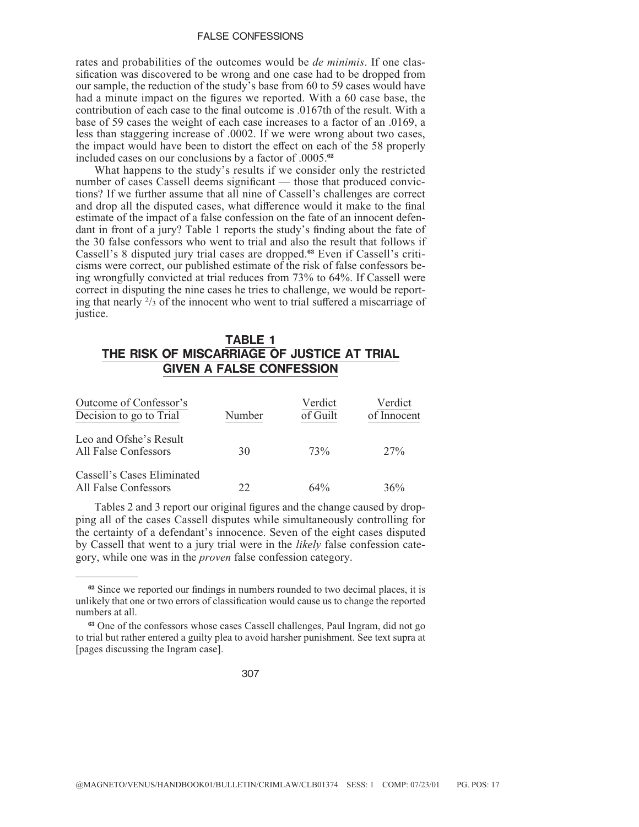rates and probabilities of the outcomes would be *de minimis*. If one classification was discovered to be wrong and one case had to be dropped from our sample, the reduction of the study's base from 60 to 59 cases would have had a minute impact on the figures we reported. With a 60 case base, the contribution of each case to the final outcome is .0167th of the result. With a base of 59 cases the weight of each case increases to a factor of an .0169, a less than staggering increase of .0002. If we were wrong about two cases, the impact would have been to distort the effect on each of the 58 properly included cases on our conclusions by a factor of .0005.**<sup>62</sup>**

What happens to the study's results if we consider only the restricted number of cases Cassell deems significant — those that produced convictions? If we further assume that all nine of Cassell's challenges are correct and drop all the disputed cases, what difference would it make to the final estimate of the impact of a false confession on the fate of an innocent defendant in front of a jury? Table 1 reports the study's finding about the fate of the 30 false confessors who went to trial and also the result that follows if Cassell's 8 disputed jury trial cases are dropped.**<sup>63</sup>** Even if Cassell's criticisms were correct, our published estimate of the risk of false confessors being wrongfully convicted at trial reduces from 73% to 64%. If Cassell were correct in disputing the nine cases he tries to challenge, we would be reporting that nearly  $\frac{2}{3}$  of the innocent who went to trial suffered a miscarriage of justice.

### **TABLE 1 THE RISK OF MISCARRIAGE OF JUSTICE AT TRIAL GIVEN A FALSE CONFESSION**

| Outcome of Confessor's<br>Decision to go to Trial  | Number | Verdict<br>of Guilt | Verdict<br>of Innocent |
|----------------------------------------------------|--------|---------------------|------------------------|
| Leo and Ofshe's Result<br>All False Confessors     | 30     | 73%                 | 27%                    |
| Cassell's Cases Eliminated<br>All False Confessors | 22     | 64%                 | 36%                    |

Tables 2 and 3 report our original figures and the change caused by dropping all of the cases Cassell disputes while simultaneously controlling for the certainty of a defendant's innocence. Seven of the eight cases disputed by Cassell that went to a jury trial were in the *likely* false confession category, while one was in the *proven* false confession category.

<sup>&</sup>lt;sup>62</sup> Since we reported our findings in numbers rounded to two decimal places, it is unlikely that one or two errors of classification would cause us to change the reported numbers at all.

**<sup>63</sup>** One of the confessors whose cases Cassell challenges, Paul Ingram, did not go to trial but rather entered a guilty plea to avoid harsher punishment. See text supra at [pages discussing the Ingram case].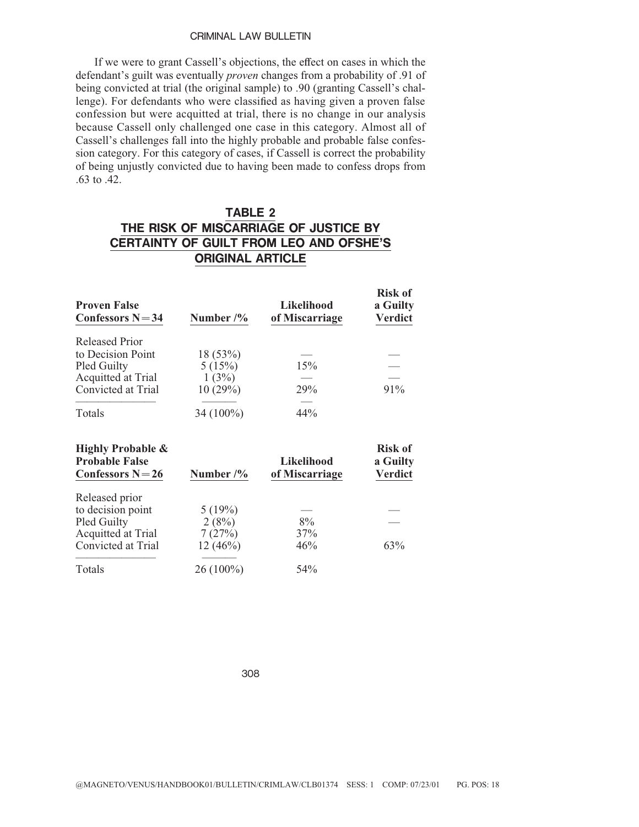#### CRIMINAL LAW BULLETIN

If we were to grant Cassell's objections, the effect on cases in which the defendant's guilt was eventually *proven* changes from a probability of .91 of being convicted at trial (the original sample) to .90 (granting Cassell's challenge). For defendants who were classified as having given a proven false confession but were acquitted at trial, there is no change in our analysis because Cassell only challenged one case in this category. Almost all of Cassell's challenges fall into the highly probable and probable false confession category. For this category of cases, if Cassell is correct the probability of being unjustly convicted due to having been made to confess drops from .63 to .42.

## **TABLE 2 THE RISK OF MISCARRIAGE OF JUSTICE BY CERTAINTY OF GUILT FROM LEO AND OFSHE'S ORIGINAL ARTICLE**

| <b>Proven False</b><br>Confessors $N = 34$ | Number $\frac{9}{6}$ | Likelihood<br>of Miscarriage | <b>Risk of</b><br>a Guilty<br><b>Verdict</b> |
|--------------------------------------------|----------------------|------------------------------|----------------------------------------------|
| Released Prior                             |                      |                              |                                              |
| to Decision Point                          | 18(53%)              |                              |                                              |
| Pled Guilty                                | 5(15%)               | 15%                          |                                              |
| Acquitted at Trial                         | 1(3%)                |                              |                                              |
| Convicted at Trial                         | 10(29%)              | 29%                          | $91\%$                                       |
| Totals                                     | $34(100\%)$          | 44%                          |                                              |

| <b>Highly Probable &amp;</b><br><b>Probable False</b><br>Confessors $N=26$ | Number $/$ % | Likelihood<br>of Miscarriage | <b>Risk of</b><br>a Guilty<br><b>Verdict</b> |
|----------------------------------------------------------------------------|--------------|------------------------------|----------------------------------------------|
| Released prior                                                             |              |                              |                                              |
| to decision point                                                          | 5(19%)       |                              |                                              |
| Pled Guilty                                                                | 2(8%)        | 8%                           |                                              |
| Acquitted at Trial                                                         | 7(27%)       | 37%                          |                                              |
| Convicted at Trial                                                         | 12(46%)      | 46%                          | 63%                                          |
| Totals                                                                     | $26(100\%)$  | 54%                          |                                              |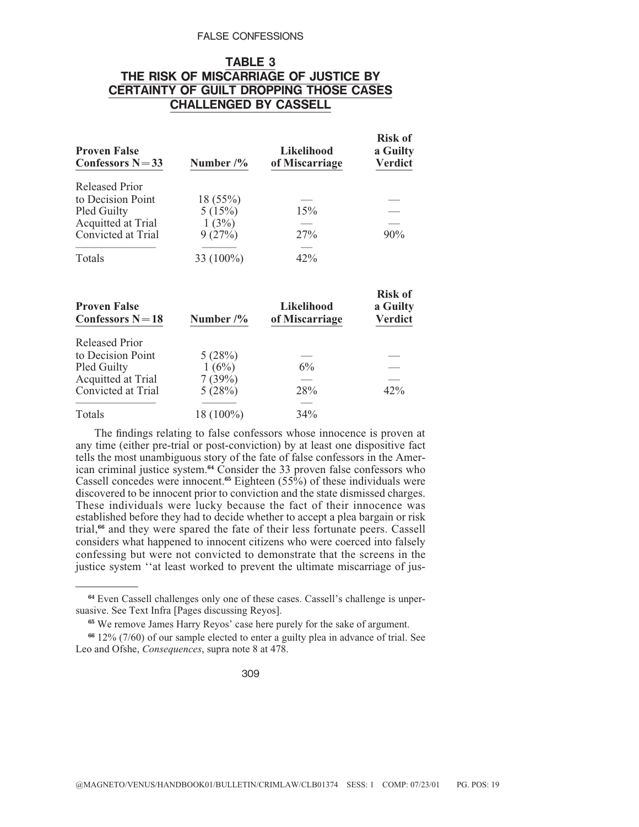## **TABLE 3 THE RISK OF MISCARRIAGE OF JUSTICE BY CERTAINTY OF GUILT DROPPING THOSE CASES CHALLENGED BY CASSELL**

| <b>Proven False</b><br>Confessors $N = 33$ | Number $\frac{9}{6}$ | Likelihood<br>of Miscarriage | <b>Risk of</b><br>a Guilty<br><b>Verdict</b> |
|--------------------------------------------|----------------------|------------------------------|----------------------------------------------|
| Released Prior                             |                      |                              |                                              |
| to Decision Point                          | 18(55%)              |                              |                                              |
| Pled Guilty                                | 5(15%)               | 15%                          |                                              |
| Acquitted at Trial                         | 1(3%)                |                              | __                                           |
| Convicted at Trial                         | 9(27%)               | 27%                          | 90%                                          |
| <b>Totals</b>                              | 33 $(100\%)$         | 42%                          |                                              |
|                                            |                      |                              |                                              |

| Number $/$ % | Likelihood<br>of Miscarriage | KISK 01<br>a Guilty<br><b>Verdict</b> |
|--------------|------------------------------|---------------------------------------|
|              |                              |                                       |
| 5(28%)       |                              |                                       |
| 1(6%)        | $6\%$                        |                                       |
| 7(39%)       |                              |                                       |
| 5(28%)       | 28%                          | 42%                                   |
| $18(100\%)$  | 34%                          |                                       |
|              |                              |                                       |

**Risk of**

The findings relating to false confessors whose innocence is proven at any time (either pre-trial or post-conviction) by at least one dispositive fact tells the most unambiguous story of the fate of false confessors in the American criminal justice system.**<sup>64</sup>** Consider the 33 proven false confessors who Cassell concedes were innocent.**<sup>65</sup>** Eighteen (55%) of these individuals were discovered to be innocent prior to conviction and the state dismissed charges. These individuals were lucky because the fact of their innocence was established before they had to decide whether to accept a plea bargain or risk trial,**<sup>66</sup>** and they were spared the fate of their less fortunate peers. Cassell considers what happened to innocent citizens who were coerced into falsely confessing but were not convicted to demonstrate that the screens in the justice system ''at least worked to prevent the ultimate miscarriage of jus-

**<sup>64</sup>** Even Cassell challenges only one of these cases. Cassell's challenge is unpersuasive. See Text Infra [Pages discussing Reyos].

**<sup>65</sup>** We remove James Harry Reyos' case here purely for the sake of argument.

**<sup>66</sup>** 12% (7/60) of our sample elected to enter a guilty plea in advance of trial. See Leo and Ofshe, *Consequences*, supra note 8 at 478.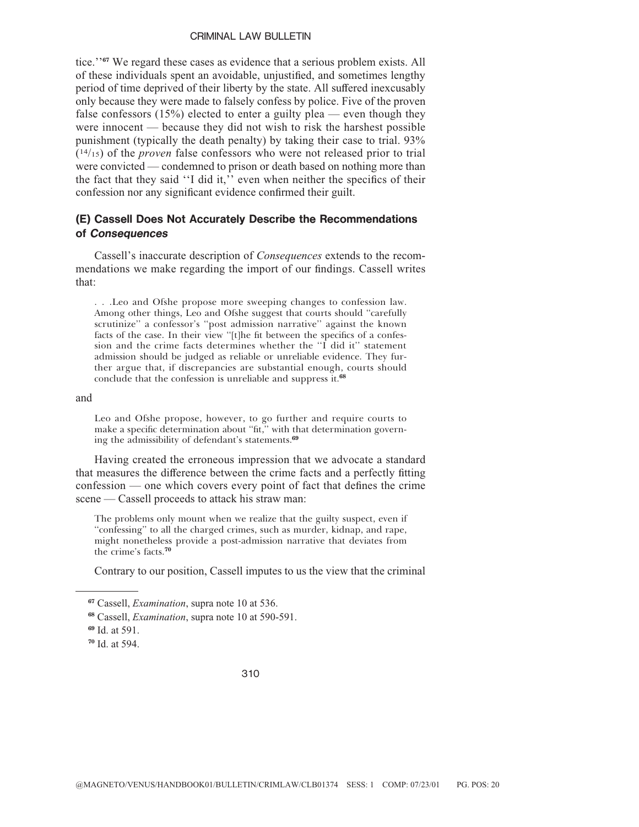#### CRIMINAL LAW BULLETIN

tice.''**<sup>67</sup>** We regard these cases as evidence that a serious problem exists. All of these individuals spent an avoidable, unjustied, and sometimes lengthy period of time deprived of their liberty by the state. All suffered inexcusably only because they were made to falsely confess by police. Five of the proven false confessors  $(15%)$  elected to enter a guilty plea — even though they were innocent — because they did not wish to risk the harshest possible punishment (typically the death penalty) by taking their case to trial. 93% (14/15) of the *proven* false confessors who were not released prior to trial were convicted — condemned to prison or death based on nothing more than the fact that they said "I did it," even when neither the specifics of their confession nor any significant evidence confirmed their guilt.

#### **(E) Cassell Does Not Accurately Describe the Recommendations of Consequences**

Cassell's inaccurate description of *Consequences* extends to the recommendations we make regarding the import of our findings. Cassell writes that:

. . .Leo and Ofshe propose more sweeping changes to confession law. Among other things, Leo and Ofshe suggest that courts should ''carefully scrutinize'' a confessor's ''post admission narrative'' against the known facts of the case. In their view "[t]he fit between the specifics of a confession and the crime facts determines whether the ''I did it'' statement admission should be judged as reliable or unreliable evidence. They further argue that, if discrepancies are substantial enough, courts should conclude that the confession is unreliable and suppress it.**<sup>68</sup>**

#### and

Leo and Ofshe propose, however, to go further and require courts to make a specific determination about "fit," with that determination governing the admissibility of defendant's statements.**<sup>69</sup>**

Having created the erroneous impression that we advocate a standard that measures the difference between the crime facts and a perfectly fitting confession — one which covers every point of fact that defines the crime scene — Cassell proceeds to attack his straw man:

The problems only mount when we realize that the guilty suspect, even if ''confessing'' to all the charged crimes, such as murder, kidnap, and rape, might nonetheless provide a post-admission narrative that deviates from the crime's facts.**<sup>70</sup>**

Contrary to our position, Cassell imputes to us the view that the criminal

**<sup>67</sup>** Cassell, *Examination*, supra note 10 at 536.

**<sup>68</sup>** Cassell, *Examination*, supra note 10 at 590-591.

**<sup>69</sup>** Id. at 591.

**<sup>70</sup>** Id. at 594.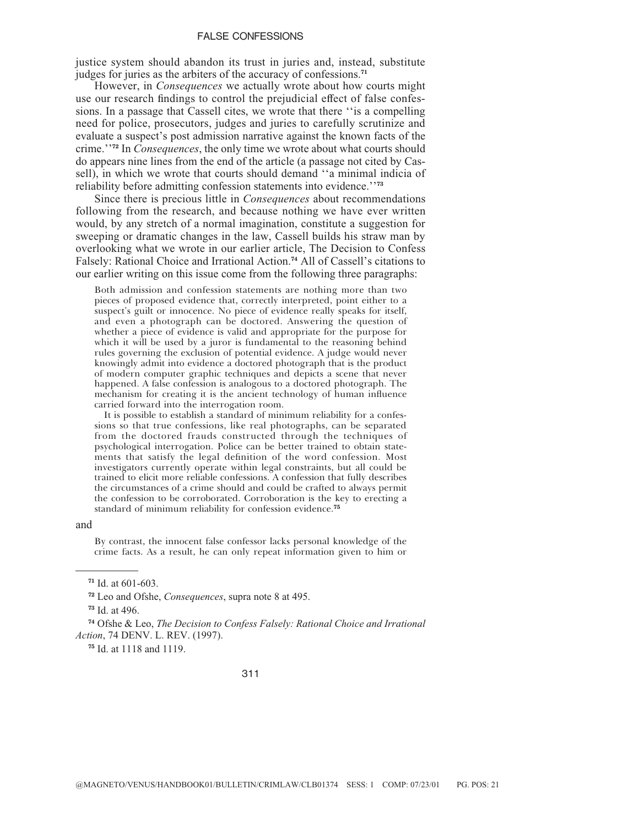justice system should abandon its trust in juries and, instead, substitute judges for juries as the arbiters of the accuracy of confessions.**<sup>71</sup>**

However, in *Consequences* we actually wrote about how courts might use our research findings to control the prejudicial effect of false confessions. In a passage that Cassell cites, we wrote that there ''is a compelling need for police, prosecutors, judges and juries to carefully scrutinize and evaluate a suspect's post admission narrative against the known facts of the crime.''**<sup>72</sup>** In *Consequences*, the only time we wrote about what courts should do appears nine lines from the end of the article (a passage not cited by Cassell), in which we wrote that courts should demand ''a minimal indicia of reliability before admitting confession statements into evidence.''**<sup>73</sup>**

Since there is precious little in *Consequences* about recommendations following from the research, and because nothing we have ever written would, by any stretch of a normal imagination, constitute a suggestion for sweeping or dramatic changes in the law, Cassell builds his straw man by overlooking what we wrote in our earlier article, The Decision to Confess Falsely: Rational Choice and Irrational Action.**<sup>74</sup>** All of Cassell's citations to our earlier writing on this issue come from the following three paragraphs:

Both admission and confession statements are nothing more than two pieces of proposed evidence that, correctly interpreted, point either to a suspect's guilt or innocence. No piece of evidence really speaks for itself, and even a photograph can be doctored. Answering the question of whether a piece of evidence is valid and appropriate for the purpose for which it will be used by a juror is fundamental to the reasoning behind rules governing the exclusion of potential evidence. A judge would never knowingly admit into evidence a doctored photograph that is the product of modern computer graphic techniques and depicts a scene that never happened. A false confession is analogous to a doctored photograph. The mechanism for creating it is the ancient technology of human influence carried forward into the interrogation room.

It is possible to establish a standard of minimum reliability for a confessions so that true confessions, like real photographs, can be separated from the doctored frauds constructed through the techniques of psychological interrogation. Police can be better trained to obtain statements that satisfy the legal definition of the word confession. Most investigators currently operate within legal constraints, but all could be trained to elicit more reliable confessions. A confession that fully describes the circumstances of a crime should and could be crafted to always permit the confession to be corroborated. Corroboration is the key to erecting a standard of minimum reliability for confession evidence.**<sup>75</sup>**

#### and

By contrast, the innocent false confessor lacks personal knowledge of the crime facts. As a result, he can only repeat information given to him or

**<sup>74</sup>** Ofshe & Leo, *The Decision to Confess Falsely: Rational Choice and Irrational Action*, 74 DENV. L. REV. (1997).

**<sup>75</sup>** Id. at 1118 and 1119.

**<sup>71</sup>** Id. at 601-603.

**<sup>72</sup>** Leo and Ofshe, *Consequences*, supra note 8 at 495.

**<sup>73</sup>** Id. at 496.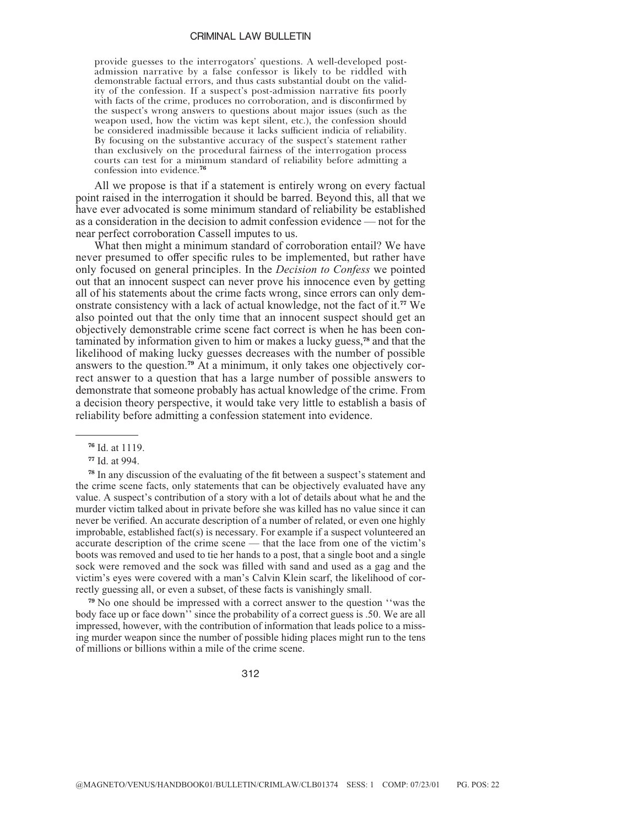provide guesses to the interrogators' questions. A well-developed postadmission narrative by a false confessor is likely to be riddled with demonstrable factual errors, and thus casts substantial doubt on the validity of the confession. If a suspect's post-admission narrative fits poorly with facts of the crime, produces no corroboration, and is disconfirmed by the suspect's wrong answers to questions about major issues (such as the weapon used, how the victim was kept silent, etc.), the confession should be considered inadmissible because it lacks sufficient indicia of reliability. By focusing on the substantive accuracy of the suspect's statement rather than exclusively on the procedural fairness of the interrogation process courts can test for a minimum standard of reliability before admitting a confession into evidence.**<sup>76</sup>**

All we propose is that if a statement is entirely wrong on every factual point raised in the interrogation it should be barred. Beyond this, all that we have ever advocated is some minimum standard of reliability be established as a consideration in the decision to admit confession evidence — not for the near perfect corroboration Cassell imputes to us.

What then might a minimum standard of corroboration entail? We have never presumed to offer specific rules to be implemented, but rather have only focused on general principles. In the *Decision to Confess* we pointed out that an innocent suspect can never prove his innocence even by getting all of his statements about the crime facts wrong, since errors can only demonstrate consistency with a lack of actual knowledge, not the fact of it.**<sup>77</sup>** We also pointed out that the only time that an innocent suspect should get an objectively demonstrable crime scene fact correct is when he has been contaminated by information given to him or makes a lucky guess,**<sup>78</sup>** and that the likelihood of making lucky guesses decreases with the number of possible answers to the question.**<sup>79</sup>** At a minimum, it only takes one objectively correct answer to a question that has a large number of possible answers to demonstrate that someone probably has actual knowledge of the crime. From a decision theory perspective, it would take very little to establish a basis of reliability before admitting a confession statement into evidence.

<sup>78</sup> In any discussion of the evaluating of the fit between a suspect's statement and the crime scene facts, only statements that can be objectively evaluated have any value. A suspect's contribution of a story with a lot of details about what he and the murder victim talked about in private before she was killed has no value since it can never be verified. An accurate description of a number of related, or even one highly improbable, established fact(s) is necessary. For example if a suspect volunteered an accurate description of the crime scene — that the lace from one of the victim's boots was removed and used to tie her hands to a post, that a single boot and a single sock were removed and the sock was filled with sand and used as a gag and the victim's eyes were covered with a man's Calvin Klein scarf, the likelihood of correctly guessing all, or even a subset, of these facts is vanishingly small.

**<sup>79</sup>** No one should be impressed with a correct answer to the question ''was the body face up or face down'' since the probability of a correct guess is .50. We are all impressed, however, with the contribution of information that leads police to a missing murder weapon since the number of possible hiding places might run to the tens of millions or billions within a mile of the crime scene.

**<sup>76</sup>** Id. at 1119.

**<sup>77</sup>** Id. at 994.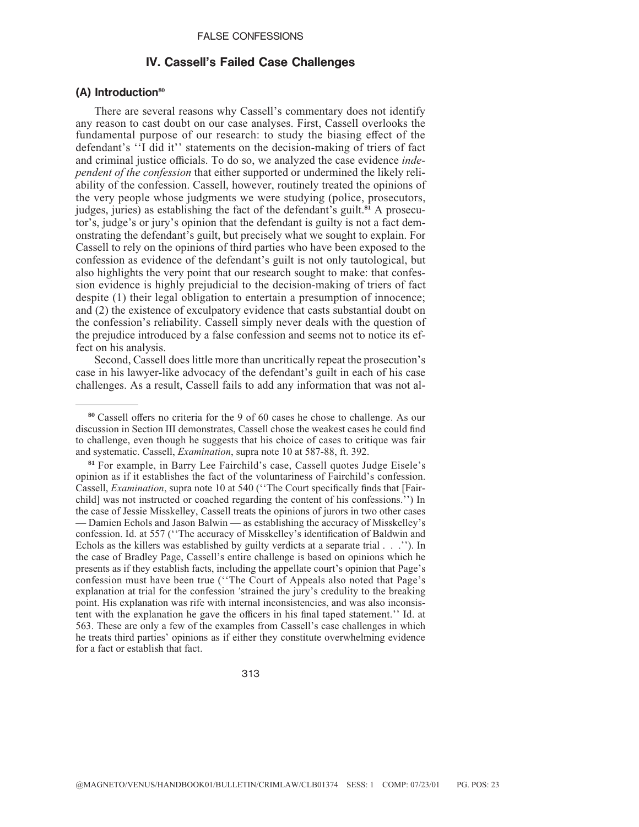#### **IV. Cassell's Failed Case Challenges**

#### **(A) Introduction<sup>80</sup>**

There are several reasons why Cassell's commentary does not identify any reason to cast doubt on our case analyses. First, Cassell overlooks the fundamental purpose of our research: to study the biasing effect of the defendant's ''I did it'' statements on the decision-making of triers of fact and criminal justice officials. To do so, we analyzed the case evidence *independent of the confession* that either supported or undermined the likely reliability of the confession. Cassell, however, routinely treated the opinions of the very people whose judgments we were studying (police, prosecutors, judges, juries) as establishing the fact of the defendant's guilt.**<sup>81</sup>** A prosecutor's, judge's or jury's opinion that the defendant is guilty is not a fact demonstrating the defendant's guilt, but precisely what we sought to explain. For Cassell to rely on the opinions of third parties who have been exposed to the confession as evidence of the defendant's guilt is not only tautological, but also highlights the very point that our research sought to make: that confession evidence is highly prejudicial to the decision-making of triers of fact despite (1) their legal obligation to entertain a presumption of innocence; and (2) the existence of exculpatory evidence that casts substantial doubt on the confession's reliability. Cassell simply never deals with the question of the prejudice introduced by a false confession and seems not to notice its effect on his analysis.

Second, Cassell does little more than uncritically repeat the prosecution's case in his lawyer-like advocacy of the defendant's guilt in each of his case challenges. As a result, Cassell fails to add any information that was not al-

<sup>&</sup>lt;sup>80</sup> Cassell offers no criteria for the 9 of 60 cases he chose to challenge. As our discussion in Section III demonstrates, Cassell chose the weakest cases he could find to challenge, even though he suggests that his choice of cases to critique was fair and systematic. Cassell, *Examination*, supra note 10 at 587-88, ft. 392.

**<sup>81</sup>** For example, in Barry Lee Fairchild's case, Cassell quotes Judge Eisele's opinion as if it establishes the fact of the voluntariness of Fairchild's confession. Cassell, *Examination*, supra note 10 at 540 ("The Court specifically finds that [Fairchild] was not instructed or coached regarding the content of his confessions.'') In the case of Jessie Misskelley, Cassell treats the opinions of jurors in two other cases — Damien Echols and Jason Balwin — as establishing the accuracy of Misskelley's confession. Id. at 557 ("The accuracy of Misskelley's identification of Baldwin and Echols as the killers was established by guilty verdicts at a separate trial . . .''). In the case of Bradley Page, Cassell's entire challenge is based on opinions which he presents as if they establish facts, including the appellate court's opinion that Page's confession must have been true (''The Court of Appeals also noted that Page's explanation at trial for the confession 'strained the jury's credulity to the breaking point. His explanation was rife with internal inconsistencies, and was also inconsistent with the explanation he gave the officers in his final taped statement.'' Id. at 563. These are only a few of the examples from Cassell's case challenges in which he treats third parties' opinions as if either they constitute overwhelming evidence for a fact or establish that fact.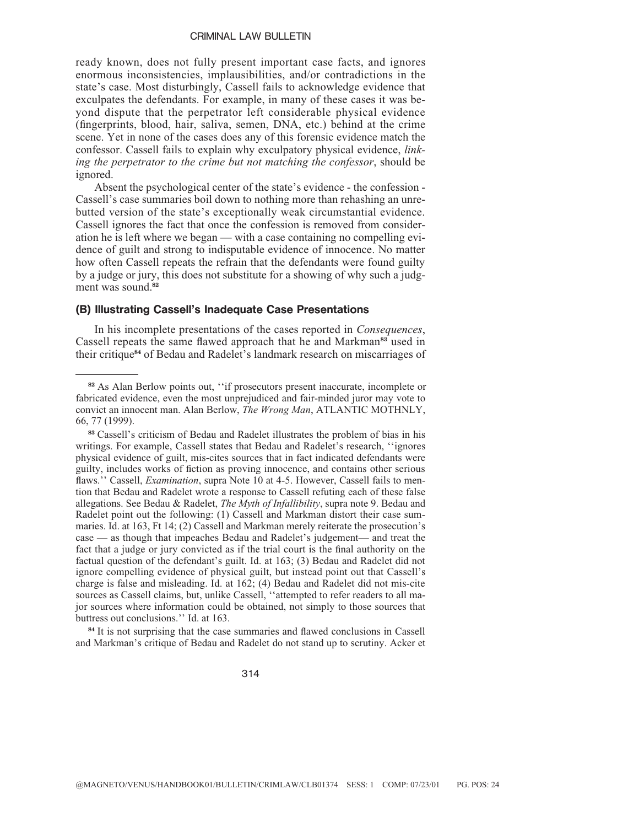ready known, does not fully present important case facts, and ignores enormous inconsistencies, implausibilities, and/or contradictions in the state's case. Most disturbingly, Cassell fails to acknowledge evidence that exculpates the defendants. For example, in many of these cases it was beyond dispute that the perpetrator left considerable physical evidence (fingerprints, blood, hair, saliva, semen, DNA, etc.) behind at the crime scene. Yet in none of the cases does any of this forensic evidence match the confessor. Cassell fails to explain why exculpatory physical evidence, *linking the perpetrator to the crime but not matching the confessor*, should be ignored.

Absent the psychological center of the state's evidence - the confession - Cassell's case summaries boil down to nothing more than rehashing an unrebutted version of the state's exceptionally weak circumstantial evidence. Cassell ignores the fact that once the confession is removed from consideration he is left where we began — with a case containing no compelling evidence of guilt and strong to indisputable evidence of innocence. No matter how often Cassell repeats the refrain that the defendants were found guilty by a judge or jury, this does not substitute for a showing of why such a judgment was sound.**<sup>82</sup>**

#### **(B) Illustrating Cassell's Inadequate Case Presentations**

In his incomplete presentations of the cases reported in *Consequences*, Cassell repeats the same flawed approach that he and Markman<sup>83</sup> used in their critique**<sup>84</sup>** of Bedau and Radelet's landmark research on miscarriages of

<sup>84</sup> It is not surprising that the case summaries and flawed conclusions in Cassell and Markman's critique of Bedau and Radelet do not stand up to scrutiny. Acker et

**<sup>82</sup>** As Alan Berlow points out, ''if prosecutors present inaccurate, incomplete or fabricated evidence, even the most unprejudiced and fair-minded juror may vote to convict an innocent man. Alan Berlow, *The Wrong Man*, ATLANTIC MOTHNLY, 66, 77 (1999).

**<sup>83</sup>** Cassell's criticism of Bedau and Radelet illustrates the problem of bias in his writings. For example, Cassell states that Bedau and Radelet's research, ''ignores physical evidence of guilt, mis-cites sources that in fact indicated defendants were guilty, includes works of fiction as proving innocence, and contains other serious flaws." Cassell, *Examination*, supra Note 10 at 4-5. However, Cassell fails to mention that Bedau and Radelet wrote a response to Cassell refuting each of these false allegations. See Bedau & Radelet, *The Myth of Infallibility*, supra note 9. Bedau and Radelet point out the following: (1) Cassell and Markman distort their case summaries. Id. at 163, Ft 14; (2) Cassell and Markman merely reiterate the prosecution's case — as though that impeaches Bedau and Radelet's judgement— and treat the fact that a judge or jury convicted as if the trial court is the final authority on the factual question of the defendant's guilt. Id. at 163; (3) Bedau and Radelet did not ignore compelling evidence of physical guilt, but instead point out that Cassell's charge is false and misleading. Id. at 162; (4) Bedau and Radelet did not mis-cite sources as Cassell claims, but, unlike Cassell, ''attempted to refer readers to all major sources where information could be obtained, not simply to those sources that buttress out conclusions.'' Id. at 163.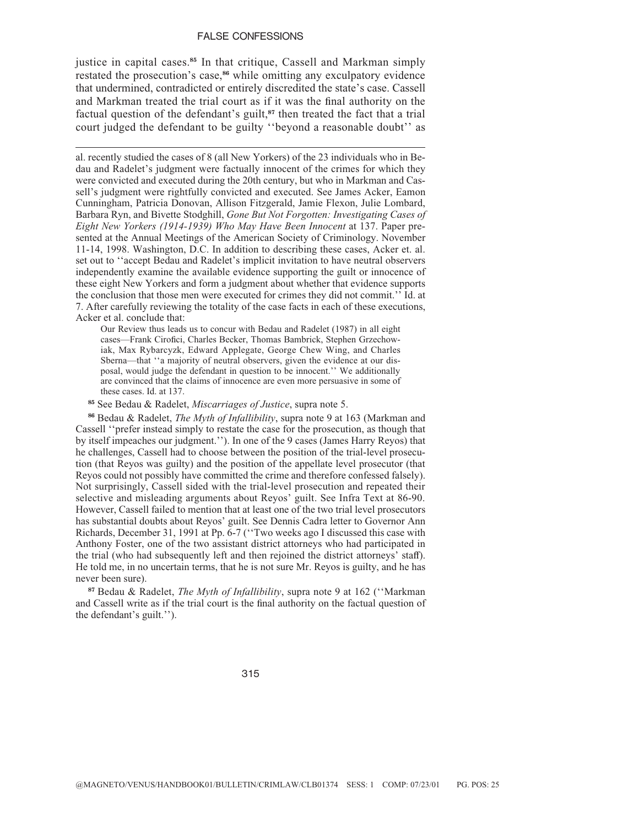justice in capital cases.**<sup>85</sup>** In that critique, Cassell and Markman simply restated the prosecution's case,**<sup>86</sup>** while omitting any exculpatory evidence that undermined, contradicted or entirely discredited the state's case. Cassell and Markman treated the trial court as if it was the final authority on the factual question of the defendant's guilt,**<sup>87</sup>** then treated the fact that a trial court judged the defendant to be guilty ''beyond a reasonable doubt'' as

al. recently studied the cases of 8 (all New Yorkers) of the 23 individuals who in Bedau and Radelet's judgment were factually innocent of the crimes for which they were convicted and executed during the 20th century, but who in Markman and Cassell's judgment were rightfully convicted and executed. See James Acker, Eamon Cunningham, Patricia Donovan, Allison Fitzgerald, Jamie Flexon, Julie Lombard, Barbara Ryn, and Bivette Stodghill, *Gone But Not Forgotten: Investigating Cases of Eight New Yorkers (1914-1939) Who May Have Been Innocent* at 137. Paper presented at the Annual Meetings of the American Society of Criminology. November 11-14, 1998. Washington, D.C. In addition to describing these cases, Acker et. al. set out to ''accept Bedau and Radelet's implicit invitation to have neutral observers independently examine the available evidence supporting the guilt or innocence of these eight New Yorkers and form a judgment about whether that evidence supports the conclusion that those men were executed for crimes they did not commit.'' Id. at 7. After carefully reviewing the totality of the case facts in each of these executions, Acker et al. conclude that:

Our Review thus leads us to concur with Bedau and Radelet (1987) in all eight cases—Frank Cirofici, Charles Becker, Thomas Bambrick, Stephen Grzechowiak, Max Rybarcyzk, Edward Applegate, George Chew Wing, and Charles Sberna—that ''a majority of neutral observers, given the evidence at our disposal, would judge the defendant in question to be innocent.'' We additionally are convinced that the claims of innocence are even more persuasive in some of these cases. Id. at 137.

**<sup>85</sup>** See Bedau & Radelet, *Miscarriages of Justice*, supra note 5.

**<sup>86</sup>** Bedau & Radelet, *The Myth of Infallibility*, supra note 9 at 163 (Markman and Cassell ''prefer instead simply to restate the case for the prosecution, as though that by itself impeaches our judgment.''). In one of the 9 cases (James Harry Reyos) that he challenges, Cassell had to choose between the position of the trial-level prosecution (that Reyos was guilty) and the position of the appellate level prosecutor (that Reyos could not possibly have committed the crime and therefore confessed falsely). Not surprisingly, Cassell sided with the trial-level prosecution and repeated their selective and misleading arguments about Reyos' guilt. See Infra Text at 86-90. However, Cassell failed to mention that at least one of the two trial level prosecutors has substantial doubts about Reyos' guilt. See Dennis Cadra letter to Governor Ann Richards, December 31, 1991 at Pp. 6-7 (''Two weeks ago I discussed this case with Anthony Foster, one of the two assistant district attorneys who had participated in the trial (who had subsequently left and then rejoined the district attorneys' staff). He told me, in no uncertain terms, that he is not sure Mr. Reyos is guilty, and he has never been sure).

**<sup>87</sup>** Bedau & Radelet, *The Myth of Infallibility*, supra note 9 at 162 (''Markman and Cassell write as if the trial court is the final authority on the factual question of the defendant's guilt.'').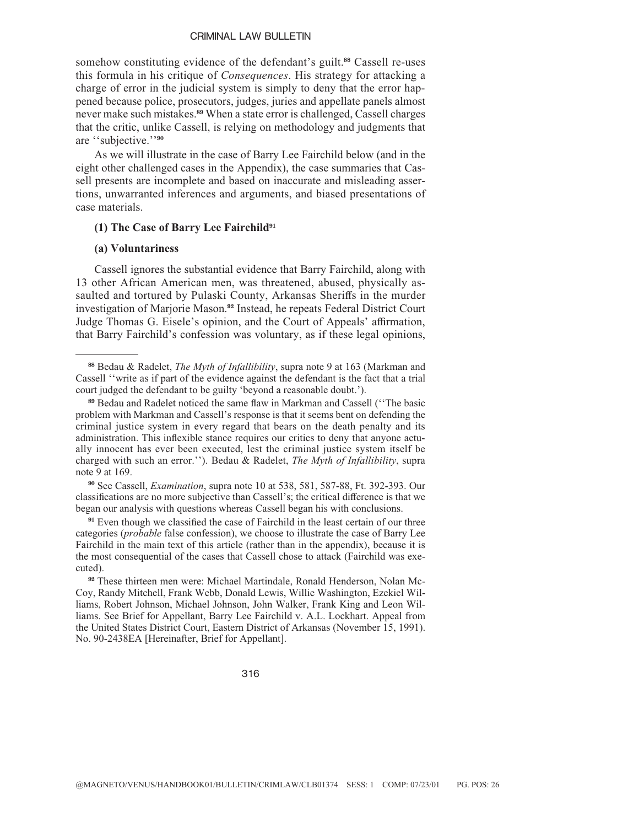somehow constituting evidence of the defendant's guilt.**<sup>88</sup>** Cassell re-uses this formula in his critique of *Consequences*. His strategy for attacking a charge of error in the judicial system is simply to deny that the error happened because police, prosecutors, judges, juries and appellate panels almost never make such mistakes.**<sup>89</sup>** When a state error is challenged, Cassell charges that the critic, unlike Cassell, is relying on methodology and judgments that are ''subjective.''**<sup>90</sup>**

As we will illustrate in the case of Barry Lee Fairchild below (and in the eight other challenged cases in the Appendix), the case summaries that Cassell presents are incomplete and based on inaccurate and misleading assertions, unwarranted inferences and arguments, and biased presentations of case materials.

#### **(1) The Case of Barry Lee Fairchild<sup>91</sup>**

#### **(a) Voluntariness**

Cassell ignores the substantial evidence that Barry Fairchild, along with 13 other African American men, was threatened, abused, physically assaulted and tortured by Pulaski County, Arkansas Sheriffs in the murder investigation of Marjorie Mason.**<sup>92</sup>** Instead, he repeats Federal District Court Judge Thomas G. Eisele's opinion, and the Court of Appeals' affirmation, that Barry Fairchild's confession was voluntary, as if these legal opinions,

**<sup>90</sup>** See Cassell, *Examination*, supra note 10 at 538, 581, 587-88, Ft. 392-393. Our classifications are no more subjective than Cassell's; the critical difference is that we began our analysis with questions whereas Cassell began his with conclusions.

<sup>91</sup> Even though we classified the case of Fairchild in the least certain of our three categories (*probable* false confession), we choose to illustrate the case of Barry Lee Fairchild in the main text of this article (rather than in the appendix), because it is the most consequential of the cases that Cassell chose to attack (Fairchild was executed).

**<sup>92</sup>** These thirteen men were: Michael Martindale, Ronald Henderson, Nolan Mc-Coy, Randy Mitchell, Frank Webb, Donald Lewis, Willie Washington, Ezekiel Williams, Robert Johnson, Michael Johnson, John Walker, Frank King and Leon Williams. See Brief for Appellant, Barry Lee Fairchild v. A.L. Lockhart. Appeal from the United States District Court, Eastern District of Arkansas (November 15, 1991). No. 90-2438EA [Hereinafter, Brief for Appellant].

**<sup>88</sup>** Bedau & Radelet, *The Myth of Infallibility*, supra note 9 at 163 (Markman and Cassell ''write as if part of the evidence against the defendant is the fact that a trial court judged the defendant to be guilty 'beyond a reasonable doubt.').

<sup>&</sup>lt;sup>89</sup> Bedau and Radelet noticed the same flaw in Markman and Cassell ("The basic problem with Markman and Cassell's response is that it seems bent on defending the criminal justice system in every regard that bears on the death penalty and its administration. This inflexible stance requires our critics to deny that anyone actually innocent has ever been executed, lest the criminal justice system itself be charged with such an error.''). Bedau & Radelet, *The Myth of Infallibility*, supra note 9 at 169.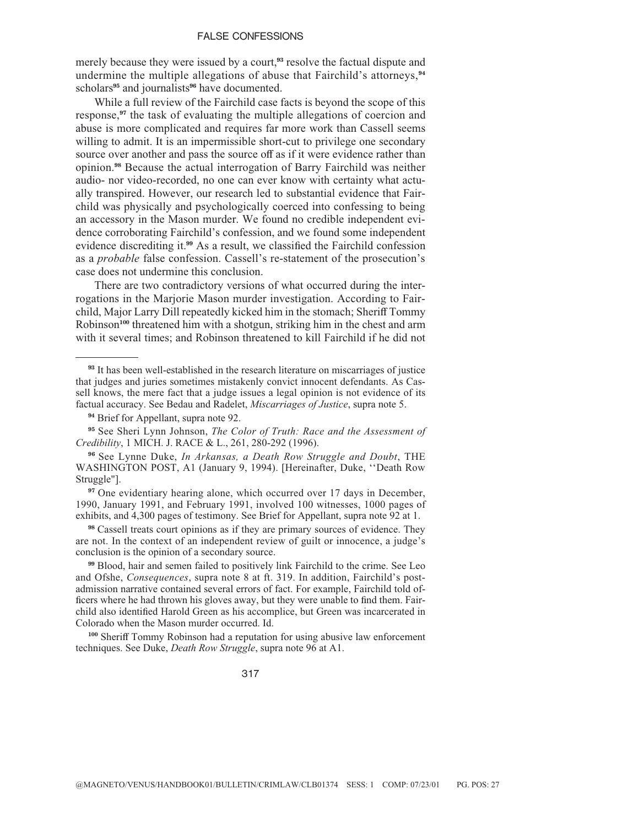merely because they were issued by a court,**<sup>93</sup>** resolve the factual dispute and undermine the multiple allegations of abuse that Fairchild's attorneys,**<sup>94</sup>** scholars<sup>95</sup> and journalists<sup>96</sup> have documented.

While a full review of the Fairchild case facts is beyond the scope of this response,**<sup>97</sup>** the task of evaluating the multiple allegations of coercion and abuse is more complicated and requires far more work than Cassell seems willing to admit. It is an impermissible short-cut to privilege one secondary source over another and pass the source off as if it were evidence rather than opinion.**<sup>98</sup>** Because the actual interrogation of Barry Fairchild was neither audio- nor video-recorded, no one can ever know with certainty what actually transpired. However, our research led to substantial evidence that Fairchild was physically and psychologically coerced into confessing to being an accessory in the Mason murder. We found no credible independent evidence corroborating Fairchild's confession, and we found some independent evidence discrediting it.<sup>99</sup> As a result, we classified the Fairchild confession as a *probable* false confession. Cassell's re-statement of the prosecution's case does not undermine this conclusion.

There are two contradictory versions of what occurred during the interrogations in the Marjorie Mason murder investigation. According to Fairchild, Major Larry Dill repeatedly kicked him in the stomach; Sheriff Tommy Robinson**<sup>100</sup>** threatened him with a shotgun, striking him in the chest and arm with it several times; and Robinson threatened to kill Fairchild if he did not

<sup>97</sup> One evidentiary hearing alone, which occurred over 17 days in December, 1990, January 1991, and February 1991, involved 100 witnesses, 1000 pages of exhibits, and 4,300 pages of testimony. See Brief for Appellant, supra note 92 at 1.

**<sup>98</sup>** Cassell treats court opinions as if they are primary sources of evidence. They are not. In the context of an independent review of guilt or innocence, a judge's conclusion is the opinion of a secondary source.

**<sup>99</sup>** Blood, hair and semen failed to positively link Fairchild to the crime. See Leo and Ofshe, *Consequences*, supra note 8 at ft. 319. In addition, Fairchild's postadmission narrative contained several errors of fact. For example, Fairchild told of ficers where he had thrown his gloves away, but they were unable to find them. Fairchild also identified Harold Green as his accomplice, but Green was incarcerated in Colorado when the Mason murder occurred. Id.

<sup>100</sup> Sheriff Tommy Robinson had a reputation for using abusive law enforcement techniques. See Duke, *Death Row Struggle*, supra note 96 at A1.

**<sup>93</sup>** It has been well-established in the research literature on miscarriages of justice that judges and juries sometimes mistakenly convict innocent defendants. As Cassell knows, the mere fact that a judge issues a legal opinion is not evidence of its factual accuracy. See Bedau and Radelet, *Miscarriages of Justice*, supra note 5.

**<sup>94</sup>** Brief for Appellant, supra note 92.

**<sup>95</sup>** See Sheri Lynn Johnson, *The Color of Truth: Race and the Assessment of Credibility*, 1 MICH. J. RACE & L., 261, 280-292 (1996).

**<sup>96</sup>** See Lynne Duke, *In Arkansas, a Death Row Struggle and Doubt*, THE WASHINGTON POST, A1 (January 9, 1994). [Hereinafter, Duke, ''Death Row Struggle"].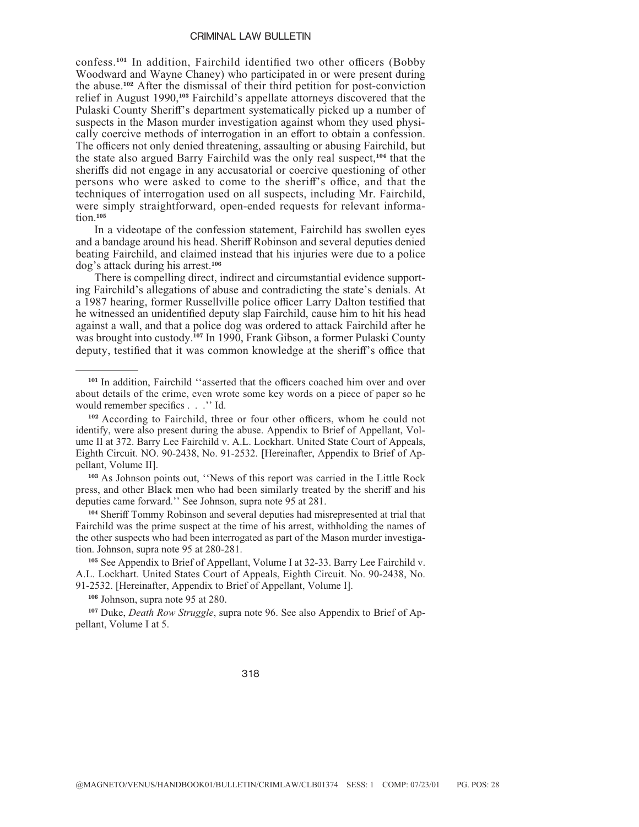confess.<sup>101</sup> In addition, Fairchild identified two other officers (Bobby Woodward and Wayne Chaney) who participated in or were present during the abuse.**<sup>102</sup>** After the dismissal of their third petition for post-conviction relief in August 1990,**<sup>103</sup>** Fairchild's appellate attorneys discovered that the Pulaski County Sheriff's department systematically picked up a number of suspects in the Mason murder investigation against whom they used physically coercive methods of interrogation in an effort to obtain a confession. The officers not only denied threatening, assaulting or abusing Fairchild, but the state also argued Barry Fairchild was the only real suspect,**<sup>104</sup>** that the sheriffs did not engage in any accusatorial or coercive questioning of other persons who were asked to come to the sheriff's office, and that the techniques of interrogation used on all suspects, including Mr. Fairchild, were simply straightforward, open-ended requests for relevant information.**<sup>105</sup>**

In a videotape of the confession statement, Fairchild has swollen eyes and a bandage around his head. Sheriff Robinson and several deputies denied beating Fairchild, and claimed instead that his injuries were due to a police dog's attack during his arrest.**<sup>106</sup>**

There is compelling direct, indirect and circumstantial evidence supporting Fairchild's allegations of abuse and contradicting the state's denials. At a 1987 hearing, former Russellville police officer Larry Dalton testified that he witnessed an unidentified deputy slap Fairchild, cause him to hit his head against a wall, and that a police dog was ordered to attack Fairchild after he was brought into custody.**<sup>107</sup>** In 1990, Frank Gibson, a former Pulaski County deputy, testified that it was common knowledge at the sheriff's office that

**<sup>103</sup>** As Johnson points out, ''News of this report was carried in the Little Rock press, and other Black men who had been similarly treated by the sheriff and his deputies came forward.'' See Johnson, supra note 95 at 281.

<sup>104</sup> Sheriff Tommy Robinson and several deputies had misrepresented at trial that Fairchild was the prime suspect at the time of his arrest, withholding the names of the other suspects who had been interrogated as part of the Mason murder investigation. Johnson, supra note 95 at 280-281.

**<sup>105</sup>** See Appendix to Brief of Appellant, Volume I at 32-33. Barry Lee Fairchild v. A.L. Lockhart. United States Court of Appeals, Eighth Circuit. No. 90-2438, No. 91-2532. [Hereinafter, Appendix to Brief of Appellant, Volume I].

**<sup>106</sup>** Johnson, supra note 95 at 280.

**<sup>107</sup>** Duke, *Death Row Struggle*, supra note 96. See also Appendix to Brief of Appellant, Volume I at 5.

<sup>&</sup>lt;sup>101</sup> In addition, Fairchild "asserted that the officers coached him over and over about details of the crime, even wrote some key words on a piece of paper so he would remember specifics . . .'' Id.

<sup>&</sup>lt;sup>102</sup> According to Fairchild, three or four other officers, whom he could not identify, were also present during the abuse. Appendix to Brief of Appellant, Volume II at 372. Barry Lee Fairchild v. A.L. Lockhart. United State Court of Appeals, Eighth Circuit. NO. 90-2438, No. 91-2532. [Hereinafter, Appendix to Brief of Appellant, Volume II].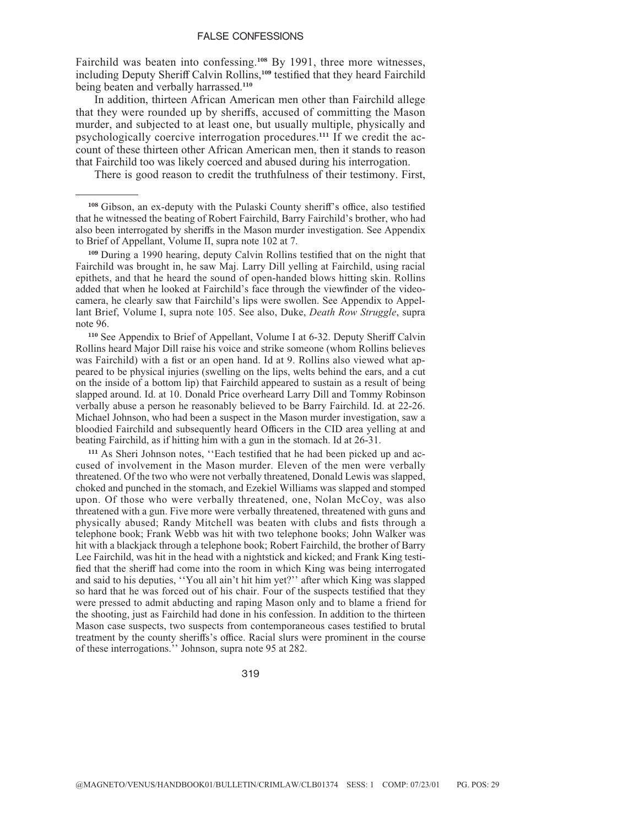Fairchild was beaten into confessing.**<sup>108</sup>** By 1991, three more witnesses, including Deputy Sheriff Calvin Rollins,<sup>109</sup> testified that they heard Fairchild being beaten and verbally harrassed.**<sup>110</sup>**

In addition, thirteen African American men other than Fairchild allege that they were rounded up by sheriffs, accused of committing the Mason murder, and subjected to at least one, but usually multiple, physically and psychologically coercive interrogation procedures.**<sup>111</sup>** If we credit the account of these thirteen other African American men, then it stands to reason that Fairchild too was likely coerced and abused during his interrogation.

There is good reason to credit the truthfulness of their testimony. First,

<sup>109</sup> During a 1990 hearing, deputy Calvin Rollins testified that on the night that Fairchild was brought in, he saw Maj. Larry Dill yelling at Fairchild, using racial epithets, and that he heard the sound of open-handed blows hitting skin. Rollins added that when he looked at Fairchild's face through the viewfinder of the videocamera, he clearly saw that Fairchild's lips were swollen. See Appendix to Appellant Brief, Volume I, supra note 105. See also, Duke, *Death Row Struggle*, supra note 96.

<sup>110</sup> See Appendix to Brief of Appellant, Volume I at 6-32. Deputy Sheriff Calvin Rollins heard Major Dill raise his voice and strike someone (whom Rollins believes was Fairchild) with a fist or an open hand. Id at 9. Rollins also viewed what appeared to be physical injuries (swelling on the lips, welts behind the ears, and a cut on the inside of a bottom lip) that Fairchild appeared to sustain as a result of being slapped around. Id. at 10. Donald Price overheard Larry Dill and Tommy Robinson verbally abuse a person he reasonably believed to be Barry Fairchild. Id. at 22-26. Michael Johnson, who had been a suspect in the Mason murder investigation, saw a bloodied Fairchild and subsequently heard Officers in the CID area yelling at and beating Fairchild, as if hitting him with a gun in the stomach. Id at 26-31.

<sup>111</sup> As Sheri Johnson notes, "Each testified that he had been picked up and accused of involvement in the Mason murder. Eleven of the men were verbally threatened. Of the two who were not verbally threatened, Donald Lewis was slapped, choked and punched in the stomach, and Ezekiel Williams was slapped and stomped upon. Of those who were verbally threatened, one, Nolan McCoy, was also threatened with a gun. Five more were verbally threatened, threatened with guns and physically abused; Randy Mitchell was beaten with clubs and fists through a telephone book; Frank Webb was hit with two telephone books; John Walker was hit with a blackjack through a telephone book; Robert Fairchild, the brother of Barry Lee Fairchild, was hit in the head with a nightstick and kicked; and Frank King testi fied that the sheriff had come into the room in which King was being interrogated and said to his deputies, ''You all ain't hit him yet?'' after which King was slapped so hard that he was forced out of his chair. Four of the suspects testified that they were pressed to admit abducting and raping Mason only and to blame a friend for the shooting, just as Fairchild had done in his confession. In addition to the thirteen Mason case suspects, two suspects from contemporaneous cases testied to brutal treatment by the county sheriffs's office. Racial slurs were prominent in the course of these interrogations.'' Johnson, supra note 95 at 282.

<sup>&</sup>lt;sup>108</sup> Gibson, an ex-deputy with the Pulaski County sheriff's office, also testified that he witnessed the beating of Robert Fairchild, Barry Fairchild's brother, who had also been interrogated by sheriffs in the Mason murder investigation. See Appendix to Brief of Appellant, Volume II, supra note 102 at 7.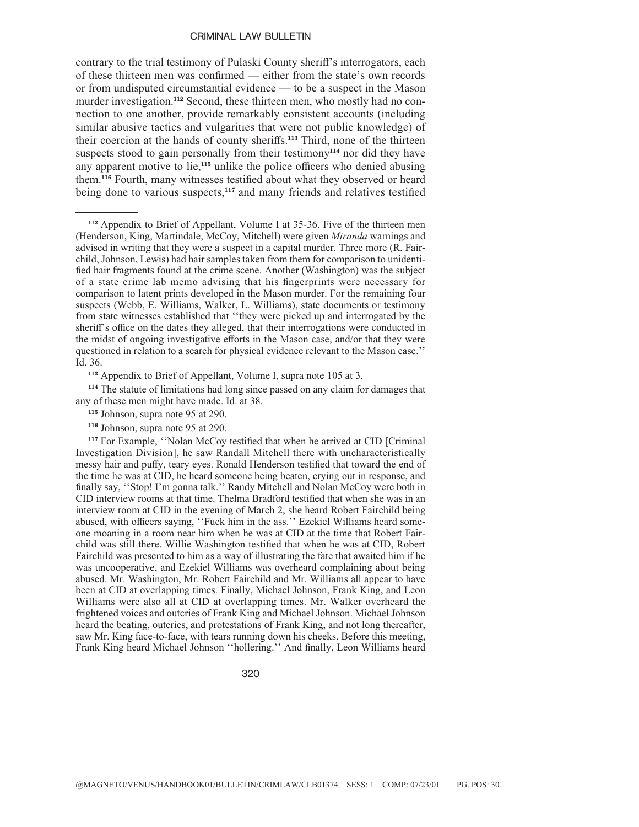#### CRIMINAL LAW BULLETIN

contrary to the trial testimony of Pulaski County sheriff's interrogators, each of these thirteen men was confirmed — either from the state's own records or from undisputed circumstantial evidence — to be a suspect in the Mason murder investigation.<sup>112</sup> Second, these thirteen men, who mostly had no connection to one another, provide remarkably consistent accounts (including similar abusive tactics and vulgarities that were not public knowledge) of their coercion at the hands of county sheriffs.<sup>113</sup> Third, none of the thirteen suspects stood to gain personally from their testimony<sup>114</sup> nor did they have any apparent motive to lie,<sup>115</sup> unlike the police officers who denied abusing them.<sup>116</sup> Fourth, many witnesses testified about what they observed or heard being done to various suspects,<sup>117</sup> and many friends and relatives testified

**<sup>114</sup>** The statute of limitations had long since passed on any claim for damages that any of these men might have made. Id. at 38.

<sup>117</sup> For Example, "Nolan McCoy testified that when he arrived at CID [Criminal Investigation Division], he saw Randall Mitchell there with uncharacteristically messy hair and puffy, teary eyes. Ronald Henderson testified that toward the end of the time he was at CID, he heard someone being beaten, crying out in response, and finally say, "Stop! I'm gonna talk." Randy Mitchell and Nolan McCoy were both in CID interview rooms at that time. Thelma Bradford testied that when she was in an interview room at CID in the evening of March 2, she heard Robert Fairchild being abused, with officers saying, "Fuck him in the ass." Ezekiel Williams heard someone moaning in a room near him when he was at CID at the time that Robert Fairchild was still there. Willie Washington testied that when he was at CID, Robert Fairchild was presented to him as a way of illustrating the fate that awaited him if he was uncooperative, and Ezekiel Williams was overheard complaining about being abused. Mr. Washington, Mr. Robert Fairchild and Mr. Williams all appear to have been at CID at overlapping times. Finally, Michael Johnson, Frank King, and Leon Williams were also all at CID at overlapping times. Mr. Walker overheard the frightened voices and outcries of Frank King and Michael Johnson. Michael Johnson heard the beating, outcries, and protestations of Frank King, and not long thereafter, saw Mr. King face-to-face, with tears running down his cheeks. Before this meeting, Frank King heard Michael Johnson "hollering." And finally, Leon Williams heard

**<sup>112</sup>** Appendix to Brief of Appellant, Volume I at 35-36. Five of the thirteen men (Henderson, King, Martindale, McCoy, Mitchell) were given *Miranda* warnings and advised in writing that they were a suspect in a capital murder. Three more (R. Fairchild, Johnson, Lewis) had hair samples taken from them for comparison to unidenti fied hair fragments found at the crime scene. Another (Washington) was the subject of a state crime lab memo advising that his fingerprints were necessary for comparison to latent prints developed in the Mason murder. For the remaining four suspects (Webb, E. Williams, Walker, L. Williams), state documents or testimony from state witnesses established that ''they were picked up and interrogated by the sheriff's office on the dates they alleged, that their interrogations were conducted in the midst of ongoing investigative efforts in the Mason case, and/or that they were questioned in relation to a search for physical evidence relevant to the Mason case.'' Id. 36.

**<sup>113</sup>** Appendix to Brief of Appellant, Volume I, supra note 105 at 3.

**<sup>115</sup>** Johnson, supra note 95 at 290.

**<sup>116</sup>** Johnson, supra note 95 at 290.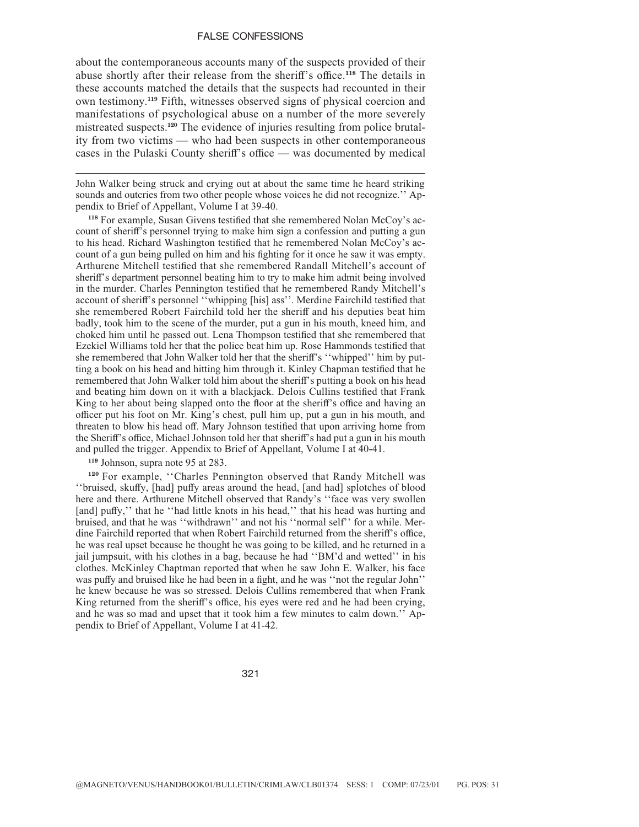about the contemporaneous accounts many of the suspects provided of their abuse shortly after their release from the sheriff's office.<sup>118</sup> The details in these accounts matched the details that the suspects had recounted in their own testimony.**<sup>119</sup>** Fifth, witnesses observed signs of physical coercion and manifestations of psychological abuse on a number of the more severely mistreated suspects.**<sup>120</sup>** The evidence of injuries resulting from police brutality from two victims — who had been suspects in other contemporaneous cases in the Pulaski County sheriff's office — was documented by medical

John Walker being struck and crying out at about the same time he heard striking sounds and outcries from two other people whose voices he did not recognize.'' Appendix to Brief of Appellant, Volume I at 39-40.

<sup>118</sup> For example, Susan Givens testified that she remembered Nolan McCoy's account of sheriff's personnel trying to make him sign a confession and putting a gun to his head. Richard Washington testified that he remembered Nolan McCoy's account of a gun being pulled on him and his fighting for it once he saw it was empty. Arthurene Mitchell testified that she remembered Randall Mitchell's account of sheriff's department personnel beating him to try to make him admit being involved in the murder. Charles Pennington testied that he remembered Randy Mitchell's account of sheriff's personnel "whipping [his] ass". Merdine Fairchild testified that she remembered Robert Fairchild told her the sheriff and his deputies beat him badly, took him to the scene of the murder, put a gun in his mouth, kneed him, and choked him until he passed out. Lena Thompson testied that she remembered that Ezekiel Williams told her that the police beat him up. Rose Hammonds testied that she remembered that John Walker told her that the sheriff's "whipped" him by putting a book on his head and hitting him through it. Kinley Chapman testied that he remembered that John Walker told him about the sheriff's putting a book on his head and beating him down on it with a blackjack. Delois Cullins testied that Frank King to her about being slapped onto the floor at the sheriff's office and having an ocer put his foot on Mr. King's chest, pull him up, put a gun in his mouth, and threaten to blow his head off. Mary Johnson testified that upon arriving home from the Sheriff's office, Michael Johnson told her that sheriff's had put a gun in his mouth and pulled the trigger. Appendix to Brief of Appellant, Volume I at 40-41.

**<sup>119</sup>** Johnson, supra note 95 at 283.

**<sup>120</sup>** For example, ''Charles Pennington observed that Randy Mitchell was "bruised, skuffy, [had] puffy areas around the head, [and had] splotches of blood here and there. Arthurene Mitchell observed that Randy's ''face was very swollen [and] puffy," that he "had little knots in his head," that his head was hurting and bruised, and that he was ''withdrawn'' and not his ''normal self'' for a while. Merdine Fairchild reported that when Robert Fairchild returned from the sheriff's office, he was real upset because he thought he was going to be killed, and he returned in a jail jumpsuit, with his clothes in a bag, because he had ''BM'd and wetted'' in his clothes. McKinley Chaptman reported that when he saw John E. Walker, his face was puffy and bruised like he had been in a fight, and he was "not the regular John" he knew because he was so stressed. Delois Cullins remembered that when Frank King returned from the sheriff's office, his eyes were red and he had been crying, and he was so mad and upset that it took him a few minutes to calm down.'' Appendix to Brief of Appellant, Volume I at 41-42.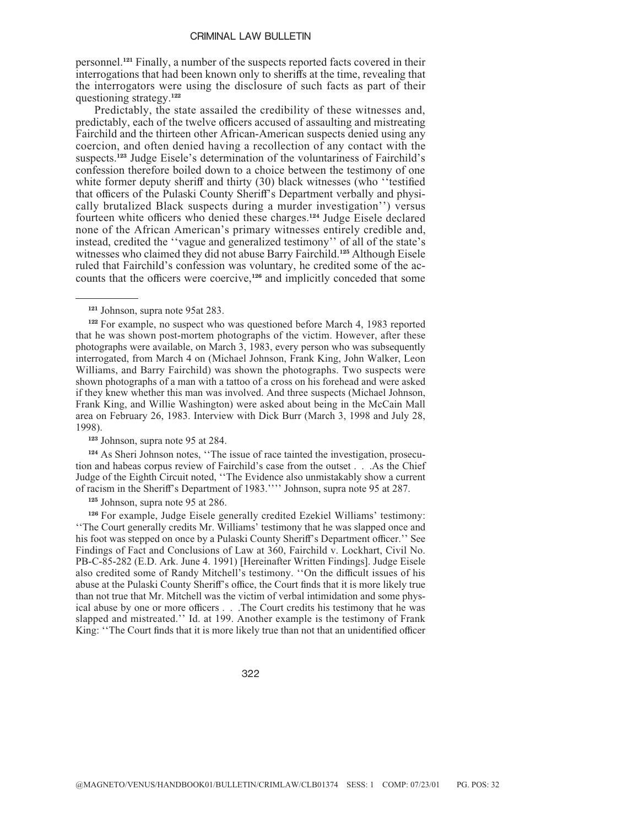personnel.**<sup>121</sup>** Finally, a number of the suspects reported facts covered in their interrogations that had been known only to sheriffs at the time, revealing that the interrogators were using the disclosure of such facts as part of their questioning strategy.**<sup>122</sup>**

Predictably, the state assailed the credibility of these witnesses and, predictably, each of the twelve officers accused of assaulting and mistreating Fairchild and the thirteen other African-American suspects denied using any coercion, and often denied having a recollection of any contact with the suspects.**<sup>123</sup>** Judge Eisele's determination of the voluntariness of Fairchild's confession therefore boiled down to a choice between the testimony of one white former deputy sheriff and thirty (30) black witnesses (who "testified that officers of the Pulaski County Sheriff's Department verbally and physically brutalized Black suspects during a murder investigation'') versus fourteen white officers who denied these charges.<sup>124</sup> Judge Eisele declared none of the African American's primary witnesses entirely credible and, instead, credited the ''vague and generalized testimony'' of all of the state's witnesses who claimed they did not abuse Barry Fairchild.**<sup>125</sup>** Although Eisele ruled that Fairchild's confession was voluntary, he credited some of the accounts that the officers were coercive,<sup>126</sup> and implicitly conceded that some

**<sup>123</sup>** Johnson, supra note 95 at 284.

**<sup>124</sup>** As Sheri Johnson notes, ''The issue of race tainted the investigation, prosecution and habeas corpus review of Fairchild's case from the outset . . .As the Chief Judge of the Eighth Circuit noted, ''The Evidence also unmistakably show a current of racism in the Sheriff's Department of 1983.'''' Johnson, supra note 95 at 287.

**<sup>125</sup>** Johnson, supra note 95 at 286.

**<sup>126</sup>** For example, Judge Eisele generally credited Ezekiel Williams' testimony: ''The Court generally credits Mr. Williams' testimony that he was slapped once and his foot was stepped on once by a Pulaski County Sheriff's Department officer." See Findings of Fact and Conclusions of Law at 360, Fairchild v. Lockhart, Civil No. PB-C-85-282 (E.D. Ark. June 4. 1991) [Hereinafter Written Findings]. Judge Eisele also credited some of Randy Mitchell's testimony. "On the difficult issues of his abuse at the Pulaski County Sheriff's office, the Court finds that it is more likely true than not true that Mr. Mitchell was the victim of verbal intimidation and some physical abuse by one or more officers . . . The Court credits his testimony that he was slapped and mistreated.'' Id. at 199. Another example is the testimony of Frank King: "The Court finds that it is more likely true than not that an unidentified officer

**<sup>121</sup>** Johnson, supra note 95at 283.

**<sup>122</sup>** For example, no suspect who was questioned before March 4, 1983 reported that he was shown post-mortem photographs of the victim. However, after these photographs were available, on March 3, 1983, every person who was subsequently interrogated, from March 4 on (Michael Johnson, Frank King, John Walker, Leon Williams, and Barry Fairchild) was shown the photographs. Two suspects were shown photographs of a man with a tattoo of a cross on his forehead and were asked if they knew whether this man was involved. And three suspects (Michael Johnson, Frank King, and Willie Washington) were asked about being in the McCain Mall area on February 26, 1983. Interview with Dick Burr (March 3, 1998 and July 28, 1998).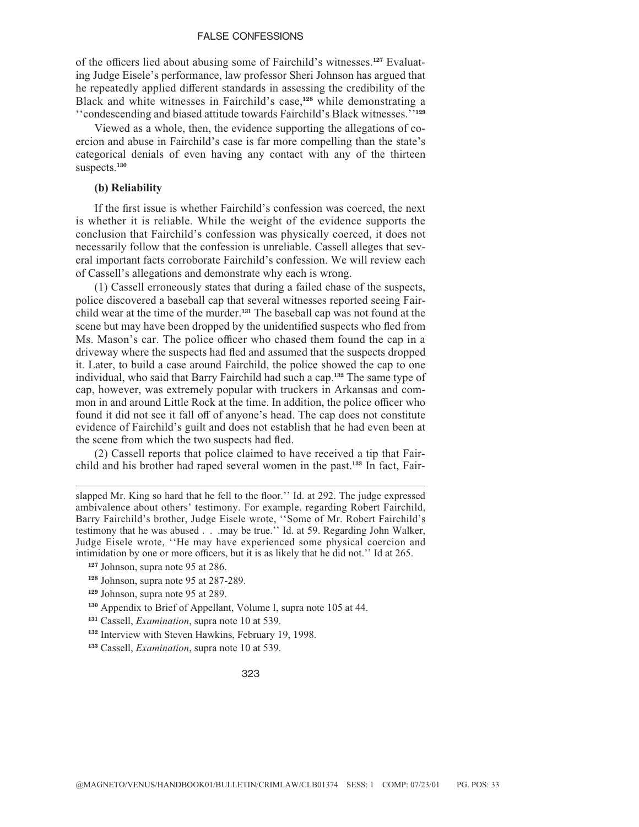of the officers lied about abusing some of Fairchild's witnesses.<sup>127</sup> Evaluating Judge Eisele's performance, law professor Sheri Johnson has argued that he repeatedly applied different standards in assessing the credibility of the Black and white witnesses in Fairchild's case,**<sup>128</sup>** while demonstrating a ''condescending and biased attitude towards Fairchild's Black witnesses.''**<sup>129</sup>**

Viewed as a whole, then, the evidence supporting the allegations of coercion and abuse in Fairchild's case is far more compelling than the state's categorical denials of even having any contact with any of the thirteen suspects.**<sup>130</sup>**

#### **(b) Reliability**

If the first issue is whether Fairchild's confession was coerced, the next is whether it is reliable. While the weight of the evidence supports the conclusion that Fairchild's confession was physically coerced, it does not necessarily follow that the confession is unreliable. Cassell alleges that several important facts corroborate Fairchild's confession. We will review each of Cassell's allegations and demonstrate why each is wrong.

(1) Cassell erroneously states that during a failed chase of the suspects, police discovered a baseball cap that several witnesses reported seeing Fairchild wear at the time of the murder.**<sup>131</sup>** The baseball cap was not found at the scene but may have been dropped by the unidentified suspects who fled from Ms. Mason's car. The police officer who chased them found the cap in a driveway where the suspects had fled and assumed that the suspects dropped it. Later, to build a case around Fairchild, the police showed the cap to one individual, who said that Barry Fairchild had such a cap.**<sup>132</sup>** The same type of cap, however, was extremely popular with truckers in Arkansas and common in and around Little Rock at the time. In addition, the police officer who found it did not see it fall off of anyone's head. The cap does not constitute evidence of Fairchild's guilt and does not establish that he had even been at the scene from which the two suspects had fled.

(2) Cassell reports that police claimed to have received a tip that Fairchild and his brother had raped several women in the past.**<sup>133</sup>** In fact, Fair-

slapped Mr. King so hard that he fell to the floor." Id. at 292. The judge expressed ambivalence about others' testimony. For example, regarding Robert Fairchild, Barry Fairchild's brother, Judge Eisele wrote, ''Some of Mr. Robert Fairchild's testimony that he was abused . . .may be true.'' Id. at 59. Regarding John Walker, Judge Eisele wrote, ''He may have experienced some physical coercion and intimidation by one or more officers, but it is as likely that he did not." Id at 265.

**<sup>127</sup>** Johnson, supra note 95 at 286.

**<sup>128</sup>** Johnson, supra note 95 at 287-289.

**<sup>129</sup>** Johnson, supra note 95 at 289.

**<sup>130</sup>** Appendix to Brief of Appellant, Volume I, supra note 105 at 44.

**<sup>131</sup>** Cassell, *Examination*, supra note 10 at 539.

**<sup>132</sup>** Interview with Steven Hawkins, February 19, 1998.

**<sup>133</sup>** Cassell, *Examination*, supra note 10 at 539.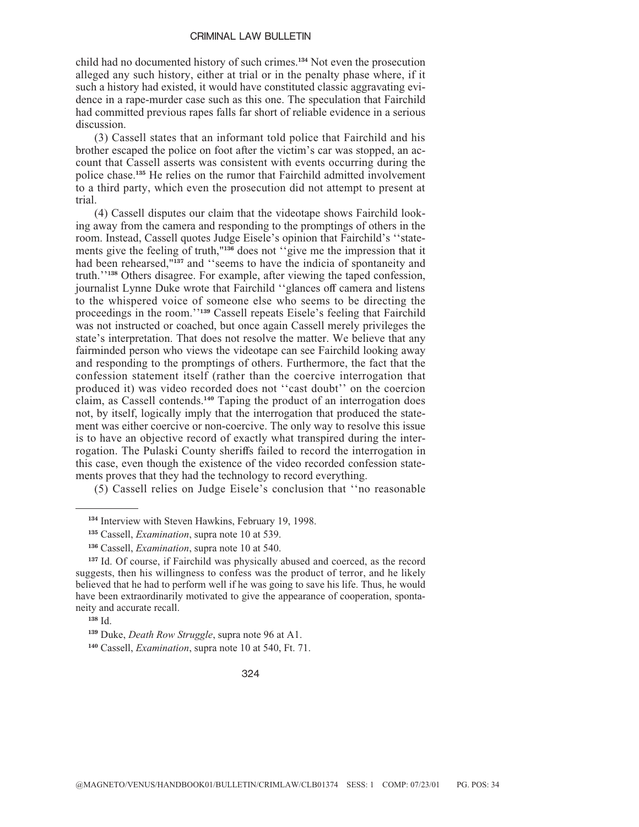child had no documented history of such crimes.**<sup>134</sup>** Not even the prosecution alleged any such history, either at trial or in the penalty phase where, if it such a history had existed, it would have constituted classic aggravating evidence in a rape-murder case such as this one. The speculation that Fairchild had committed previous rapes falls far short of reliable evidence in a serious discussion.

(3) Cassell states that an informant told police that Fairchild and his brother escaped the police on foot after the victim's car was stopped, an account that Cassell asserts was consistent with events occurring during the police chase.**<sup>135</sup>** He relies on the rumor that Fairchild admitted involvement to a third party, which even the prosecution did not attempt to present at trial.

(4) Cassell disputes our claim that the videotape shows Fairchild looking away from the camera and responding to the promptings of others in the room. Instead, Cassell quotes Judge Eisele's opinion that Fairchild's ''statements give the feeling of truth,"**<sup>136</sup>** does not ''give me the impression that it had been rehearsed,"**<sup>137</sup>** and ''seems to have the indicia of spontaneity and truth.''**<sup>138</sup>** Others disagree. For example, after viewing the taped confession, journalist Lynne Duke wrote that Fairchild "glances off camera and listens to the whispered voice of someone else who seems to be directing the proceedings in the room.''**<sup>139</sup>** Cassell repeats Eisele's feeling that Fairchild was not instructed or coached, but once again Cassell merely privileges the state's interpretation. That does not resolve the matter. We believe that any fairminded person who views the videotape can see Fairchild looking away and responding to the promptings of others. Furthermore, the fact that the confession statement itself (rather than the coercive interrogation that produced it) was video recorded does not ''cast doubt'' on the coercion claim, as Cassell contends.**<sup>140</sup>** Taping the product of an interrogation does not, by itself, logically imply that the interrogation that produced the statement was either coercive or non-coercive. The only way to resolve this issue is to have an objective record of exactly what transpired during the interrogation. The Pulaski County sheriffs failed to record the interrogation in this case, even though the existence of the video recorded confession statements proves that they had the technology to record everything.

(5) Cassell relies on Judge Eisele's conclusion that ''no reasonable

**<sup>134</sup>** Interview with Steven Hawkins, February 19, 1998.

**<sup>135</sup>** Cassell, *Examination*, supra note 10 at 539.

**<sup>136</sup>** Cassell, *Examination*, supra note 10 at 540.

**<sup>137</sup>** Id. Of course, if Fairchild was physically abused and coerced, as the record suggests, then his willingness to confess was the product of terror, and he likely believed that he had to perform well if he was going to save his life. Thus, he would have been extraordinarily motivated to give the appearance of cooperation, spontaneity and accurate recall.

**<sup>138</sup>** Id.

**<sup>139</sup>** Duke, *Death Row Struggle*, supra note 96 at A1.

**<sup>140</sup>** Cassell, *Examination*, supra note 10 at 540, Ft. 71.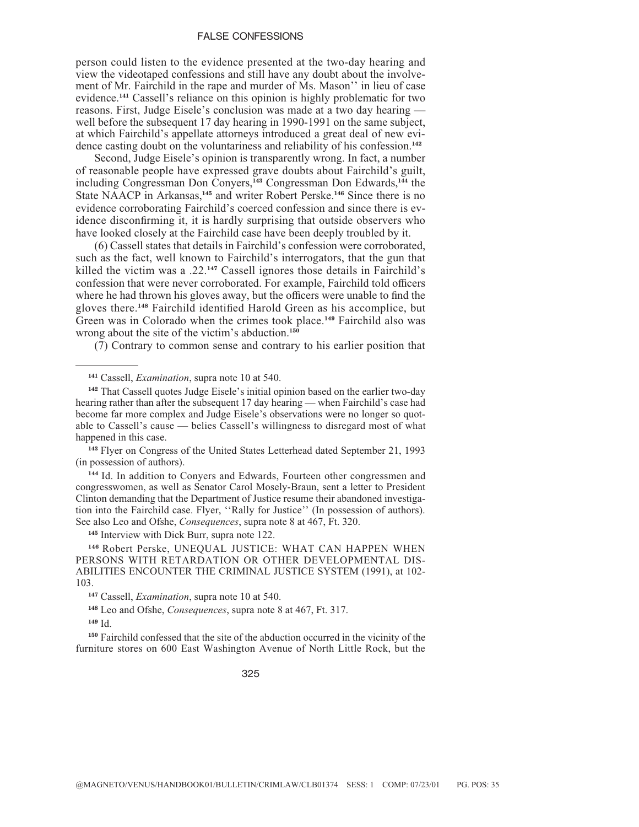person could listen to the evidence presented at the two-day hearing and view the videotaped confessions and still have any doubt about the involvement of Mr. Fairchild in the rape and murder of Ms. Mason'' in lieu of case evidence.**<sup>141</sup>** Cassell's reliance on this opinion is highly problematic for two reasons. First, Judge Eisele's conclusion was made at a two day hearing well before the subsequent 17 day hearing in 1990-1991 on the same subject, at which Fairchild's appellate attorneys introduced a great deal of new evidence casting doubt on the voluntariness and reliability of his confession.**<sup>142</sup>**

Second, Judge Eisele's opinion is transparently wrong. In fact, a number of reasonable people have expressed grave doubts about Fairchild's guilt, including Congressman Don Conyers,**<sup>143</sup>** Congressman Don Edwards,**<sup>144</sup>** the State NAACP in Arkansas,**<sup>145</sup>** and writer Robert Perske.**<sup>146</sup>** Since there is no evidence corroborating Fairchild's coerced confession and since there is evidence disconfirming it, it is hardly surprising that outside observers who have looked closely at the Fairchild case have been deeply troubled by it.

(6) Cassell states that details in Fairchild's confession were corroborated, such as the fact, well known to Fairchild's interrogators, that the gun that killed the victim was a .22.**<sup>147</sup>** Cassell ignores those details in Fairchild's confession that were never corroborated. For example, Fairchild told officers where he had thrown his gloves away, but the officers were unable to find the gloves there.<sup>148</sup> Fairchild identified Harold Green as his accomplice, but Green was in Colorado when the crimes took place.**<sup>149</sup>** Fairchild also was wrong about the site of the victim's abduction.**<sup>150</sup>**

(7) Contrary to common sense and contrary to his earlier position that

**<sup>143</sup>** Flyer on Congress of the United States Letterhead dated September 21, 1993 (in possession of authors).

**<sup>144</sup>** Id. In addition to Conyers and Edwards, Fourteen other congressmen and congresswomen, as well as Senator Carol Mosely-Braun, sent a letter to President Clinton demanding that the Department of Justice resume their abandoned investigation into the Fairchild case. Flyer, ''Rally for Justice'' (In possession of authors). See also Leo and Ofshe, *Consequences*, supra note 8 at 467, Ft. 320.

**<sup>145</sup>** Interview with Dick Burr, supra note 122.

**<sup>146</sup>** Robert Perske, UNEQUAL JUSTICE: WHAT CAN HAPPEN WHEN PERSONS WITH RETARDATION OR OTHER DEVELOPMENTAL DIS-ABILITIES ENCOUNTER THE CRIMINAL JUSTICE SYSTEM (1991), at 102- 103.

**<sup>148</sup>** Leo and Ofshe, *Consequences*, supra note 8 at 467, Ft. 317.

**<sup>149</sup>** Id.

**<sup>150</sup>** Fairchild confessed that the site of the abduction occurred in the vicinity of the furniture stores on 600 East Washington Avenue of North Little Rock, but the

**<sup>141</sup>** Cassell, *Examination*, supra note 10 at 540.

**<sup>142</sup>** That Cassell quotes Judge Eisele's initial opinion based on the earlier two-day hearing rather than after the subsequent 17 day hearing — when Fairchild's case had become far more complex and Judge Eisele's observations were no longer so quotable to Cassell's cause — belies Cassell's willingness to disregard most of what happened in this case.

**<sup>147</sup>** Cassell, *Examination*, supra note 10 at 540.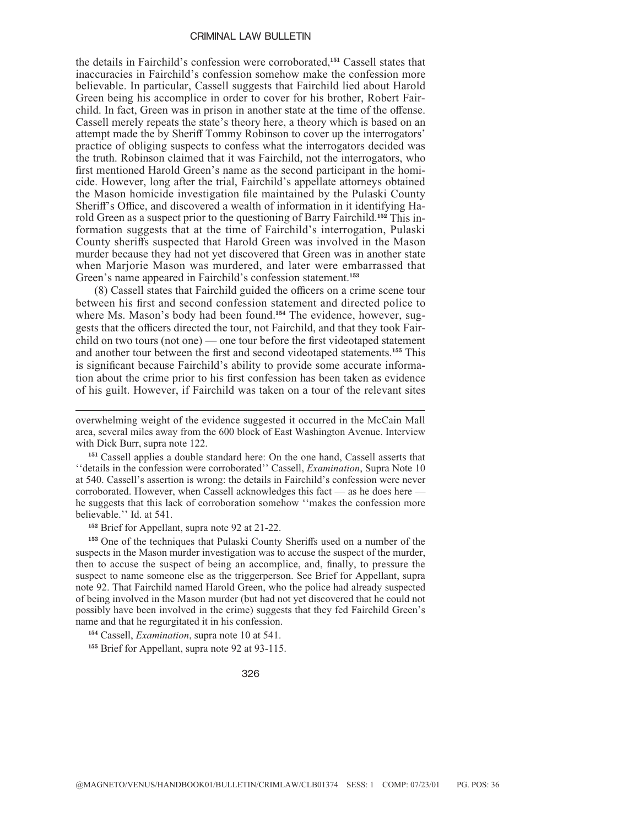the details in Fairchild's confession were corroborated,**<sup>151</sup>** Cassell states that inaccuracies in Fairchild's confession somehow make the confession more believable. In particular, Cassell suggests that Fairchild lied about Harold Green being his accomplice in order to cover for his brother, Robert Fairchild. In fact, Green was in prison in another state at the time of the offense. Cassell merely repeats the state's theory here, a theory which is based on an attempt made the by Sheriff Tommy Robinson to cover up the interrogators' practice of obliging suspects to confess what the interrogators decided was the truth. Robinson claimed that it was Fairchild, not the interrogators, who first mentioned Harold Green's name as the second participant in the homicide. However, long after the trial, Fairchild's appellate attorneys obtained the Mason homicide investigation file maintained by the Pulaski County Sheriff's Office, and discovered a wealth of information in it identifying Harold Green as a suspect prior to the questioning of Barry Fairchild.**<sup>152</sup>** This information suggests that at the time of Fairchild's interrogation, Pulaski County sheriffs suspected that Harold Green was involved in the Mason murder because they had not yet discovered that Green was in another state when Marjorie Mason was murdered, and later were embarrassed that Green's name appeared in Fairchild's confession statement.**<sup>153</sup>**

(8) Cassell states that Fairchild guided the officers on a crime scene tour between his first and second confession statement and directed police to where Ms. Mason's body had been found.**<sup>154</sup>** The evidence, however, suggests that the officers directed the tour, not Fairchild, and that they took Fairchild on two tours (not one) — one tour before the first videotaped statement and another tour between the first and second videotaped statements.<sup>155</sup> This is signicant because Fairchild's ability to provide some accurate information about the crime prior to his first confession has been taken as evidence of his guilt. However, if Fairchild was taken on a tour of the relevant sites

**<sup>151</sup>** Cassell applies a double standard here: On the one hand, Cassell asserts that ''details in the confession were corroborated'' Cassell, *Examination*, Supra Note 10 at 540. Cassell's assertion is wrong: the details in Fairchild's confession were never corroborated. However, when Cassell acknowledges this fact — as he does here he suggests that this lack of corroboration somehow ''makes the confession more believable.'' Id. at 541.

**<sup>152</sup>** Brief for Appellant, supra note 92 at 21-22.

<sup>153</sup> One of the techniques that Pulaski County Sheriffs used on a number of the suspects in the Mason murder investigation was to accuse the suspect of the murder, then to accuse the suspect of being an accomplice, and, finally, to pressure the suspect to name someone else as the triggerperson. See Brief for Appellant, supra note 92. That Fairchild named Harold Green, who the police had already suspected of being involved in the Mason murder (but had not yet discovered that he could not possibly have been involved in the crime) suggests that they fed Fairchild Green's name and that he regurgitated it in his confession.

**<sup>154</sup>** Cassell, *Examination*, supra note 10 at 541.

**<sup>155</sup>** Brief for Appellant, supra note 92 at 93-115.

overwhelming weight of the evidence suggested it occurred in the McCain Mall area, several miles away from the 600 block of East Washington Avenue. Interview with Dick Burr, supra note 122.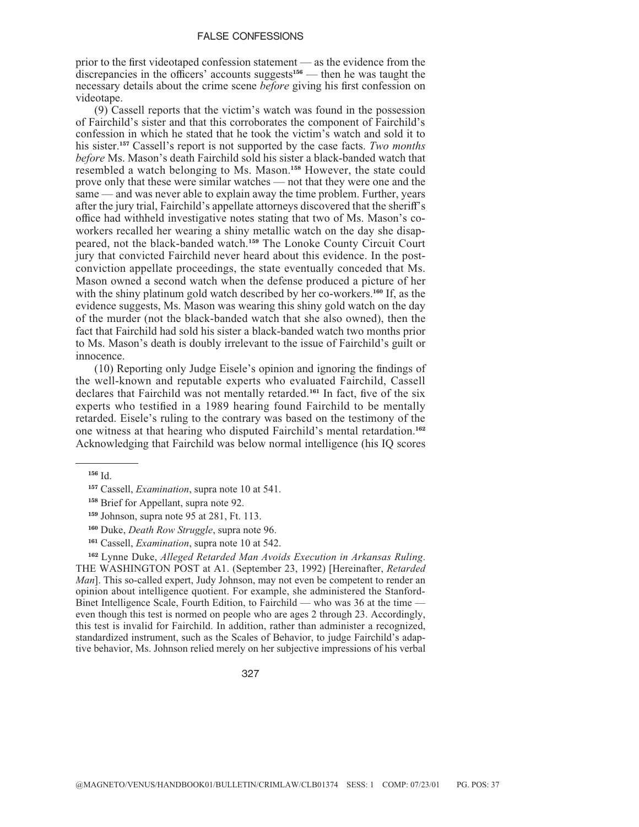prior to the first videotaped confession statement — as the evidence from the discrepancies in the officers' accounts suggests<sup>156</sup> — then he was taught the necessary details about the crime scene *before* giving his first confession on videotape.

(9) Cassell reports that the victim's watch was found in the possession of Fairchild's sister and that this corroborates the component of Fairchild's confession in which he stated that he took the victim's watch and sold it to his sister.**<sup>157</sup>** Cassell's report is not supported by the case facts. *Two months before* Ms. Mason's death Fairchild sold his sister a black-banded watch that resembled a watch belonging to Ms. Mason.**<sup>158</sup>** However, the state could prove only that these were similar watches — not that they were one and the same — and was never able to explain away the time problem. Further, years after the jury trial, Fairchild's appellate attorneys discovered that the sheriff's office had withheld investigative notes stating that two of Ms. Mason's coworkers recalled her wearing a shiny metallic watch on the day she disappeared, not the black-banded watch.**<sup>159</sup>** The Lonoke County Circuit Court jury that convicted Fairchild never heard about this evidence. In the postconviction appellate proceedings, the state eventually conceded that Ms. Mason owned a second watch when the defense produced a picture of her with the shiny platinum gold watch described by her co-workers.**<sup>160</sup>** If, as the evidence suggests, Ms. Mason was wearing this shiny gold watch on the day of the murder (not the black-banded watch that she also owned), then the fact that Fairchild had sold his sister a black-banded watch two months prior to Ms. Mason's death is doubly irrelevant to the issue of Fairchild's guilt or innocence.

 $(10)$  Reporting only Judge Eisele's opinion and ignoring the findings of the well-known and reputable experts who evaluated Fairchild, Cassell declares that Fairchild was not mentally retarded.<sup>161</sup> In fact, five of the six experts who testified in a 1989 hearing found Fairchild to be mentally retarded. Eisele's ruling to the contrary was based on the testimony of the one witness at that hearing who disputed Fairchild's mental retardation.**<sup>162</sup>** Acknowledging that Fairchild was below normal intelligence (his IQ scores

**<sup>161</sup>** Cassell, *Examination*, supra note 10 at 542.

**<sup>162</sup>** Lynne Duke, *Alleged Retarded Man Avoids Execution in Arkansas Ruling*. THE WASHINGTON POST at A1. (September 23, 1992) [Hereinafter, *Retarded Man*]. This so-called expert, Judy Johnson, may not even be competent to render an opinion about intelligence quotient. For example, she administered the Stanford-Binet Intelligence Scale, Fourth Edition, to Fairchild — who was 36 at the time even though this test is normed on people who are ages 2 through 23. Accordingly, this test is invalid for Fairchild. In addition, rather than administer a recognized, standardized instrument, such as the Scales of Behavior, to judge Fairchild's adaptive behavior, Ms. Johnson relied merely on her subjective impressions of his verbal

**<sup>156</sup>** Id.

**<sup>157</sup>** Cassell, *Examination*, supra note 10 at 541.

**<sup>158</sup>** Brief for Appellant, supra note 92.

**<sup>159</sup>** Johnson, supra note 95 at 281, Ft. 113.

**<sup>160</sup>** Duke, *Death Row Struggle*, supra note 96.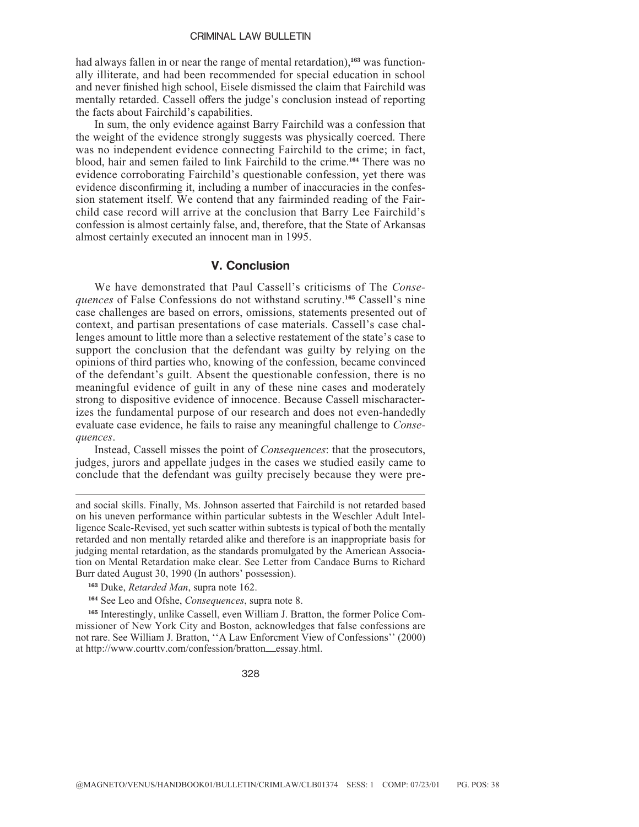had always fallen in or near the range of mental retardation),**<sup>163</sup>** was functionally illiterate, and had been recommended for special education in school and never finished high school, Eisele dismissed the claim that Fairchild was mentally retarded. Cassell offers the judge's conclusion instead of reporting the facts about Fairchild's capabilities.

In sum, the only evidence against Barry Fairchild was a confession that the weight of the evidence strongly suggests was physically coerced. There was no independent evidence connecting Fairchild to the crime; in fact, blood, hair and semen failed to link Fairchild to the crime.**<sup>164</sup>** There was no evidence corroborating Fairchild's questionable confession, yet there was evidence disconfirming it, including a number of inaccuracies in the confession statement itself. We contend that any fairminded reading of the Fairchild case record will arrive at the conclusion that Barry Lee Fairchild's confession is almost certainly false, and, therefore, that the State of Arkansas almost certainly executed an innocent man in 1995.

# **V. Conclusion**

We have demonstrated that Paul Cassell's criticisms of The *Consequences* of False Confessions do not withstand scrutiny.**<sup>165</sup>** Cassell's nine case challenges are based on errors, omissions, statements presented out of context, and partisan presentations of case materials. Cassell's case challenges amount to little more than a selective restatement of the state's case to support the conclusion that the defendant was guilty by relying on the opinions of third parties who, knowing of the confession, became convinced of the defendant's guilt. Absent the questionable confession, there is no meaningful evidence of guilt in any of these nine cases and moderately strong to dispositive evidence of innocence. Because Cassell mischaracterizes the fundamental purpose of our research and does not even-handedly evaluate case evidence, he fails to raise any meaningful challenge to *Consequences*.

Instead, Cassell misses the point of *Consequences*: that the prosecutors, judges, jurors and appellate judges in the cases we studied easily came to conclude that the defendant was guilty precisely because they were pre-

and social skills. Finally, Ms. Johnson asserted that Fairchild is not retarded based on his uneven performance within particular subtests in the Weschler Adult Intelligence Scale-Revised, yet such scatter within subtests is typical of both the mentally retarded and non mentally retarded alike and therefore is an inappropriate basis for judging mental retardation, as the standards promulgated by the American Association on Mental Retardation make clear. See Letter from Candace Burns to Richard Burr dated August 30, 1990 (In authors' possession).

**<sup>163</sup>** Duke, *Retarded Man*, supra note 162.

**<sup>164</sup>** See Leo and Ofshe, *Consequences*, supra note 8.

**<sup>165</sup>** Interestingly, unlike Cassell, even William J. Bratton, the former Police Commissioner of New York City and Boston, acknowledges that false confessions are not rare. See William J. Bratton, ''A Law Enforcment View of Confessions'' (2000) at http://www.courttv.com/confession/bratton\_essay.html.

328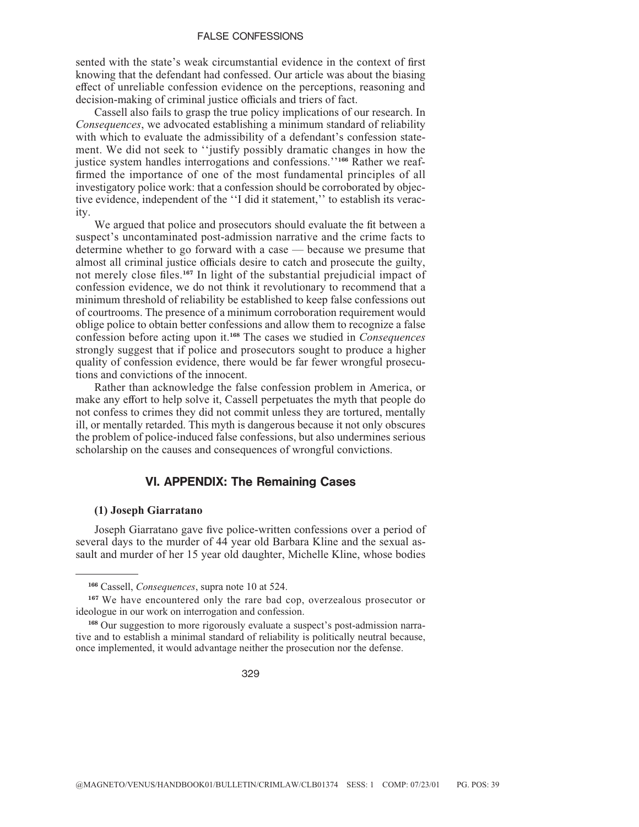sented with the state's weak circumstantial evidence in the context of first knowing that the defendant had confessed. Our article was about the biasing effect of unreliable confession evidence on the perceptions, reasoning and decision-making of criminal justice officials and triers of fact.

Cassell also fails to grasp the true policy implications of our research. In *Consequences*, we advocated establishing a minimum standard of reliability with which to evaluate the admissibility of a defendant's confession statement. We did not seek to ''justify possibly dramatic changes in how the justice system handles interrogations and confessions.''**<sup>166</sup>** Rather we reaf firmed the importance of one of the most fundamental principles of all investigatory police work: that a confession should be corroborated by objective evidence, independent of the ''I did it statement,'' to establish its veracity.

We argued that police and prosecutors should evaluate the fit between a suspect's uncontaminated post-admission narrative and the crime facts to determine whether to go forward with a case — because we presume that almost all criminal justice officials desire to catch and prosecute the guilty, not merely close files.<sup>167</sup> In light of the substantial prejudicial impact of confession evidence, we do not think it revolutionary to recommend that a minimum threshold of reliability be established to keep false confessions out of courtrooms. The presence of a minimum corroboration requirement would oblige police to obtain better confessions and allow them to recognize a false confession before acting upon it.**<sup>168</sup>** The cases we studied in *Consequences* strongly suggest that if police and prosecutors sought to produce a higher quality of confession evidence, there would be far fewer wrongful prosecutions and convictions of the innocent.

Rather than acknowledge the false confession problem in America, or make any effort to help solve it, Cassell perpetuates the myth that people do not confess to crimes they did not commit unless they are tortured, mentally ill, or mentally retarded. This myth is dangerous because it not only obscures the problem of police-induced false confessions, but also undermines serious scholarship on the causes and consequences of wrongful convictions.

# **VI. APPENDIX: The Remaining Cases**

# **(1) Joseph Giarratano**

Joseph Giarratano gave five police-written confessions over a period of several days to the murder of 44 year old Barbara Kline and the sexual assault and murder of her 15 year old daughter, Michelle Kline, whose bodies

**<sup>166</sup>** Cassell, *Consequences*, supra note 10 at 524.

<sup>&</sup>lt;sup>167</sup> We have encountered only the rare bad cop, overzealous prosecutor or ideologue in our work on interrogation and confession.

**<sup>168</sup>** Our suggestion to more rigorously evaluate a suspect's post-admission narrative and to establish a minimal standard of reliability is politically neutral because, once implemented, it would advantage neither the prosecution nor the defense.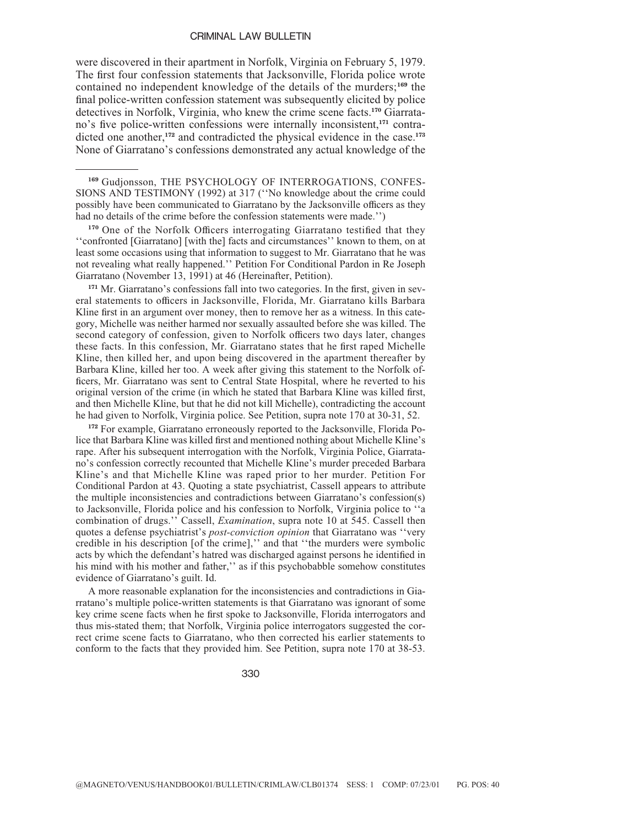were discovered in their apartment in Norfolk, Virginia on February 5, 1979. The first four confession statements that Jacksonville, Florida police wrote contained no independent knowledge of the details of the murders;**<sup>169</sup>** the final police-written confession statement was subsequently elicited by police detectives in Norfolk, Virginia, who knew the crime scene facts.**<sup>170</sup>** Giarratano's five police-written confessions were internally inconsistent,<sup>171</sup> contradicted one another,**<sup>172</sup>** and contradicted the physical evidence in the case.**<sup>173</sup>** None of Giarratano's confessions demonstrated any actual knowledge of the

<sup>170</sup> One of the Norfolk Officers interrogating Giarratano testified that they ''confronted [Giarratano] [with the] facts and circumstances'' known to them, on at least some occasions using that information to suggest to Mr. Giarratano that he was not revealing what really happened.'' Petition For Conditional Pardon in Re Joseph Giarratano (November 13, 1991) at 46 (Hereinafter, Petition).

<sup>171</sup> Mr. Giarratano's confessions fall into two categories. In the first, given in several statements to officers in Jacksonville, Florida, Mr. Giarratano kills Barbara Kline first in an argument over money, then to remove her as a witness. In this category, Michelle was neither harmed nor sexually assaulted before she was killed. The second category of confession, given to Norfolk officers two days later, changes these facts. In this confession, Mr. Giarratano states that he first raped Michelle Kline, then killed her, and upon being discovered in the apartment thereafter by Barbara Kline, killed her too. A week after giving this statement to the Norfolk of ficers, Mr. Giarratano was sent to Central State Hospital, where he reverted to his original version of the crime (in which he stated that Barbara Kline was killed first, and then Michelle Kline, but that he did not kill Michelle), contradicting the account he had given to Norfolk, Virginia police. See Petition, supra note 170 at 30-31, 52.

**<sup>172</sup>** For example, Giarratano erroneously reported to the Jacksonville, Florida Police that Barbara Kline was killed first and mentioned nothing about Michelle Kline's rape. After his subsequent interrogation with the Norfolk, Virginia Police, Giarratano's confession correctly recounted that Michelle Kline's murder preceded Barbara Kline's and that Michelle Kline was raped prior to her murder. Petition For Conditional Pardon at 43. Quoting a state psychiatrist, Cassell appears to attribute the multiple inconsistencies and contradictions between Giarratano's confession(s) to Jacksonville, Florida police and his confession to Norfolk, Virginia police to ''a combination of drugs.'' Cassell, *Examination*, supra note 10 at 545. Cassell then quotes a defense psychiatrist's *post-conviction opinion* that Giarratano was ''very credible in his description [of the crime],'' and that ''the murders were symbolic acts by which the defendant's hatred was discharged against persons he identified in his mind with his mother and father,'' as if this psychobabble somehow constitutes evidence of Giarratano's guilt. Id.

A more reasonable explanation for the inconsistencies and contradictions in Giarratano's multiple police-written statements is that Giarratano was ignorant of some key crime scene facts when he first spoke to Jacksonville, Florida interrogators and thus mis-stated them; that Norfolk, Virginia police interrogators suggested the correct crime scene facts to Giarratano, who then corrected his earlier statements to conform to the facts that they provided him. See Petition, supra note 170 at 38-53.

**<sup>169</sup>** Gudjonsson, THE PSYCHOLOGY OF INTERROGATIONS, CONFES-SIONS AND TESTIMONY (1992) at 317 (''No knowledge about the crime could possibly have been communicated to Giarratano by the Jacksonville officers as they had no details of the crime before the confession statements were made.'')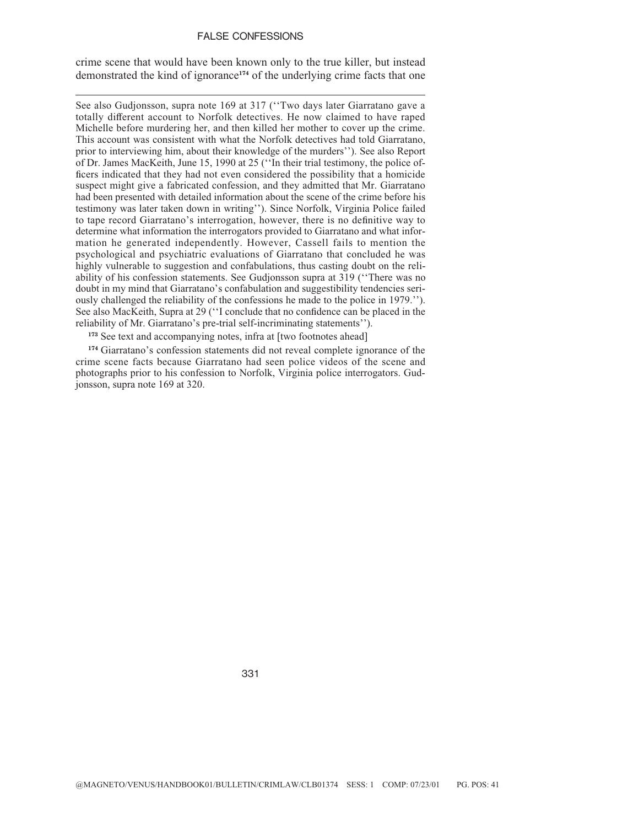crime scene that would have been known only to the true killer, but instead demonstrated the kind of ignorance**<sup>174</sup>** of the underlying crime facts that one

See also Gudjonsson, supra note 169 at 317 (''Two days later Giarratano gave a totally different account to Norfolk detectives. He now claimed to have raped Michelle before murdering her, and then killed her mother to cover up the crime. This account was consistent with what the Norfolk detectives had told Giarratano, prior to interviewing him, about their knowledge of the murders''). See also Report of Dr. James MacKeith, June 15, 1990 at 25 (''In their trial testimony, the police of ficers indicated that they had not even considered the possibility that a homicide suspect might give a fabricated confession, and they admitted that Mr. Giarratano had been presented with detailed information about the scene of the crime before his testimony was later taken down in writing''). Since Norfolk, Virginia Police failed to tape record Giarratano's interrogation, however, there is no denitive way to determine what information the interrogators provided to Giarratano and what information he generated independently. However, Cassell fails to mention the psychological and psychiatric evaluations of Giarratano that concluded he was highly vulnerable to suggestion and confabulations, thus casting doubt on the reliability of his confession statements. See Gudjonsson supra at 319 (''There was no doubt in my mind that Giarratano's confabulation and suggestibility tendencies seriously challenged the reliability of the confessions he made to the police in 1979.''). See also MacKeith, Supra at 29 ("I conclude that no confidence can be placed in the reliability of Mr. Giarratano's pre-trial self-incriminating statements'').

<sup>173</sup> See text and accompanying notes, infra at [two footnotes ahead]

**<sup>174</sup>** Giarratano's confession statements did not reveal complete ignorance of the crime scene facts because Giarratano had seen police videos of the scene and photographs prior to his confession to Norfolk, Virginia police interrogators. Gudjonsson, supra note 169 at 320.

331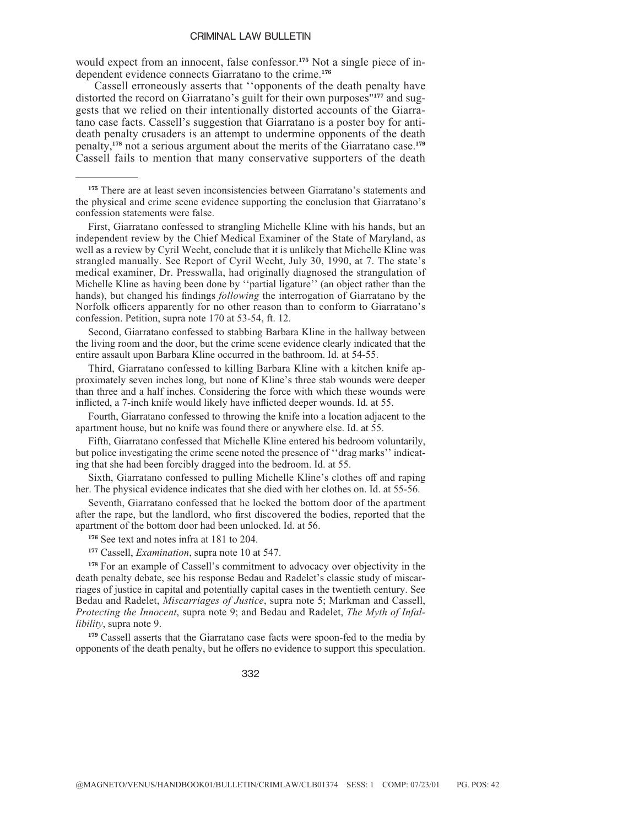would expect from an innocent, false confessor.**<sup>175</sup>** Not a single piece of independent evidence connects Giarratano to the crime.**<sup>176</sup>**

Cassell erroneously asserts that ''opponents of the death penalty have distorted the record on Giarratano's guilt for their own purposes"**<sup>177</sup>** and suggests that we relied on their intentionally distorted accounts of the Giarratano case facts. Cassell's suggestion that Giarratano is a poster boy for antideath penalty crusaders is an attempt to undermine opponents of the death penalty,**<sup>178</sup>** not a serious argument about the merits of the Giarratano case.**<sup>179</sup>** Cassell fails to mention that many conservative supporters of the death

Second, Giarratano confessed to stabbing Barbara Kline in the hallway between the living room and the door, but the crime scene evidence clearly indicated that the entire assault upon Barbara Kline occurred in the bathroom. Id. at 54-55.

Third, Giarratano confessed to killing Barbara Kline with a kitchen knife approximately seven inches long, but none of Kline's three stab wounds were deeper than three and a half inches. Considering the force with which these wounds were inflicted, a 7-inch knife would likely have inflicted deeper wounds. Id. at 55.

Fourth, Giarratano confessed to throwing the knife into a location adjacent to the apartment house, but no knife was found there or anywhere else. Id. at 55.

Fifth, Giarratano confessed that Michelle Kline entered his bedroom voluntarily, but police investigating the crime scene noted the presence of ''drag marks'' indicating that she had been forcibly dragged into the bedroom. Id. at 55.

Sixth, Giarratano confessed to pulling Michelle Kline's clothes off and raping her. The physical evidence indicates that she died with her clothes on. Id. at 55-56.

Seventh, Giarratano confessed that he locked the bottom door of the apartment after the rape, but the landlord, who first discovered the bodies, reported that the apartment of the bottom door had been unlocked. Id. at 56.

**<sup>176</sup>** See text and notes infra at 181 to 204.

**<sup>177</sup>** Cassell, *Examination*, supra note 10 at 547.

**<sup>178</sup>** For an example of Cassell's commitment to advocacy over objectivity in the death penalty debate, see his response Bedau and Radelet's classic study of miscarriages of justice in capital and potentially capital cases in the twentieth century. See Bedau and Radelet, *Miscarriages of Justice*, supra note 5; Markman and Cassell, *Protecting the Innocent*, supra note 9; and Bedau and Radelet, *The Myth of Infallibility*, supra note 9.

**<sup>179</sup>** Cassell asserts that the Giarratano case facts were spoon-fed to the media by opponents of the death penalty, but he offers no evidence to support this speculation.

**<sup>175</sup>** There are at least seven inconsistencies between Giarratano's statements and the physical and crime scene evidence supporting the conclusion that Giarratano's confession statements were false.

First, Giarratano confessed to strangling Michelle Kline with his hands, but an independent review by the Chief Medical Examiner of the State of Maryland, as well as a review by Cyril Wecht, conclude that it is unlikely that Michelle Kline was strangled manually. See Report of Cyril Wecht, July 30, 1990, at 7. The state's medical examiner, Dr. Presswalla, had originally diagnosed the strangulation of Michelle Kline as having been done by ''partial ligature'' (an object rather than the hands), but changed his findings *following* the interrogation of Giarratano by the Norfolk officers apparently for no other reason than to conform to Giarratano's confession. Petition, supra note 170 at 53-54, ft. 12.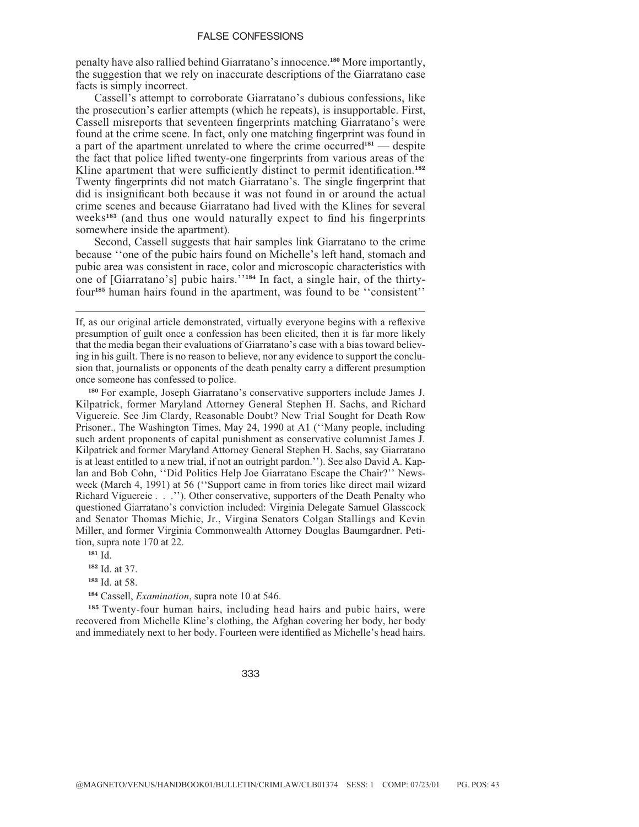penalty have also rallied behind Giarratano's innocence.**<sup>180</sup>** More importantly, the suggestion that we rely on inaccurate descriptions of the Giarratano case facts is simply incorrect.

Cassell's attempt to corroborate Giarratano's dubious confessions, like the prosecution's earlier attempts (which he repeats), is insupportable. First, Cassell misreports that seventeen fingerprints matching Giarratano's were found at the crime scene. In fact, only one matching fingerprint was found in a part of the apartment unrelated to where the crime occurred**<sup>181</sup>** — despite the fact that police lifted twenty-one fingerprints from various areas of the Kline apartment that were sufficiently distinct to permit identification.<sup>182</sup> Twenty fingerprints did not match Giarratano's. The single fingerprint that did is insignicant both because it was not found in or around the actual crime scenes and because Giarratano had lived with the Klines for several weeks<sup>183</sup> (and thus one would naturally expect to find his fingerprints somewhere inside the apartment).

Second, Cassell suggests that hair samples link Giarratano to the crime because ''one of the pubic hairs found on Michelle's left hand, stomach and pubic area was consistent in race, color and microscopic characteristics with one of [Giarratano's] pubic hairs.''**<sup>184</sup>** In fact, a single hair, of the thirtyfour**<sup>185</sup>** human hairs found in the apartment, was found to be ''consistent''

If, as our original article demonstrated, virtually everyone begins with a reflexive presumption of guilt once a confession has been elicited, then it is far more likely that the media began their evaluations of Giarratano's case with a bias toward believing in his guilt. There is no reason to believe, nor any evidence to support the conclusion that, journalists or opponents of the death penalty carry a different presumption once someone has confessed to police.

**<sup>180</sup>** For example, Joseph Giarratano's conservative supporters include James J. Kilpatrick, former Maryland Attorney General Stephen H. Sachs, and Richard Viguereie. See Jim Clardy, Reasonable Doubt? New Trial Sought for Death Row Prisoner., The Washington Times, May 24, 1990 at A1 (''Many people, including such ardent proponents of capital punishment as conservative columnist James J. Kilpatrick and former Maryland Attorney General Stephen H. Sachs, say Giarratano is at least entitled to a new trial, if not an outright pardon.''). See also David A. Kaplan and Bob Cohn, ''Did Politics Help Joe Giarratano Escape the Chair?'' Newsweek (March 4, 1991) at 56 (''Support came in from tories like direct mail wizard Richard Viguereie . . .''). Other conservative, supporters of the Death Penalty who questioned Giarratano's conviction included: Virginia Delegate Samuel Glasscock and Senator Thomas Michie, Jr., Virgina Senators Colgan Stallings and Kevin Miller, and former Virginia Commonwealth Attorney Douglas Baumgardner. Petition, supra note 170 at 22.

**<sup>181</sup>** Id.

**<sup>182</sup>** Id. at 37.

**<sup>183</sup>** Id. at 58.

**<sup>184</sup>** Cassell, *Examination*, supra note 10 at 546.

**<sup>185</sup>** Twenty-four human hairs, including head hairs and pubic hairs, were recovered from Michelle Kline's clothing, the Afghan covering her body, her body and immediately next to her body. Fourteen were identified as Michelle's head hairs.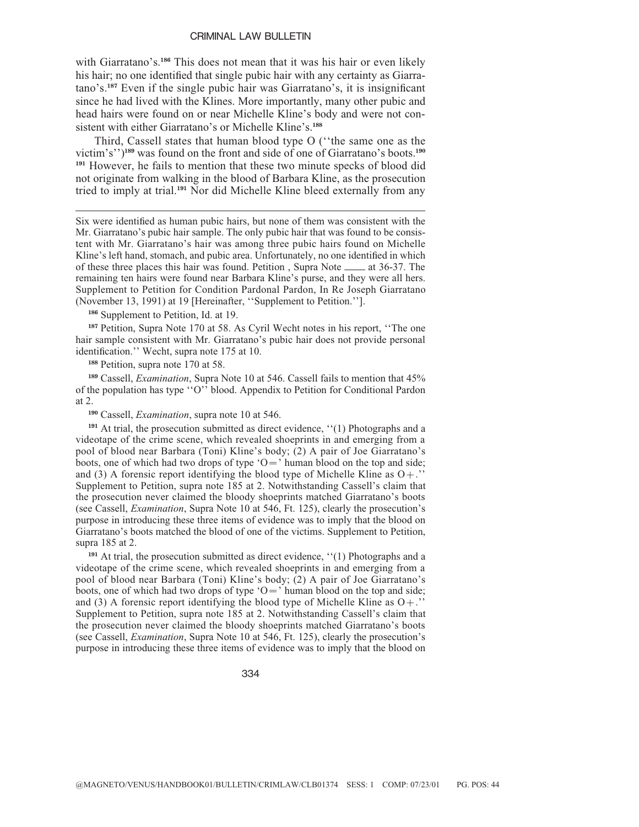#### CRIMINAL LAW BULLETIN

with Giarratano's.**<sup>186</sup>** This does not mean that it was his hair or even likely his hair; no one identified that single pubic hair with any certainty as Giarratano's.**<sup>187</sup>** Even if the single pubic hair was Giarratano's, it is insignicant since he had lived with the Klines. More importantly, many other pubic and head hairs were found on or near Michelle Kline's body and were not consistent with either Giarratano's or Michelle Kline's.**<sup>188</sup>**

Third, Cassell states that human blood type O (''the same one as the victim's'')**<sup>189</sup>** was found on the front and side of one of Giarratano's boots.**<sup>190</sup> <sup>191</sup>** However, he fails to mention that these two minute specks of blood did not originate from walking in the blood of Barbara Kline, as the prosecution tried to imply at trial.**<sup>191</sup>** Nor did Michelle Kline bleed externally from any

Six were identied as human pubic hairs, but none of them was consistent with the Mr. Giarratano's pubic hair sample. The only pubic hair that was found to be consistent with Mr. Giarratano's hair was among three pubic hairs found on Michelle Kline's left hand, stomach, and pubic area. Unfortunately, no one identified in which of these three places this hair was found. Petition, Supra Note  $\frac{1}{\sqrt{10}}$  at 36-37. The remaining ten hairs were found near Barbara Kline's purse, and they were all hers. Supplement to Petition for Condition Pardonal Pardon, In Re Joseph Giarratano (November 13, 1991) at 19 [Hereinafter, ''Supplement to Petition.''].

**<sup>186</sup>** Supplement to Petition, Id. at 19.

**<sup>187</sup>** Petition, Supra Note 170 at 58. As Cyril Wecht notes in his report, ''The one hair sample consistent with Mr. Giarratano's pubic hair does not provide personal identification." Wecht, supra note 175 at 10.

**<sup>188</sup>** Petition, supra note 170 at 58.

**<sup>189</sup>** Cassell, *Examination*, Supra Note 10 at 546. Cassell fails to mention that 45% of the population has type ''O'' blood. Appendix to Petition for Conditional Pardon at 2.

**<sup>190</sup>** Cassell, *Examination*, supra note 10 at 546.

<sup>191</sup> At trial, the prosecution submitted as direct evidence, "(1) Photographs and a videotape of the crime scene, which revealed shoeprints in and emerging from a pool of blood near Barbara (Toni) Kline's body; (2) A pair of Joe Giarratano's boots, one of which had two drops of type ' $O =$ ' human blood on the top and side; and (3) A forensic report identifying the blood type of Michelle Kline as  $O +$ .' Supplement to Petition, supra note 185 at 2. Notwithstanding Cassell's claim that the prosecution never claimed the bloody shoeprints matched Giarratano's boots (see Cassell, *Examination*, Supra Note 10 at 546, Ft. 125), clearly the prosecution's purpose in introducing these three items of evidence was to imply that the blood on Giarratano's boots matched the blood of one of the victims. Supplement to Petition, supra 185 at 2.

<sup>191</sup> At trial, the prosecution submitted as direct evidence, "(1) Photographs and a videotape of the crime scene, which revealed shoeprints in and emerging from a pool of blood near Barbara (Toni) Kline's body; (2) A pair of Joe Giarratano's boots, one of which had two drops of type ' $O =$ ' human blood on the top and side; and (3) A forensic report identifying the blood type of Michelle Kline as  $O +$ .'' Supplement to Petition, supra note 185 at 2. Notwithstanding Cassell's claim that the prosecution never claimed the bloody shoeprints matched Giarratano's boots (see Cassell, *Examination*, Supra Note 10 at 546, Ft. 125), clearly the prosecution's purpose in introducing these three items of evidence was to imply that the blood on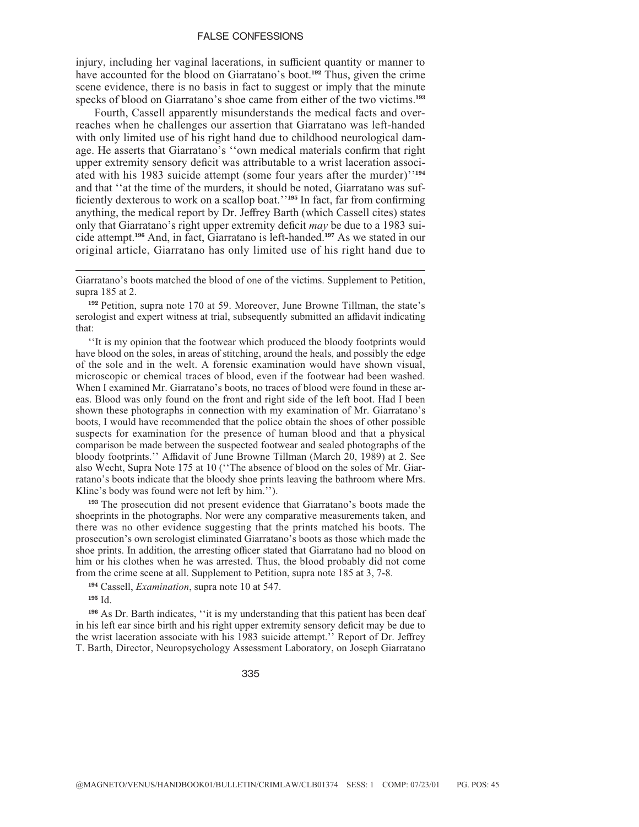injury, including her vaginal lacerations, in sufficient quantity or manner to have accounted for the blood on Giarratano's boot.**<sup>192</sup>** Thus, given the crime scene evidence, there is no basis in fact to suggest or imply that the minute specks of blood on Giarratano's shoe came from either of the two victims.**<sup>193</sup>**

Fourth, Cassell apparently misunderstands the medical facts and overreaches when he challenges our assertion that Giarratano was left-handed with only limited use of his right hand due to childhood neurological damage. He asserts that Giarratano's "own medical materials confirm that right upper extremity sensory deficit was attributable to a wrist laceration associ-ated with his 1983 suicide attempt (some four years after the murder)''**<sup>194</sup>** and that ''at the time of the murders, it should be noted, Giarratano was suf ficiently dexterous to work on a scallop boat.<sup>''195</sup> In fact, far from confirming anything, the medical report by Dr. Jeffrey Barth (which Cassell cites) states only that Giarratano's right upper extremity deficit *may* be due to a 1983 suicide attempt.**<sup>196</sup>** And, in fact, Giarratano is left-handed.**<sup>197</sup>** As we stated in our original article, Giarratano has only limited use of his right hand due to

Giarratano's boots matched the blood of one of the victims. Supplement to Petition, supra 185 at 2.

**<sup>192</sup>** Petition, supra note 170 at 59. Moreover, June Browne Tillman, the state's serologist and expert witness at trial, subsequently submitted an affidavit indicating that:

''It is my opinion that the footwear which produced the bloody footprints would have blood on the soles, in areas of stitching, around the heals, and possibly the edge of the sole and in the welt. A forensic examination would have shown visual, microscopic or chemical traces of blood, even if the footwear had been washed. When I examined Mr. Giarratano's boots, no traces of blood were found in these areas. Blood was only found on the front and right side of the left boot. Had I been shown these photographs in connection with my examination of Mr. Giarratano's boots, I would have recommended that the police obtain the shoes of other possible suspects for examination for the presence of human blood and that a physical comparison be made between the suspected footwear and sealed photographs of the bloody footprints." Affidavit of June Browne Tillman (March 20, 1989) at 2. See also Wecht, Supra Note 175 at 10 (''The absence of blood on the soles of Mr. Giarratano's boots indicate that the bloody shoe prints leaving the bathroom where Mrs. Kline's body was found were not left by him.'').

**<sup>193</sup>** The prosecution did not present evidence that Giarratano's boots made the shoeprints in the photographs. Nor were any comparative measurements taken, and there was no other evidence suggesting that the prints matched his boots. The prosecution's own serologist eliminated Giarratano's boots as those which made the shoe prints. In addition, the arresting officer stated that Giarratano had no blood on him or his clothes when he was arrested. Thus, the blood probably did not come from the crime scene at all. Supplement to Petition, supra note 185 at 3, 7-8.

**<sup>194</sup>** Cassell, *Examination*, supra note 10 at 547.

**<sup>195</sup>** Id.

<sup>196</sup> As Dr. Barth indicates, "it is my understanding that this patient has been deaf in his left ear since birth and his right upper extremity sensory deficit may be due to the wrist laceration associate with his 1983 suicide attempt.'' Report of Dr. Jerey T. Barth, Director, Neuropsychology Assessment Laboratory, on Joseph Giarratano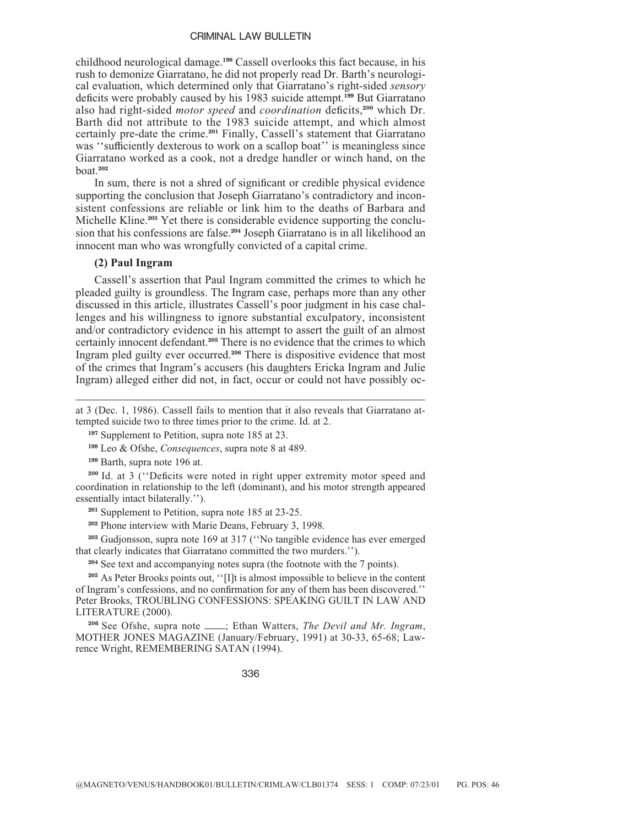childhood neurological damage.**<sup>198</sup>** Cassell overlooks this fact because, in his rush to demonize Giarratano, he did not properly read Dr. Barth's neurological evaluation, which determined only that Giarratano's right-sided *sensory* deficits were probably caused by his 1983 suicide attempt.<sup>199</sup> But Giarratano also had right-sided *motor speed* and *coordination* deficits,<sup>200</sup> which Dr. Barth did not attribute to the 1983 suicide attempt, and which almost certainly pre-date the crime.**<sup>201</sup>** Finally, Cassell's statement that Giarratano was "sufficiently dexterous to work on a scallop boat" is meaningless since Giarratano worked as a cook, not a dredge handler or winch hand, on the boat.**<sup>202</sup>**

In sum, there is not a shred of significant or credible physical evidence supporting the conclusion that Joseph Giarratano's contradictory and inconsistent confessions are reliable or link him to the deaths of Barbara and Michelle Kline.**<sup>203</sup>** Yet there is considerable evidence supporting the conclusion that his confessions are false.**<sup>204</sup>** Joseph Giarratano is in all likelihood an innocent man who was wrongfully convicted of a capital crime.

# **(2) Paul Ingram**

Cassell's assertion that Paul Ingram committed the crimes to which he pleaded guilty is groundless. The Ingram case, perhaps more than any other discussed in this article, illustrates Cassell's poor judgment in his case challenges and his willingness to ignore substantial exculpatory, inconsistent and/or contradictory evidence in his attempt to assert the guilt of an almost certainly innocent defendant.**<sup>205</sup>** There is no evidence that the crimes to which Ingram pled guilty ever occurred.**<sup>206</sup>** There is dispositive evidence that most of the crimes that Ingram's accusers (his daughters Ericka Ingram and Julie Ingram) alleged either did not, in fact, occur or could not have possibly oc-

at 3 (Dec. 1, 1986). Cassell fails to mention that it also reveals that Giarratano attempted suicide two to three times prior to the crime. Id. at 2.

**<sup>197</sup>** Supplement to Petition, supra note 185 at 23.

**<sup>198</sup>** Leo & Ofshe, *Consequences*, supra note 8 at 489.

**<sup>199</sup>** Barth, supra note 196 at.

<sup>200</sup> Id. at 3 ("Deficits were noted in right upper extremity motor speed and coordination in relationship to the left (dominant), and his motor strength appeared essentially intact bilaterally.'').

**<sup>201</sup>** Supplement to Petition, supra note 185 at 23-25.

**<sup>202</sup>** Phone interview with Marie Deans, February 3, 1998.

**<sup>203</sup>** Gudjonsson, supra note 169 at 317 (''No tangible evidence has ever emerged that clearly indicates that Giarratano committed the two murders.'').

**<sup>204</sup>** See text and accompanying notes supra (the footnote with the 7 points).

**<sup>205</sup>** As Peter Brooks points out, ''[I]t is almost impossible to believe in the content of Ingram's confessions, and no confirmation for any of them has been discovered.'' Peter Brooks, TROUBLING CONFESSIONS: SPEAKING GUILT IN LAW AND LITERATURE (2000).

<sup>206</sup> See Ofshe, supra note <sub>\_\_\_\_</sub>; Ethan Watters, *The Devil and Mr. Ingram*, MOTHER JONES MAGAZINE (January/February, 1991) at 30-33, 65-68; Lawrence Wright, REMEMBERING SATAN (1994).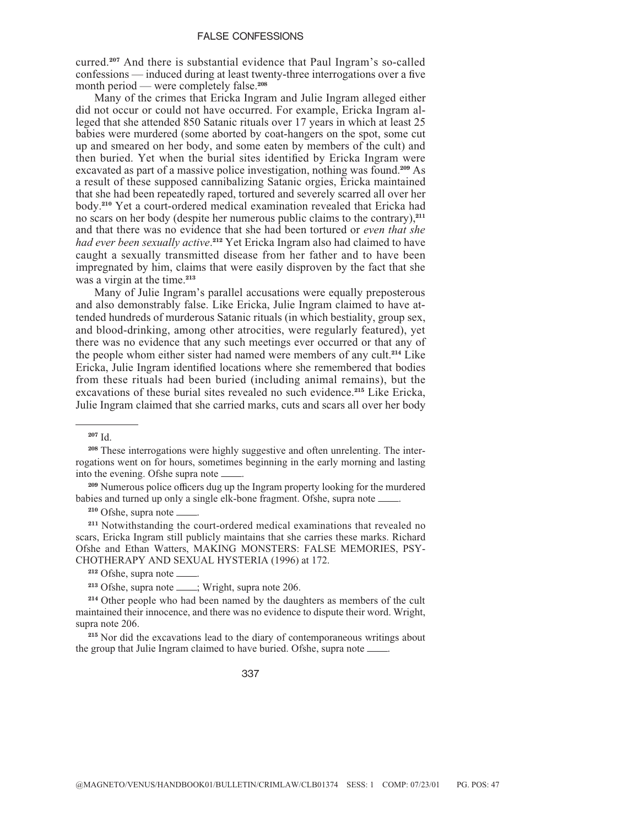curred.**<sup>207</sup>** And there is substantial evidence that Paul Ingram's so-called confessions — induced during at least twenty-three interrogations over a five month period — were completely false.**<sup>208</sup>**

Many of the crimes that Ericka Ingram and Julie Ingram alleged either did not occur or could not have occurred. For example, Ericka Ingram alleged that she attended 850 Satanic rituals over 17 years in which at least 25 babies were murdered (some aborted by coat-hangers on the spot, some cut up and smeared on her body, and some eaten by members of the cult) and then buried. Yet when the burial sites identified by Ericka Ingram were excavated as part of a massive police investigation, nothing was found.**<sup>209</sup>** As a result of these supposed cannibalizing Satanic orgies, Ericka maintained that she had been repeatedly raped, tortured and severely scarred all over her body.**<sup>210</sup>** Yet a court-ordered medical examination revealed that Ericka had no scars on her body (despite her numerous public claims to the contrary),**<sup>211</sup>** and that there was no evidence that she had been tortured or *even that she had ever been sexually active*. **<sup>212</sup>** Yet Ericka Ingram also had claimed to have caught a sexually transmitted disease from her father and to have been impregnated by him, claims that were easily disproven by the fact that she was a virgin at the time.**<sup>213</sup>**

Many of Julie Ingram's parallel accusations were equally preposterous and also demonstrably false. Like Ericka, Julie Ingram claimed to have attended hundreds of murderous Satanic rituals (in which bestiality, group sex, and blood-drinking, among other atrocities, were regularly featured), yet there was no evidence that any such meetings ever occurred or that any of the people whom either sister had named were members of any cult.**<sup>214</sup>** Like Ericka, Julie Ingram identified locations where she remembered that bodies from these rituals had been buried (including animal remains), but the excavations of these burial sites revealed no such evidence.**<sup>215</sup>** Like Ericka, Julie Ingram claimed that she carried marks, cuts and scars all over her body

**<sup>208</sup>** These interrogations were highly suggestive and often unrelenting. The interrogations went on for hours, sometimes beginning in the early morning and lasting into the evening. Ofshe supra note  $\overline{\phantom{a}}$ 

<sup>209</sup> Numerous police officers dug up the Ingram property looking for the murdered babies and turned up only a single elk-bone fragment. Ofshe, supra note \_\_\_\_\_.

 $210$  Ofshe, supra note  $\overline{\phantom{a}}$ 

**<sup>211</sup>** Notwithstanding the court-ordered medical examinations that revealed no scars, Ericka Ingram still publicly maintains that she carries these marks. Richard Ofshe and Ethan Watters, MAKING MONSTERS: FALSE MEMORIES, PSY-CHOTHERAPY AND SEXUAL HYSTERIA (1996) at 172.

 $2^{12}$  Ofshe, supra note  $\_\_\_\$ 

 $213$  Ofshe, supra note  $\frac{1}{213}$  Wright, supra note 206.

**<sup>214</sup>** Other people who had been named by the daughters as members of the cult maintained their innocence, and there was no evidence to dispute their word. Wright, supra note 206.

**<sup>215</sup>** Nor did the excavations lead to the diary of contemporaneous writings about the group that Julie Ingram claimed to have buried. Ofshe, supra note \_

**<sup>207</sup>** Id.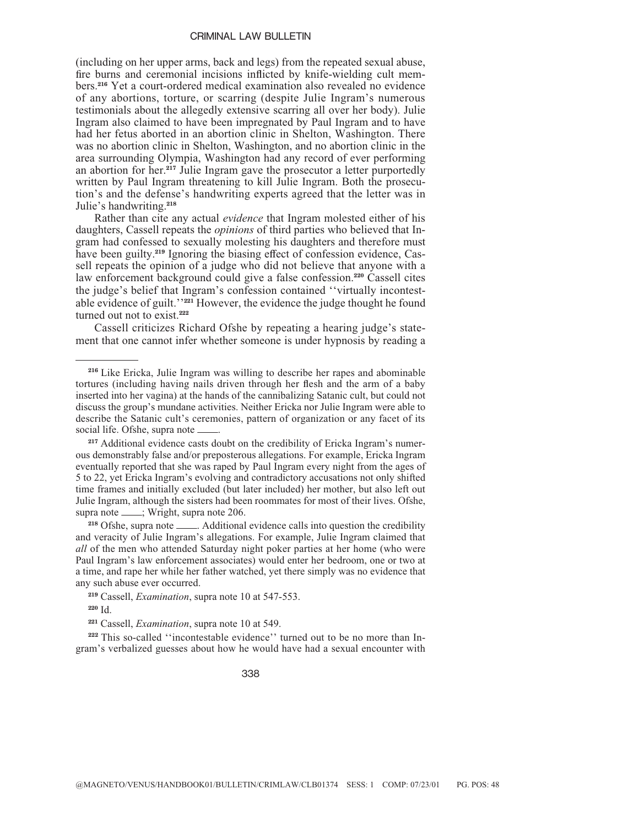(including on her upper arms, back and legs) from the repeated sexual abuse, fire burns and ceremonial incisions inflicted by knife-wielding cult members.**<sup>216</sup>** Yet a court-ordered medical examination also revealed no evidence of any abortions, torture, or scarring (despite Julie Ingram's numerous testimonials about the allegedly extensive scarring all over her body). Julie Ingram also claimed to have been impregnated by Paul Ingram and to have had her fetus aborted in an abortion clinic in Shelton, Washington. There was no abortion clinic in Shelton, Washington, and no abortion clinic in the area surrounding Olympia, Washington had any record of ever performing an abortion for her.**<sup>217</sup>** Julie Ingram gave the prosecutor a letter purportedly written by Paul Ingram threatening to kill Julie Ingram. Both the prosecution's and the defense's handwriting experts agreed that the letter was in Julie's handwriting.**<sup>218</sup>**

Rather than cite any actual *evidence* that Ingram molested either of his daughters, Cassell repeats the *opinions* of third parties who believed that Ingram had confessed to sexually molesting his daughters and therefore must have been guilty.<sup>219</sup> Ignoring the biasing effect of confession evidence. Cassell repeats the opinion of a judge who did not believe that anyone with a law enforcement background could give a false confession.**<sup>220</sup>** Cassell cites the judge's belief that Ingram's confession contained ''virtually incontestable evidence of guilt.''**<sup>221</sup>** However, the evidence the judge thought he found turned out not to exist.**<sup>222</sup>**

Cassell criticizes Richard Ofshe by repeating a hearing judge's statement that one cannot infer whether someone is under hypnosis by reading a

<sup>218</sup> Ofshe, supra note \_\_\_\_\_\_. Additional evidence calls into question the credibility and veracity of Julie Ingram's allegations. For example, Julie Ingram claimed that *all* of the men who attended Saturday night poker parties at her home (who were Paul Ingram's law enforcement associates) would enter her bedroom, one or two at a time, and rape her while her father watched, yet there simply was no evidence that any such abuse ever occurred.

**<sup>219</sup>** Cassell, *Examination*, supra note 10 at 547-553.

**<sup>220</sup>** Id.

**<sup>221</sup>** Cassell, *Examination*, supra note 10 at 549.

**<sup>222</sup>** This so-called ''incontestable evidence'' turned out to be no more than Ingram's verbalized guesses about how he would have had a sexual encounter with

**<sup>216</sup>** Like Ericka, Julie Ingram was willing to describe her rapes and abominable tortures (including having nails driven through her flesh and the arm of a baby inserted into her vagina) at the hands of the cannibalizing Satanic cult, but could not discuss the group's mundane activities. Neither Ericka nor Julie Ingram were able to describe the Satanic cult's ceremonies, pattern of organization or any facet of its social life. Ofshe, supra note \_

<sup>&</sup>lt;sup>217</sup> Additional evidence casts doubt on the credibility of Ericka Ingram's numerous demonstrably false and/or preposterous allegations. For example, Ericka Ingram eventually reported that she was raped by Paul Ingram every night from the ages of 5 to 22, yet Ericka Ingram's evolving and contradictory accusations not only shifted time frames and initially excluded (but later included) her mother, but also left out Julie Ingram, although the sisters had been roommates for most of their lives. Ofshe, supra note \_\_\_\_; Wright, supra note 206.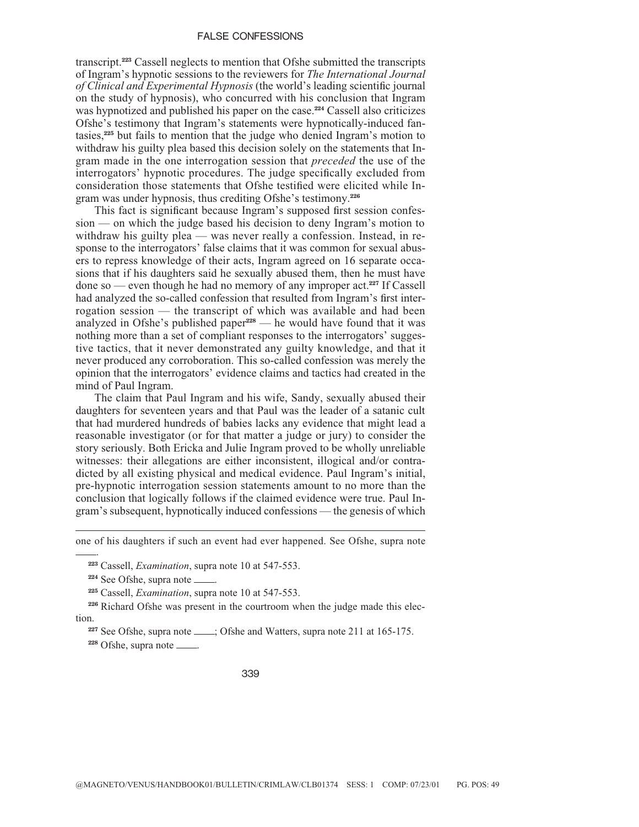transcript.**<sup>223</sup>** Cassell neglects to mention that Ofshe submitted the transcripts of Ingram's hypnotic sessions to the reviewers for *The International Journal of Clinical and Experimental Hypnosis* (the world's leading scientific journal on the study of hypnosis), who concurred with his conclusion that Ingram was hypnotized and published his paper on the case.**<sup>224</sup>** Cassell also criticizes Ofshe's testimony that Ingram's statements were hypnotically-induced fantasies,**<sup>225</sup>** but fails to mention that the judge who denied Ingram's motion to withdraw his guilty plea based this decision solely on the statements that Ingram made in the one interrogation session that *preceded* the use of the interrogators' hypnotic procedures. The judge specifically excluded from consideration those statements that Ofshe testified were elicited while Ingram was under hypnosis, thus crediting Ofshe's testimony.**<sup>226</sup>**

This fact is significant because Ingram's supposed first session confession — on which the judge based his decision to deny Ingram's motion to withdraw his guilty plea — was never really a confession. Instead, in response to the interrogators' false claims that it was common for sexual abusers to repress knowledge of their acts, Ingram agreed on 16 separate occasions that if his daughters said he sexually abused them, then he must have done so — even though he had no memory of any improper act.**<sup>227</sup>** If Cassell had analyzed the so-called confession that resulted from Ingram's first interrogation session — the transcript of which was available and had been analyzed in Ofshe's published paper**<sup>228</sup>** — he would have found that it was nothing more than a set of compliant responses to the interrogators' suggestive tactics, that it never demonstrated any guilty knowledge, and that it never produced any corroboration. This so-called confession was merely the opinion that the interrogators' evidence claims and tactics had created in the mind of Paul Ingram.

The claim that Paul Ingram and his wife, Sandy, sexually abused their daughters for seventeen years and that Paul was the leader of a satanic cult that had murdered hundreds of babies lacks any evidence that might lead a reasonable investigator (or for that matter a judge or jury) to consider the story seriously. Both Ericka and Julie Ingram proved to be wholly unreliable witnesses: their allegations are either inconsistent, illogical and/or contradicted by all existing physical and medical evidence. Paul Ingram's initial, pre-hypnotic interrogation session statements amount to no more than the conclusion that logically follows if the claimed evidence were true. Paul Ingram's subsequent, hypnotically induced confessions — the genesis of which

one of his daughters if such an event had ever happened. See Ofshe, supra note

**<sup>223</sup>** Cassell, *Examination*, supra note 10 at 547-553.

<sup>224</sup> See Ofshe, supra note <u>\_\_\_\_</u>.

.

**<sup>225</sup>** Cassell, *Examination*, supra note 10 at 547-553.

**<sup>226</sup>** Richard Ofshe was present in the courtroom when the judge made this election.

<sup>227</sup> See Ofshe, supra note <sub>*\_\_\_\_*;</sub> Ofshe and Watters, supra note 211 at 165-175.  $228$  Ofshe, supra note  $\_\_\_\_\$ .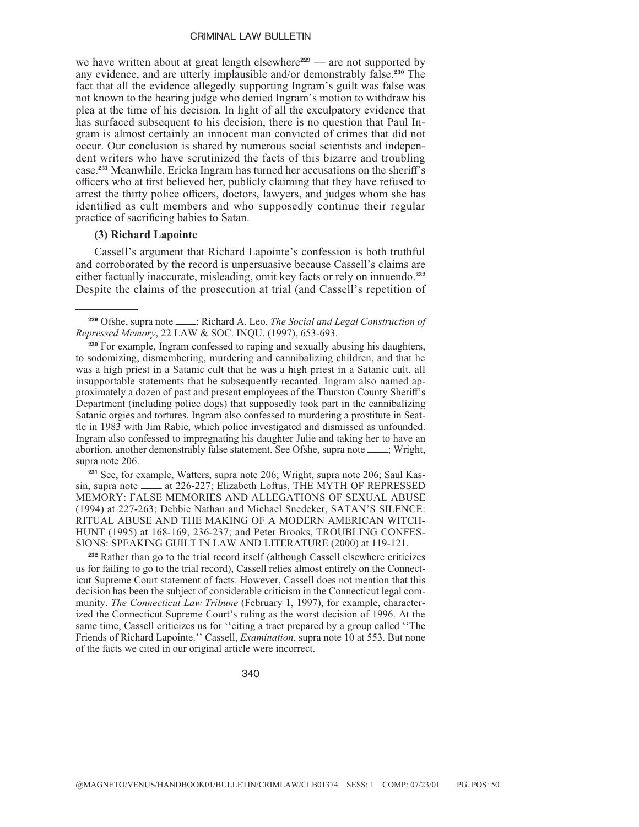we have written about at great length elsewhere<sup>229</sup> — are not supported by any evidence, and are utterly implausible and/or demonstrably false.**<sup>230</sup>** The fact that all the evidence allegedly supporting Ingram's guilt was false was not known to the hearing judge who denied Ingram's motion to withdraw his plea at the time of his decision. In light of all the exculpatory evidence that has surfaced subsequent to his decision, there is no question that Paul Ingram is almost certainly an innocent man convicted of crimes that did not occur. Our conclusion is shared by numerous social scientists and independent writers who have scrutinized the facts of this bizarre and troubling case.<sup>231</sup> Meanwhile, Ericka Ingram has turned her accusations on the sheriff's officers who at first believed her, publicly claiming that they have refused to arrest the thirty police officers, doctors, lawyers, and judges whom she has identified as cult members and who supposedly continue their regular practice of sacrificing babies to Satan.

# **(3) Richard Lapointe**

Cassell's argument that Richard Lapointe's confession is both truthful and corroborated by the record is unpersuasive because Cassell's claims are either factually inaccurate, misleading, omit key facts or rely on innuendo.**<sup>232</sup>** Despite the claims of the prosecution at trial (and Cassell's repetition of

**<sup>231</sup>** See, for example, Watters, supra note 206; Wright, supra note 206; Saul Kassin, supra note \_\_\_ at 226-227; Elizabeth Loftus, THE MYTH OF REPRESSED MEMORY: FALSE MEMORIES AND ALLEGATIONS OF SEXUAL ABUSE (1994) at 227-263; Debbie Nathan and Michael Snedeker, SATAN'S SILENCE: RITUAL ABUSE AND THE MAKING OF A MODERN AMERICAN WITCH-HUNT (1995) at 168-169, 236-237; and Peter Brooks, TROUBLING CONFES-SIONS: SPEAKING GUILT IN LAW AND LITERATURE (2000) at 119-121.

**<sup>232</sup>** Rather than go to the trial record itself (although Cassell elsewhere criticizes us for failing to go to the trial record), Cassell relies almost entirely on the Connecticut Supreme Court statement of facts. However, Cassell does not mention that this decision has been the subject of considerable criticism in the Connecticut legal community. *The Connecticut Law Tribune* (February 1, 1997), for example, characterized the Connecticut Supreme Court's ruling as the worst decision of 1996. At the same time, Cassell criticizes us for ''citing a tract prepared by a group called ''The Friends of Richard Lapointe.'' Cassell, *Examination*, supra note 10 at 553. But none of the facts we cited in our original article were incorrect.

<sup>&</sup>lt;sup>229</sup> Ofshe, supra note <sub>in</sub>; Richard A. Leo, *The Social and Legal Construction of Repressed Memory*, 22 LAW & SOC. INQU. (1997), 653-693.

**<sup>230</sup>** For example, Ingram confessed to raping and sexually abusing his daughters, to sodomizing, dismembering, murdering and cannibalizing children, and that he was a high priest in a Satanic cult that he was a high priest in a Satanic cult, all insupportable statements that he subsequently recanted. Ingram also named approximately a dozen of past and present employees of the Thurston County Sheriff's Department (including police dogs) that supposedly took part in the cannibalizing Satanic orgies and tortures. Ingram also confessed to murdering a prostitute in Seattle in 1983 with Jim Rabie, which police investigated and dismissed as unfounded. Ingram also confessed to impregnating his daughter Julie and taking her to have an abortion, another demonstrably false statement. See Ofshe, supra note \_\_\_\_; Wright, supra note 206.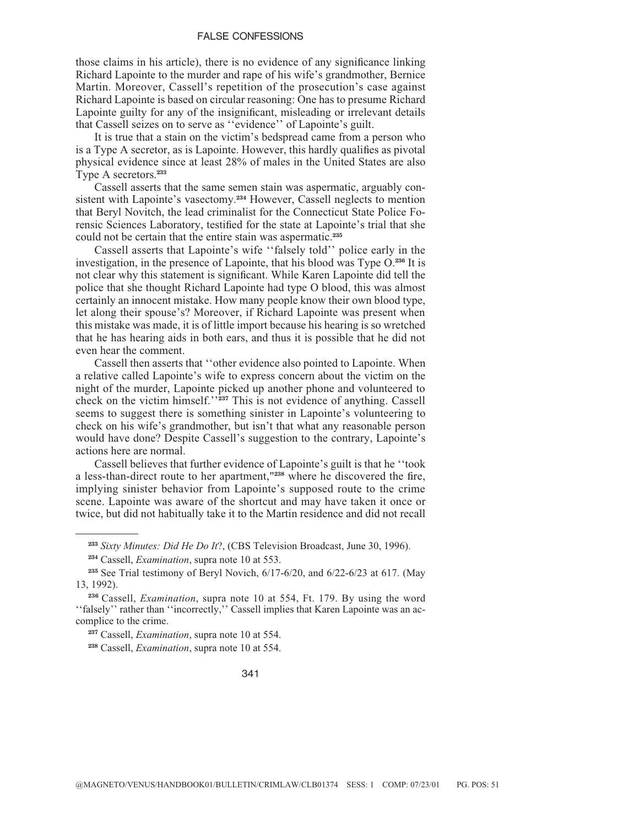those claims in his article), there is no evidence of any signicance linking Richard Lapointe to the murder and rape of his wife's grandmother, Bernice Martin. Moreover, Cassell's repetition of the prosecution's case against Richard Lapointe is based on circular reasoning: One has to presume Richard Lapointe guilty for any of the insignificant, misleading or irrelevant details that Cassell seizes on to serve as ''evidence'' of Lapointe's guilt.

It is true that a stain on the victim's bedspread came from a person who is a Type A secretor, as is Lapointe. However, this hardly qualifies as pivotal physical evidence since at least 28% of males in the United States are also Type A secretors.**<sup>233</sup>**

Cassell asserts that the same semen stain was aspermatic, arguably consistent with Lapointe's vasectomy.**<sup>234</sup>** However, Cassell neglects to mention that Beryl Novitch, the lead criminalist for the Connecticut State Police Forensic Sciences Laboratory, testified for the state at Lapointe's trial that she could not be certain that the entire stain was aspermatic.**<sup>235</sup>**

Cassell asserts that Lapointe's wife ''falsely told'' police early in the investigation, in the presence of Lapointe, that his blood was Type O.**<sup>236</sup>** It is not clear why this statement is signicant. While Karen Lapointe did tell the police that she thought Richard Lapointe had type O blood, this was almost certainly an innocent mistake. How many people know their own blood type, let along their spouse's? Moreover, if Richard Lapointe was present when this mistake was made, it is of little import because his hearing is so wretched that he has hearing aids in both ears, and thus it is possible that he did not even hear the comment.

Cassell then asserts that ''other evidence also pointed to Lapointe. When a relative called Lapointe's wife to express concern about the victim on the night of the murder, Lapointe picked up another phone and volunteered to check on the victim himself.''**<sup>237</sup>** This is not evidence of anything. Cassell seems to suggest there is something sinister in Lapointe's volunteering to check on his wife's grandmother, but isn't that what any reasonable person would have done? Despite Cassell's suggestion to the contrary, Lapointe's actions here are normal.

Cassell believes that further evidence of Lapointe's guilt is that he ''took a less-than-direct route to her apartment,<sup>"238</sup> where he discovered the fire, implying sinister behavior from Lapointe's supposed route to the crime scene. Lapointe was aware of the shortcut and may have taken it once or twice, but did not habitually take it to the Martin residence and did not recall

**<sup>237</sup>** Cassell, *Examination*, supra note 10 at 554.

**<sup>238</sup>** Cassell, *Examination*, supra note 10 at 554.

**<sup>233</sup>** *Sixty Minutes: Did He Do It*?, (CBS Television Broadcast, June 30, 1996). **<sup>234</sup>** Cassell, *Examination*, supra note 10 at 553.

**<sup>235</sup>** See Trial testimony of Beryl Novich, 6/17-6/20, and 6/22-6/23 at 617. (May 13, 1992).

**<sup>236</sup>** Cassell, *Examination*, supra note 10 at 554, Ft. 179. By using the word ''falsely'' rather than ''incorrectly,'' Cassell implies that Karen Lapointe was an accomplice to the crime.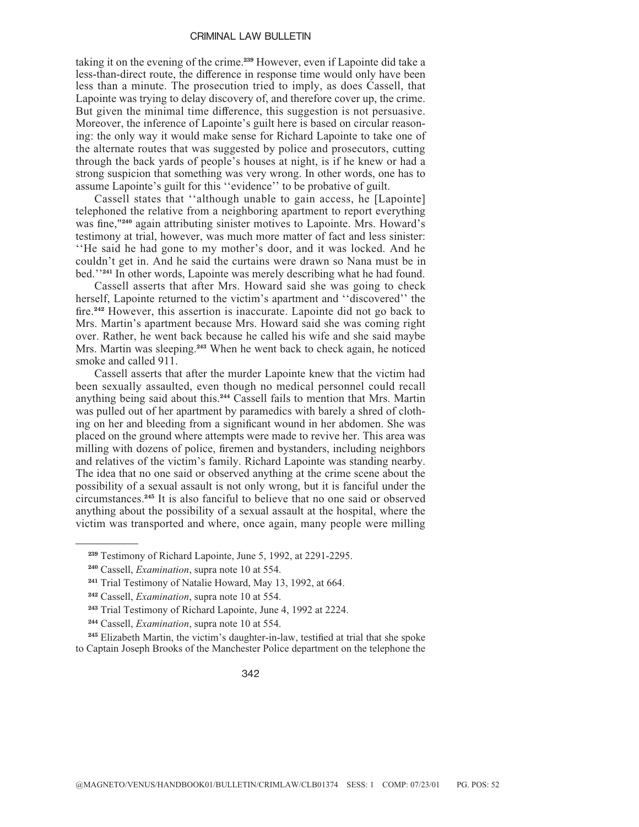taking it on the evening of the crime.**<sup>239</sup>** However, even if Lapointe did take a less-than-direct route, the difference in response time would only have been less than a minute. The prosecution tried to imply, as does Cassell, that Lapointe was trying to delay discovery of, and therefore cover up, the crime. But given the minimal time difference, this suggestion is not persuasive. Moreover, the inference of Lapointe's guilt here is based on circular reasoning: the only way it would make sense for Richard Lapointe to take one of the alternate routes that was suggested by police and prosecutors, cutting through the back yards of people's houses at night, is if he knew or had a strong suspicion that something was very wrong. In other words, one has to assume Lapointe's guilt for this ''evidence'' to be probative of guilt.

Cassell states that ''although unable to gain access, he [Lapointe] telephoned the relative from a neighboring apartment to report everything was fine,<sup>"240</sup> again attributing sinister motives to Lapointe. Mrs. Howard's testimony at trial, however, was much more matter of fact and less sinister: ''He said he had gone to my mother's door, and it was locked. And he couldn't get in. And he said the curtains were drawn so Nana must be in bed.''**<sup>241</sup>** In other words, Lapointe was merely describing what he had found.

Cassell asserts that after Mrs. Howard said she was going to check herself, Lapointe returned to the victim's apartment and ''discovered'' the fire.<sup>242</sup> However, this assertion is inaccurate. Lapointe did not go back to Mrs. Martin's apartment because Mrs. Howard said she was coming right over. Rather, he went back because he called his wife and she said maybe Mrs. Martin was sleeping.**<sup>243</sup>** When he went back to check again, he noticed smoke and called 911.

Cassell asserts that after the murder Lapointe knew that the victim had been sexually assaulted, even though no medical personnel could recall anything being said about this.**<sup>244</sup>** Cassell fails to mention that Mrs. Martin was pulled out of her apartment by paramedics with barely a shred of clothing on her and bleeding from a significant wound in her abdomen. She was placed on the ground where attempts were made to revive her. This area was milling with dozens of police, firemen and bystanders, including neighbors and relatives of the victim's family. Richard Lapointe was standing nearby. The idea that no one said or observed anything at the crime scene about the possibility of a sexual assault is not only wrong, but it is fanciful under the circumstances.**<sup>245</sup>** It is also fanciful to believe that no one said or observed anything about the possibility of a sexual assault at the hospital, where the victim was transported and where, once again, many people were milling

**<sup>239</sup>** Testimony of Richard Lapointe, June 5, 1992, at 2291-2295.

**<sup>240</sup>** Cassell, *Examination*, supra note 10 at 554.

**<sup>241</sup>** Trial Testimony of Natalie Howard, May 13, 1992, at 664.

**<sup>242</sup>** Cassell, *Examination*, supra note 10 at 554.

**<sup>243</sup>** Trial Testimony of Richard Lapointe, June 4, 1992 at 2224.

**<sup>244</sup>** Cassell, *Examination*, supra note 10 at 554.

<sup>&</sup>lt;sup>245</sup> Elizabeth Martin, the victim's daughter-in-law, testified at trial that she spoke to Captain Joseph Brooks of the Manchester Police department on the telephone the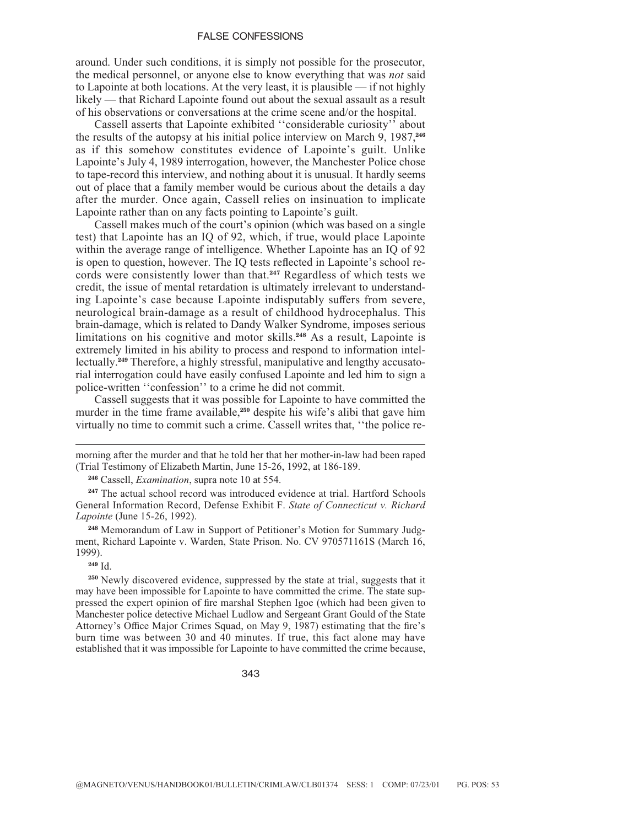around. Under such conditions, it is simply not possible for the prosecutor, the medical personnel, or anyone else to know everything that was *not* said to Lapointe at both locations. At the very least, it is plausible — if not highly likely — that Richard Lapointe found out about the sexual assault as a result of his observations or conversations at the crime scene and/or the hospital.

Cassell asserts that Lapointe exhibited ''considerable curiosity'' about the results of the autopsy at his initial police interview on March 9, 1987,**<sup>246</sup>** as if this somehow constitutes evidence of Lapointe's guilt. Unlike Lapointe's July 4, 1989 interrogation, however, the Manchester Police chose to tape-record this interview, and nothing about it is unusual. It hardly seems out of place that a family member would be curious about the details a day after the murder. Once again, Cassell relies on insinuation to implicate Lapointe rather than on any facts pointing to Lapointe's guilt.

Cassell makes much of the court's opinion (which was based on a single test) that Lapointe has an IQ of 92, which, if true, would place Lapointe within the average range of intelligence. Whether Lapointe has an IQ of 92 is open to question, however. The IQ tests reflected in Lapointe's school records were consistently lower than that.**<sup>247</sup>** Regardless of which tests we credit, the issue of mental retardation is ultimately irrelevant to understanding Lapointe's case because Lapointe indisputably suffers from severe, neurological brain-damage as a result of childhood hydrocephalus. This brain-damage, which is related to Dandy Walker Syndrome, imposes serious limitations on his cognitive and motor skills.**<sup>248</sup>** As a result, Lapointe is extremely limited in his ability to process and respond to information intellectually.**<sup>249</sup>** Therefore, a highly stressful, manipulative and lengthy accusatorial interrogation could have easily confused Lapointe and led him to sign a police-written ''confession'' to a crime he did not commit.

Cassell suggests that it was possible for Lapointe to have committed the murder in the time frame available,**<sup>250</sup>** despite his wife's alibi that gave him virtually no time to commit such a crime. Cassell writes that, ''the police re-

**<sup>246</sup>** Cassell, *Examination*, supra note 10 at 554.

<sup>247</sup> The actual school record was introduced evidence at trial. Hartford Schools General Information Record, Defense Exhibit F. *State of Connecticut v. Richard Lapointe* (June 15-26, 1992).

**<sup>248</sup>** Memorandum of Law in Support of Petitioner's Motion for Summary Judgment, Richard Lapointe v. Warden, State Prison. No. CV 970571161S (March 16, 1999).

**<sup>249</sup>** Id.

**<sup>250</sup>** Newly discovered evidence, suppressed by the state at trial, suggests that it may have been impossible for Lapointe to have committed the crime. The state suppressed the expert opinion of fire marshal Stephen Igoe (which had been given to Manchester police detective Michael Ludlow and Sergeant Grant Gould of the State Attorney's Office Major Crimes Squad, on May 9, 1987) estimating that the fire's burn time was between 30 and 40 minutes. If true, this fact alone may have established that it was impossible for Lapointe to have committed the crime because,

morning after the murder and that he told her that her mother-in-law had been raped (Trial Testimony of Elizabeth Martin, June 15-26, 1992, at 186-189.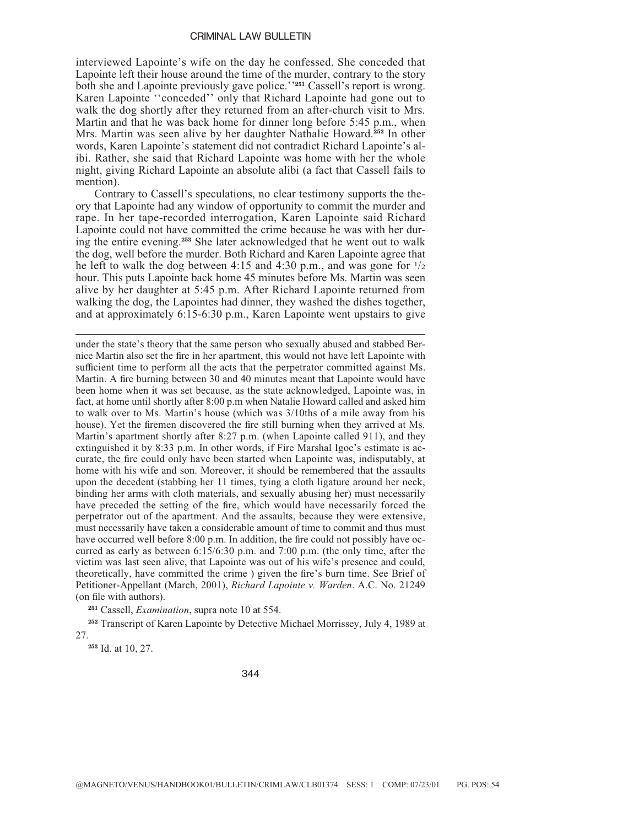interviewed Lapointe's wife on the day he confessed. She conceded that Lapointe left their house around the time of the murder, contrary to the story both she and Lapointe previously gave police.''**<sup>251</sup>** Cassell's report is wrong. Karen Lapointe ''conceded'' only that Richard Lapointe had gone out to walk the dog shortly after they returned from an after-church visit to Mrs. Martin and that he was back home for dinner long before 5:45 p.m., when Mrs. Martin was seen alive by her daughter Nathalie Howard.**<sup>252</sup>** In other words, Karen Lapointe's statement did not contradict Richard Lapointe's alibi. Rather, she said that Richard Lapointe was home with her the whole night, giving Richard Lapointe an absolute alibi (a fact that Cassell fails to mention).

Contrary to Cassell's speculations, no clear testimony supports the theory that Lapointe had any window of opportunity to commit the murder and rape. In her tape-recorded interrogation, Karen Lapointe said Richard Lapointe could not have committed the crime because he was with her during the entire evening.**<sup>253</sup>** She later acknowledged that he went out to walk the dog, well before the murder. Both Richard and Karen Lapointe agree that he left to walk the dog between 4:15 and 4:30 p.m., and was gone for  $\frac{1}{2}$ hour. This puts Lapointe back home 45 minutes before Ms. Martin was seen alive by her daughter at 5:45 p.m. After Richard Lapointe returned from walking the dog, the Lapointes had dinner, they washed the dishes together, and at approximately 6:15-6:30 p.m., Karen Lapointe went upstairs to give

under the state's theory that the same person who sexually abused and stabbed Bernice Martin also set the fire in her apartment, this would not have left Lapointe with sufficient time to perform all the acts that the perpetrator committed against Ms. Martin. A fire burning between 30 and 40 minutes meant that Lapointe would have been home when it was set because, as the state acknowledged, Lapointe was, in fact, at home until shortly after 8:00 p.m when Natalie Howard called and asked him to walk over to Ms. Martin's house (which was 3/10ths of a mile away from his house). Yet the firemen discovered the fire still burning when they arrived at Ms. Martin's apartment shortly after 8:27 p.m. (when Lapointe called 911), and they extinguished it by 8:33 p.m. In other words, if Fire Marshal Igoe's estimate is accurate, the fire could only have been started when Lapointe was, indisputably, at home with his wife and son. Moreover, it should be remembered that the assaults upon the decedent (stabbing her 11 times, tying a cloth ligature around her neck, binding her arms with cloth materials, and sexually abusing her) must necessarily have preceded the setting of the fire, which would have necessarily forced the perpetrator out of the apartment. And the assaults, because they were extensive, must necessarily have taken a considerable amount of time to commit and thus must have occurred well before 8:00 p.m. In addition, the fire could not possibly have occurred as early as between 6:15/6:30 p.m. and 7:00 p.m. (the only time, after the victim was last seen alive, that Lapointe was out of his wife's presence and could, theoretically, have committed the crime ) given the fire's burn time. See Brief of Petitioner-Appellant (March, 2001), *Richard Lapointe v. Warden*. A.C. No. 21249 (on file with authors).

**<sup>251</sup>** Cassell, *Examination*, supra note 10 at 554.

**<sup>252</sup>** Transcript of Karen Lapointe by Detective Michael Morrissey, July 4, 1989 at 27.

**<sup>253</sup>** Id. at 10, 27.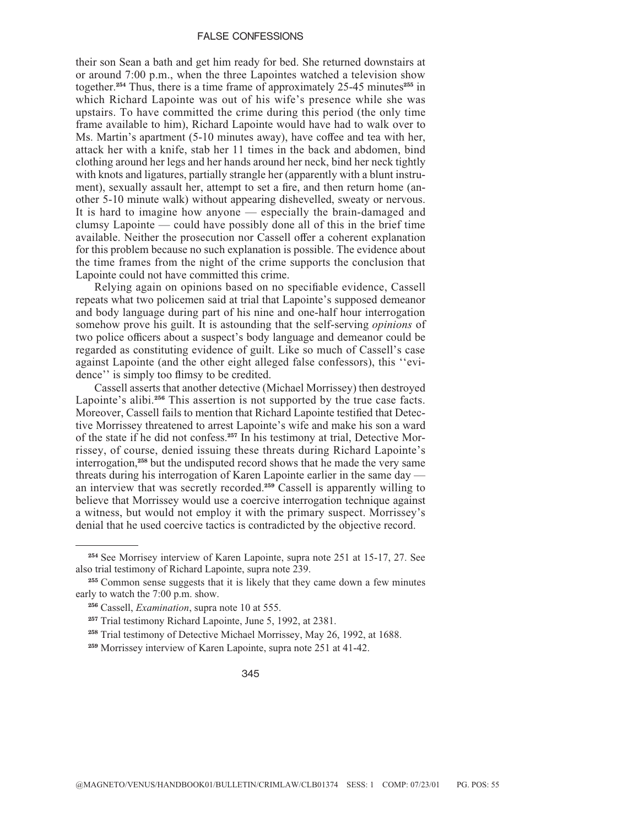their son Sean a bath and get him ready for bed. She returned downstairs at or around 7:00 p.m., when the three Lapointes watched a television show together.**<sup>254</sup>** Thus, there is a time frame of approximately 25-45 minutes**<sup>255</sup>** in which Richard Lapointe was out of his wife's presence while she was upstairs. To have committed the crime during this period (the only time frame available to him), Richard Lapointe would have had to walk over to Ms. Martin's apartment  $(5-10 \text{ minutes away})$ , have coffee and tea with her, attack her with a knife, stab her 11 times in the back and abdomen, bind clothing around her legs and her hands around her neck, bind her neck tightly with knots and ligatures, partially strangle her (apparently with a blunt instrument), sexually assault her, attempt to set a fire, and then return home (another 5-10 minute walk) without appearing dishevelled, sweaty or nervous. It is hard to imagine how anyone — especially the brain-damaged and clumsy Lapointe — could have possibly done all of this in the brief time available. Neither the prosecution nor Cassell offer a coherent explanation for this problem because no such explanation is possible. The evidence about the time frames from the night of the crime supports the conclusion that Lapointe could not have committed this crime.

Relying again on opinions based on no speciable evidence, Cassell repeats what two policemen said at trial that Lapointe's supposed demeanor and body language during part of his nine and one-half hour interrogation somehow prove his guilt. It is astounding that the self-serving *opinions* of two police officers about a suspect's body language and demeanor could be regarded as constituting evidence of guilt. Like so much of Cassell's case against Lapointe (and the other eight alleged false confessors), this ''evidence'' is simply too flimsy to be credited.

Cassell asserts that another detective (Michael Morrissey) then destroyed Lapointe's alibi.**<sup>256</sup>** This assertion is not supported by the true case facts. Moreover, Cassell fails to mention that Richard Lapointe testified that Detective Morrissey threatened to arrest Lapointe's wife and make his son a ward of the state if he did not confess.**<sup>257</sup>** In his testimony at trial, Detective Morrissey, of course, denied issuing these threats during Richard Lapointe's interrogation,**<sup>258</sup>** but the undisputed record shows that he made the very same threats during his interrogation of Karen Lapointe earlier in the same day an interview that was secretly recorded.**<sup>259</sup>** Cassell is apparently willing to believe that Morrissey would use a coercive interrogation technique against a witness, but would not employ it with the primary suspect. Morrissey's denial that he used coercive tactics is contradicted by the objective record.

**<sup>254</sup>** See Morrisey interview of Karen Lapointe, supra note 251 at 15-17, 27. See also trial testimony of Richard Lapointe, supra note 239.

**<sup>255</sup>** Common sense suggests that it is likely that they came down a few minutes early to watch the 7:00 p.m. show.

**<sup>256</sup>** Cassell, *Examination*, supra note 10 at 555.

**<sup>257</sup>** Trial testimony Richard Lapointe, June 5, 1992, at 2381.

**<sup>258</sup>** Trial testimony of Detective Michael Morrissey, May 26, 1992, at 1688.

**<sup>259</sup>** Morrissey interview of Karen Lapointe, supra note 251 at 41-42.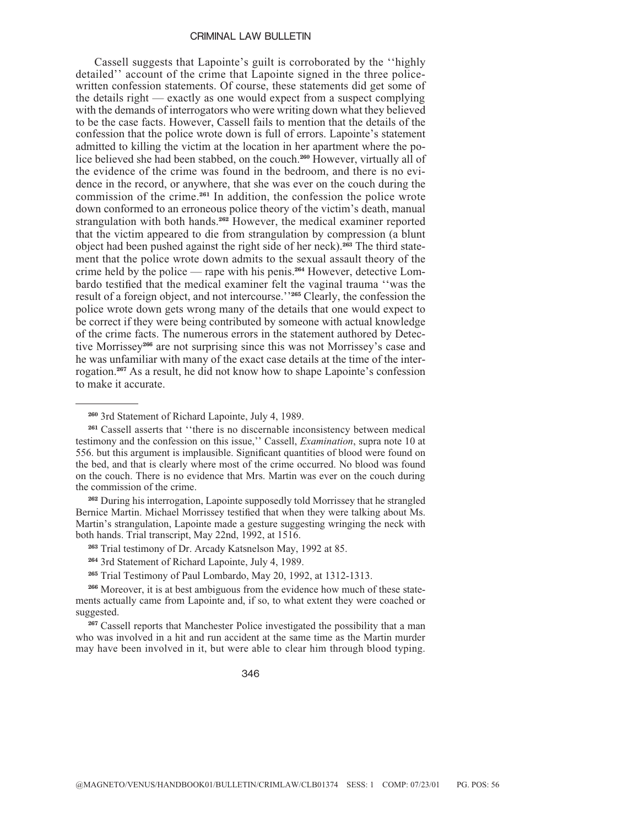Cassell suggests that Lapointe's guilt is corroborated by the ''highly detailed'' account of the crime that Lapointe signed in the three policewritten confession statements. Of course, these statements did get some of the details right — exactly as one would expect from a suspect complying with the demands of interrogators who were writing down what they believed to be the case facts. However, Cassell fails to mention that the details of the confession that the police wrote down is full of errors. Lapointe's statement admitted to killing the victim at the location in her apartment where the police believed she had been stabbed, on the couch.**<sup>260</sup>** However, virtually all of the evidence of the crime was found in the bedroom, and there is no evidence in the record, or anywhere, that she was ever on the couch during the commission of the crime.**<sup>261</sup>** In addition, the confession the police wrote down conformed to an erroneous police theory of the victim's death, manual strangulation with both hands.**<sup>262</sup>** However, the medical examiner reported that the victim appeared to die from strangulation by compression (a blunt object had been pushed against the right side of her neck).**<sup>263</sup>** The third statement that the police wrote down admits to the sexual assault theory of the crime held by the police — rape with his penis.**<sup>264</sup>** However, detective Lombardo testified that the medical examiner felt the vaginal trauma "was the result of a foreign object, and not intercourse.''**<sup>265</sup>** Clearly, the confession the police wrote down gets wrong many of the details that one would expect to be correct if they were being contributed by someone with actual knowledge of the crime facts. The numerous errors in the statement authored by Detective Morrissey**<sup>266</sup>** are not surprising since this was not Morrissey's case and he was unfamiliar with many of the exact case details at the time of the interrogation.**<sup>267</sup>** As a result, he did not know how to shape Lapointe's confession to make it accurate.

**<sup>262</sup>** During his interrogation, Lapointe supposedly told Morrissey that he strangled Bernice Martin. Michael Morrissey testied that when they were talking about Ms. Martin's strangulation, Lapointe made a gesture suggesting wringing the neck with both hands. Trial transcript, May 22nd, 1992, at 1516.

**<sup>263</sup>** Trial testimony of Dr. Arcady Katsnelson May, 1992 at 85.

**<sup>264</sup>** 3rd Statement of Richard Lapointe, July 4, 1989.

**<sup>265</sup>** Trial Testimony of Paul Lombardo, May 20, 1992, at 1312-1313.

**<sup>266</sup>** Moreover, it is at best ambiguous from the evidence how much of these statements actually came from Lapointe and, if so, to what extent they were coached or suggested.

<sup>267</sup> Cassell reports that Manchester Police investigated the possibility that a man who was involved in a hit and run accident at the same time as the Martin murder may have been involved in it, but were able to clear him through blood typing.

**<sup>260</sup>** 3rd Statement of Richard Lapointe, July 4, 1989.

**<sup>261</sup>** Cassell asserts that ''there is no discernable inconsistency between medical testimony and the confession on this issue,'' Cassell, *Examination*, supra note 10 at 556. but this argument is implausible. Signicant quantities of blood were found on the bed, and that is clearly where most of the crime occurred. No blood was found on the couch. There is no evidence that Mrs. Martin was ever on the couch during the commission of the crime.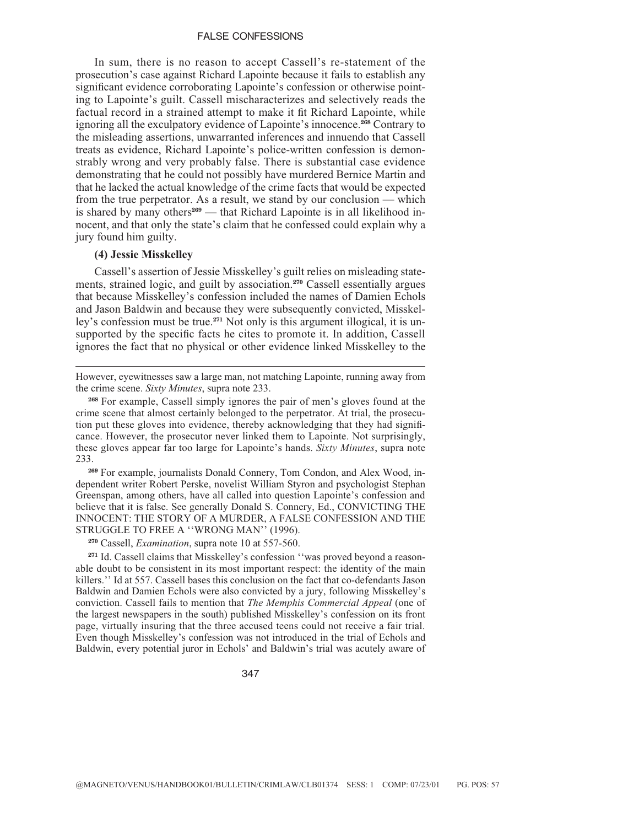In sum, there is no reason to accept Cassell's re-statement of the prosecution's case against Richard Lapointe because it fails to establish any significant evidence corroborating Lapointe's confession or otherwise pointing to Lapointe's guilt. Cassell mischaracterizes and selectively reads the factual record in a strained attempt to make it fit Richard Lapointe, while ignoring all the exculpatory evidence of Lapointe's innocence.**<sup>268</sup>** Contrary to the misleading assertions, unwarranted inferences and innuendo that Cassell treats as evidence, Richard Lapointe's police-written confession is demonstrably wrong and very probably false. There is substantial case evidence demonstrating that he could not possibly have murdered Bernice Martin and that he lacked the actual knowledge of the crime facts that would be expected from the true perpetrator. As a result, we stand by our conclusion — which is shared by many others**<sup>269</sup>** — that Richard Lapointe is in all likelihood innocent, and that only the state's claim that he confessed could explain why a jury found him guilty.

# **(4) Jessie Misskelley**

Cassell's assertion of Jessie Misskelley's guilt relies on misleading statements, strained logic, and guilt by association.**<sup>270</sup>** Cassell essentially argues that because Misskelley's confession included the names of Damien Echols and Jason Baldwin and because they were subsequently convicted, Misskelley's confession must be true.**<sup>271</sup>** Not only is this argument illogical, it is unsupported by the specific facts he cites to promote it. In addition, Cassell ignores the fact that no physical or other evidence linked Misskelley to the

However, eyewitnesses saw a large man, not matching Lapointe, running away from the crime scene. *Sixty Minutes*, supra note 233.

**<sup>268</sup>** For example, Cassell simply ignores the pair of men's gloves found at the crime scene that almost certainly belonged to the perpetrator. At trial, the prosecution put these gloves into evidence, thereby acknowledging that they had significance. However, the prosecutor never linked them to Lapointe. Not surprisingly, these gloves appear far too large for Lapointe's hands. *Sixty Minutes*, supra note 233.

**<sup>269</sup>** For example, journalists Donald Connery, Tom Condon, and Alex Wood, independent writer Robert Perske, novelist William Styron and psychologist Stephan Greenspan, among others, have all called into question Lapointe's confession and believe that it is false. See generally Donald S. Connery, Ed., CONVICTING THE INNOCENT: THE STORY OF A MURDER, A FALSE CONFESSION AND THE STRUGGLE TO FREE A ''WRONG MAN'' (1996).

**<sup>270</sup>** Cassell, *Examination*, supra note 10 at 557-560.

**<sup>271</sup>** Id. Cassell claims that Misskelley's confession ''was proved beyond a reasonable doubt to be consistent in its most important respect: the identity of the main killers.'' Id at 557. Cassell bases this conclusion on the fact that co-defendants Jason Baldwin and Damien Echols were also convicted by a jury, following Misskelley's conviction. Cassell fails to mention that *The Memphis Commercial Appeal* (one of the largest newspapers in the south) published Misskelley's confession on its front page, virtually insuring that the three accused teens could not receive a fair trial. Even though Misskelley's confession was not introduced in the trial of Echols and Baldwin, every potential juror in Echols' and Baldwin's trial was acutely aware of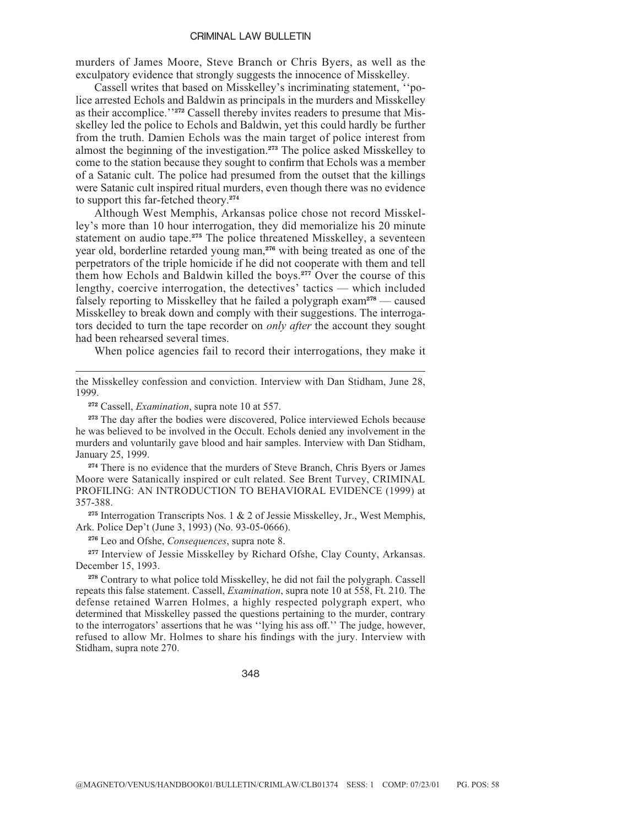murders of James Moore, Steve Branch or Chris Byers, as well as the exculpatory evidence that strongly suggests the innocence of Misskelley.

Cassell writes that based on Misskelley's incriminating statement, ''police arrested Echols and Baldwin as principals in the murders and Misskelley as their accomplice.''**<sup>272</sup>** Cassell thereby invites readers to presume that Misskelley led the police to Echols and Baldwin, yet this could hardly be further from the truth. Damien Echols was the main target of police interest from almost the beginning of the investigation.**<sup>273</sup>** The police asked Misskelley to come to the station because they sought to confirm that Echols was a member of a Satanic cult. The police had presumed from the outset that the killings were Satanic cult inspired ritual murders, even though there was no evidence to support this far-fetched theory.**<sup>274</sup>**

Although West Memphis, Arkansas police chose not record Misskelley's more than 10 hour interrogation, they did memorialize his 20 minute statement on audio tape.**<sup>275</sup>** The police threatened Misskelley, a seventeen year old, borderline retarded young man,**<sup>276</sup>** with being treated as one of the perpetrators of the triple homicide if he did not cooperate with them and tell them how Echols and Baldwin killed the boys.**<sup>277</sup>** Over the course of this lengthy, coercive interrogation, the detectives' tactics — which included falsely reporting to Misskelley that he failed a polygraph exam**<sup>278</sup>** — caused Misskelley to break down and comply with their suggestions. The interrogators decided to turn the tape recorder on *only after* the account they sought had been rehearsed several times.

When police agencies fail to record their interrogations, they make it

the Misskelley confession and conviction. Interview with Dan Stidham, June 28, 1999.

**<sup>272</sup>** Cassell, *Examination*, supra note 10 at 557.

**<sup>273</sup>** The day after the bodies were discovered, Police interviewed Echols because he was believed to be involved in the Occult. Echols denied any involvement in the murders and voluntarily gave blood and hair samples. Interview with Dan Stidham, January 25, 1999.

**<sup>274</sup>** There is no evidence that the murders of Steve Branch, Chris Byers or James Moore were Satanically inspired or cult related. See Brent Turvey, CRIMINAL PROFILING: AN INTRODUCTION TO BEHAVIORAL EVIDENCE (1999) at 357-388.

**<sup>275</sup>** Interrogation Transcripts Nos. 1 & 2 of Jessie Misskelley, Jr., West Memphis, Ark. Police Dep't (June 3, 1993) (No. 93-05-0666).

**<sup>276</sup>** Leo and Ofshe, *Consequences*, supra note 8.

**<sup>277</sup>** Interview of Jessie Misskelley by Richard Ofshe, Clay County, Arkansas. December 15, 1993.

**<sup>278</sup>** Contrary to what police told Misskelley, he did not fail the polygraph. Cassell repeats this false statement. Cassell, *Examination*, supra note 10 at 558, Ft. 210. The defense retained Warren Holmes, a highly respected polygraph expert, who determined that Misskelley passed the questions pertaining to the murder, contrary to the interrogators' assertions that he was "lying his ass off." The judge, however, refused to allow Mr. Holmes to share his findings with the jury. Interview with Stidham, supra note 270.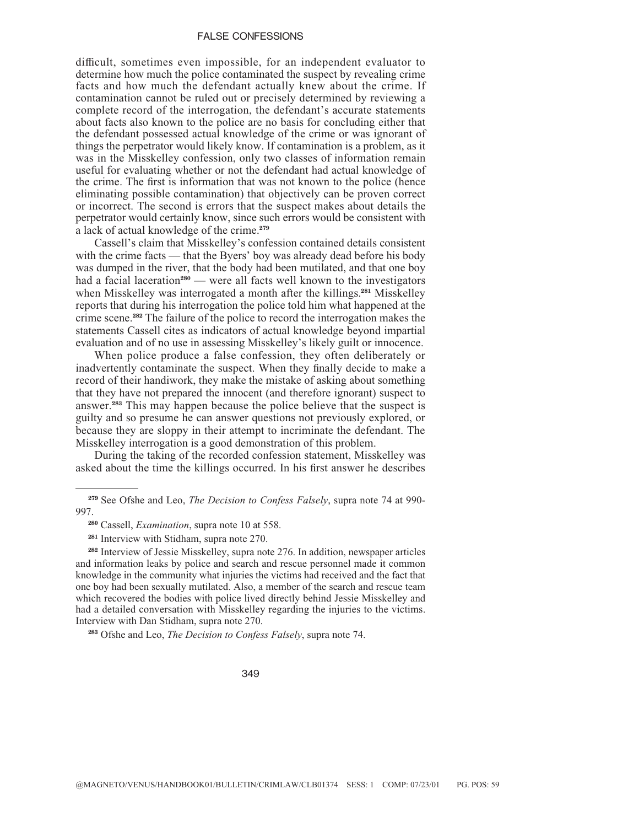difficult, sometimes even impossible, for an independent evaluator to determine how much the police contaminated the suspect by revealing crime facts and how much the defendant actually knew about the crime. If contamination cannot be ruled out or precisely determined by reviewing a complete record of the interrogation, the defendant's accurate statements about facts also known to the police are no basis for concluding either that the defendant possessed actual knowledge of the crime or was ignorant of things the perpetrator would likely know. If contamination is a problem, as it was in the Misskelley confession, only two classes of information remain useful for evaluating whether or not the defendant had actual knowledge of the crime. The first is information that was not known to the police (hence eliminating possible contamination) that objectively can be proven correct or incorrect. The second is errors that the suspect makes about details the perpetrator would certainly know, since such errors would be consistent with a lack of actual knowledge of the crime.**<sup>279</sup>**

Cassell's claim that Misskelley's confession contained details consistent with the crime facts — that the Byers' boy was already dead before his body was dumped in the river, that the body had been mutilated, and that one boy had a facial laceration<sup>280</sup> — were all facts well known to the investigators when Misskelley was interrogated a month after the killings.**<sup>281</sup>** Misskelley reports that during his interrogation the police told him what happened at the crime scene.**<sup>282</sup>** The failure of the police to record the interrogation makes the statements Cassell cites as indicators of actual knowledge beyond impartial evaluation and of no use in assessing Misskelley's likely guilt or innocence.

When police produce a false confession, they often deliberately or inadvertently contaminate the suspect. When they finally decide to make a record of their handiwork, they make the mistake of asking about something that they have not prepared the innocent (and therefore ignorant) suspect to answer.**<sup>283</sup>** This may happen because the police believe that the suspect is guilty and so presume he can answer questions not previously explored, or because they are sloppy in their attempt to incriminate the defendant. The Misskelley interrogation is a good demonstration of this problem.

During the taking of the recorded confession statement, Misskelley was asked about the time the killings occurred. In his first answer he describes

**<sup>283</sup>** Ofshe and Leo, *The Decision to Confess Falsely*, supra note 74.

**<sup>279</sup>** See Ofshe and Leo, *The Decision to Confess Falsely*, supra note 74 at 990- 997.

**<sup>280</sup>** Cassell, *Examination*, supra note 10 at 558.

**<sup>281</sup>** Interview with Stidham, supra note 270.

**<sup>282</sup>** Interview of Jessie Misskelley, supra note 276. In addition, newspaper articles and information leaks by police and search and rescue personnel made it common knowledge in the community what injuries the victims had received and the fact that one boy had been sexually mutilated. Also, a member of the search and rescue team which recovered the bodies with police lived directly behind Jessie Misskelley and had a detailed conversation with Misskelley regarding the injuries to the victims. Interview with Dan Stidham, supra note 270.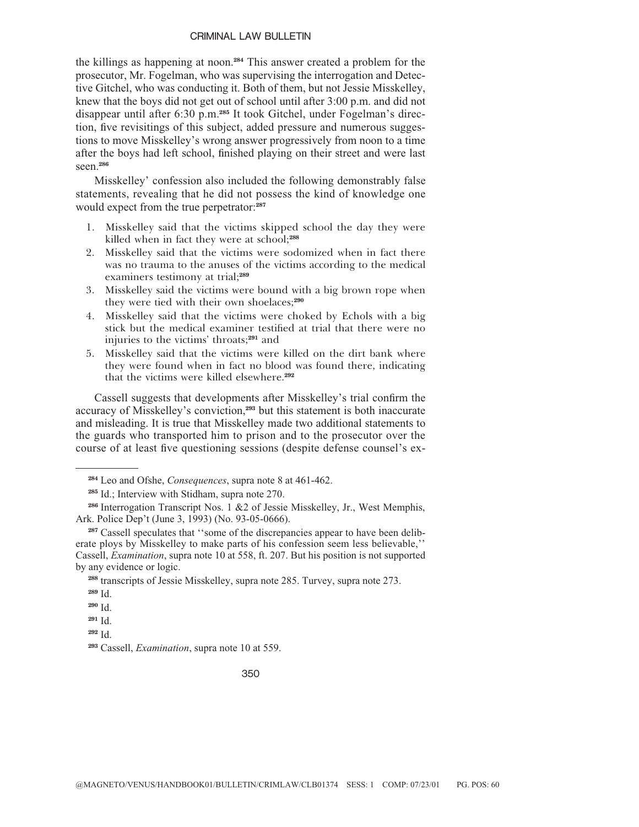# CRIMINAL LAW BULLETIN

the killings as happening at noon.**<sup>284</sup>** This answer created a problem for the prosecutor, Mr. Fogelman, who was supervising the interrogation and Detective Gitchel, who was conducting it. Both of them, but not Jessie Misskelley, knew that the boys did not get out of school until after 3:00 p.m. and did not disappear until after 6:30 p.m.**<sup>285</sup>** It took Gitchel, under Fogelman's direction, five revisitings of this subject, added pressure and numerous suggestions to move Misskelley's wrong answer progressively from noon to a time after the boys had left school, finished playing on their street and were last seen.**<sup>286</sup>**

Misskelley' confession also included the following demonstrably false statements, revealing that he did not possess the kind of knowledge one would expect from the true perpetrator:**<sup>287</sup>**

- 1. Misskelley said that the victims skipped school the day they were killed when in fact they were at school;**<sup>288</sup>**
- 2. Misskelley said that the victims were sodomized when in fact there was no trauma to the anuses of the victims according to the medical examiners testimony at trial;**<sup>289</sup>**
- 3. Misskelley said the victims were bound with a big brown rope when they were tied with their own shoelaces;**<sup>290</sup>**
- 4. Misskelley said that the victims were choked by Echols with a big stick but the medical examiner testified at trial that there were no injuries to the victims' throats;**<sup>291</sup>** and
- 5. Misskelley said that the victims were killed on the dirt bank where they were found when in fact no blood was found there, indicating that the victims were killed elsewhere.**<sup>292</sup>**

Cassell suggests that developments after Misskelley's trial confirm the accuracy of Misskelley's conviction,**<sup>293</sup>** but this statement is both inaccurate and misleading. It is true that Misskelley made two additional statements to the guards who transported him to prison and to the prosecutor over the course of at least five questioning sessions (despite defense counsel's ex-

**<sup>284</sup>** Leo and Ofshe, *Consequences*, supra note 8 at 461-462.

**<sup>285</sup>** Id.; Interview with Stidham, supra note 270.

<sup>&</sup>lt;sup>286</sup> Interrogation Transcript Nos. 1 & 2 of Jessie Misskelley, Jr., West Memphis, Ark. Police Dep't (June 3, 1993) (No. 93-05-0666).

<sup>&</sup>lt;sup>287</sup> Cassell speculates that "some of the discrepancies appear to have been deliberate ploys by Misskelley to make parts of his confession seem less believable,'' Cassell, *Examination*, supra note 10 at 558, ft. 207. But his position is not supported by any evidence or logic.

**<sup>288</sup>** transcripts of Jessie Misskelley, supra note 285. Turvey, supra note 273.

**<sup>289</sup>** Id.

**<sup>290</sup>** Id.

**<sup>291</sup>** Id.

**<sup>292</sup>** Id.

**<sup>293</sup>** Cassell, *Examination*, supra note 10 at 559.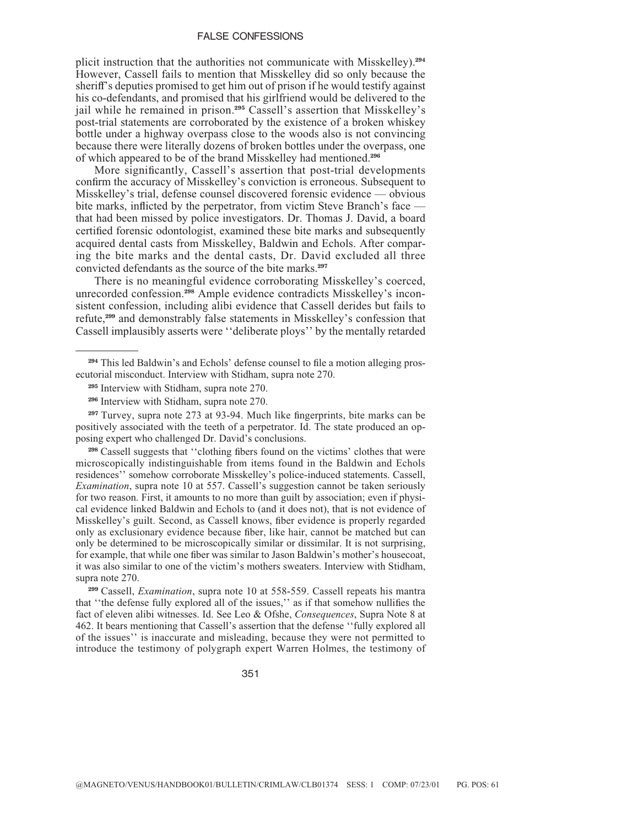plicit instruction that the authorities not communicate with Misskelley).**<sup>294</sup>** However, Cassell fails to mention that Misskelley did so only because the sheriff's deputies promised to get him out of prison if he would testify against his co-defendants, and promised that his girlfriend would be delivered to the jail while he remained in prison.**<sup>295</sup>** Cassell's assertion that Misskelley's post-trial statements are corroborated by the existence of a broken whiskey bottle under a highway overpass close to the woods also is not convincing because there were literally dozens of broken bottles under the overpass, one of which appeared to be of the brand Misskelley had mentioned.**<sup>296</sup>**

More significantly, Cassell's assertion that post-trial developments confirm the accuracy of Misskelley's conviction is erroneous. Subsequent to Misskelley's trial, defense counsel discovered forensic evidence — obvious bite marks, inflicted by the perpetrator, from victim Steve Branch's face  $$ that had been missed by police investigators. Dr. Thomas J. David, a board certified forensic odontologist, examined these bite marks and subsequently acquired dental casts from Misskelley, Baldwin and Echols. After comparing the bite marks and the dental casts, Dr. David excluded all three convicted defendants as the source of the bite marks.**<sup>297</sup>**

There is no meaningful evidence corroborating Misskelley's coerced, unrecorded confession.**<sup>298</sup>** Ample evidence contradicts Misskelley's inconsistent confession, including alibi evidence that Cassell derides but fails to refute,**<sup>299</sup>** and demonstrably false statements in Misskelley's confession that Cassell implausibly asserts were ''deliberate ploys'' by the mentally retarded

<sup>297</sup> Turvey, supra note 273 at 93-94. Much like fingerprints, bite marks can be positively associated with the teeth of a perpetrator. Id. The state produced an opposing expert who challenged Dr. David's conclusions.

<sup>298</sup> Cassell suggests that "clothing fibers found on the victims' clothes that were microscopically indistinguishable from items found in the Baldwin and Echols residences'' somehow corroborate Misskelley's police-induced statements. Cassell, *Examination*, supra note 10 at 557. Cassell's suggestion cannot be taken seriously for two reason. First, it amounts to no more than guilt by association; even if physical evidence linked Baldwin and Echols to (and it does not), that is not evidence of Misskelley's guilt. Second, as Cassell knows, fiber evidence is properly regarded only as exclusionary evidence because ber, like hair, cannot be matched but can only be determined to be microscopically similar or dissimilar. It is not surprising, for example, that while one fiber was similar to Jason Baldwin's mother's housecoat, it was also similar to one of the victim's mothers sweaters. Interview with Stidham, supra note 270.

**<sup>299</sup>** Cassell, *Examination*, supra note 10 at 558-559. Cassell repeats his mantra that "the defense fully explored all of the issues," as if that somehow nullifies the fact of eleven alibi witnesses. Id. See Leo & Ofshe, *Consequences*, Supra Note 8 at 462. It bears mentioning that Cassell's assertion that the defense ''fully explored all of the issues'' is inaccurate and misleading, because they were not permitted to introduce the testimony of polygraph expert Warren Holmes, the testimony of

<sup>&</sup>lt;sup>294</sup> This led Baldwin's and Echols' defense counsel to file a motion alleging prosecutorial misconduct. Interview with Stidham, supra note 270.

**<sup>295</sup>** Interview with Stidham, supra note 270.

**<sup>296</sup>** Interview with Stidham, supra note 270.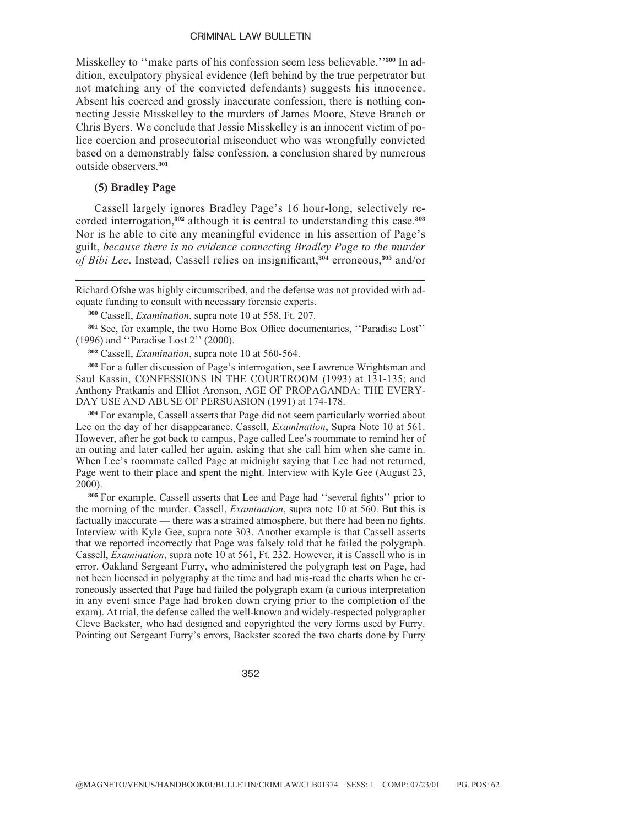Misskelley to ''make parts of his confession seem less believable.''**<sup>300</sup>** In addition, exculpatory physical evidence (left behind by the true perpetrator but not matching any of the convicted defendants) suggests his innocence. Absent his coerced and grossly inaccurate confession, there is nothing connecting Jessie Misskelley to the murders of James Moore, Steve Branch or Chris Byers. We conclude that Jessie Misskelley is an innocent victim of police coercion and prosecutorial misconduct who was wrongfully convicted based on a demonstrably false confession, a conclusion shared by numerous outside observers.**<sup>301</sup>**

#### **(5) Bradley Page**

Cassell largely ignores Bradley Page's 16 hour-long, selectively recorded interrogation,**<sup>302</sup>** although it is central to understanding this case.**<sup>303</sup>** Nor is he able to cite any meaningful evidence in his assertion of Page's guilt, *because there is no evidence connecting Bradley Page to the murder of Bibi Lee*. Instead, Cassell relies on insignicant,**<sup>304</sup>** erroneous,**<sup>305</sup>** and/or

Richard Ofshe was highly circumscribed, and the defense was not provided with adequate funding to consult with necessary forensic experts.

**<sup>300</sup>** Cassell, *Examination*, supra note 10 at 558, Ft. 207.

<sup>301</sup> See, for example, the two Home Box Office documentaries, "Paradise Lost" (1996) and ''Paradise Lost 2'' (2000).

**<sup>302</sup>** Cassell, *Examination*, supra note 10 at 560-564.

**<sup>303</sup>** For a fuller discussion of Page's interrogation, see Lawrence Wrightsman and Saul Kassin, CONFESSIONS IN THE COURTROOM (1993) at 131-135; and Anthony Pratkanis and Elliot Aronson, AGE OF PROPAGANDA: THE EVERY-DAY USE AND ABUSE OF PERSUASION (1991) at 174-178.

**<sup>304</sup>** For example, Cassell asserts that Page did not seem particularly worried about Lee on the day of her disappearance. Cassell, *Examination*, Supra Note 10 at 561. However, after he got back to campus, Page called Lee's roommate to remind her of an outing and later called her again, asking that she call him when she came in. When Lee's roommate called Page at midnight saying that Lee had not returned, Page went to their place and spent the night. Interview with Kyle Gee (August 23, 2000).

<sup>305</sup> For example, Cassell asserts that Lee and Page had "several fights" prior to the morning of the murder. Cassell, *Examination*, supra note 10 at 560. But this is factually inaccurate — there was a strained atmosphere, but there had been no fights. Interview with Kyle Gee, supra note 303. Another example is that Cassell asserts that we reported incorrectly that Page was falsely told that he failed the polygraph. Cassell, *Examination*, supra note 10 at 561, Ft. 232. However, it is Cassell who is in error. Oakland Sergeant Furry, who administered the polygraph test on Page, had not been licensed in polygraphy at the time and had mis-read the charts when he erroneously asserted that Page had failed the polygraph exam (a curious interpretation in any event since Page had broken down crying prior to the completion of the exam). At trial, the defense called the well-known and widely-respected polygrapher Cleve Backster, who had designed and copyrighted the very forms used by Furry. Pointing out Sergeant Furry's errors, Backster scored the two charts done by Furry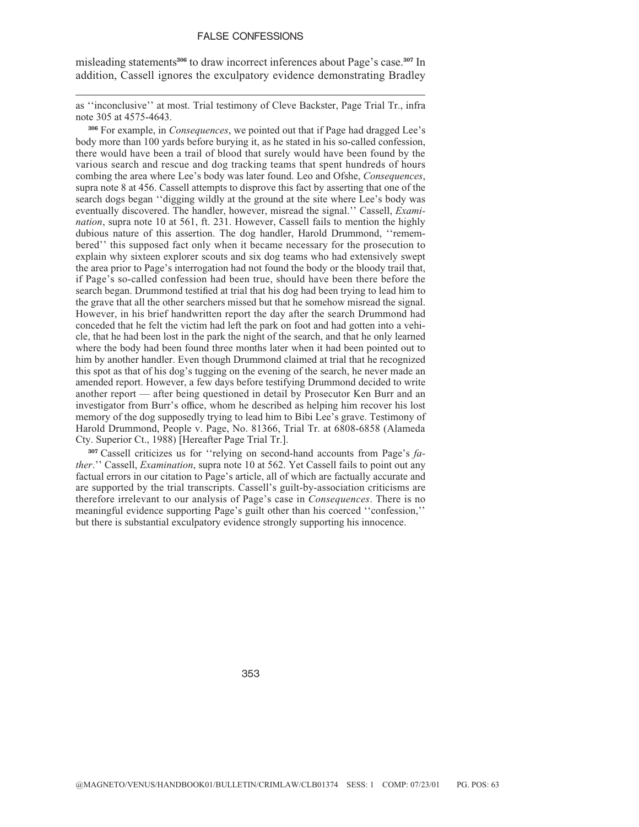misleading statements**<sup>306</sup>** to draw incorrect inferences about Page's case.**<sup>307</sup>** In addition, Cassell ignores the exculpatory evidence demonstrating Bradley

as ''inconclusive'' at most. Trial testimony of Cleve Backster, Page Trial Tr., infra note 305 at 4575-4643.

**<sup>306</sup>** For example, in *Consequences*, we pointed out that if Page had dragged Lee's body more than 100 yards before burying it, as he stated in his so-called confession, there would have been a trail of blood that surely would have been found by the various search and rescue and dog tracking teams that spent hundreds of hours combing the area where Lee's body was later found. Leo and Ofshe, *Consequences*, supra note 8 at 456. Cassell attempts to disprove this fact by asserting that one of the search dogs began ''digging wildly at the ground at the site where Lee's body was eventually discovered. The handler, however, misread the signal.'' Cassell, *Examination*, supra note 10 at 561, ft. 231. However, Cassell fails to mention the highly dubious nature of this assertion. The dog handler, Harold Drummond, ''remembered'' this supposed fact only when it became necessary for the prosecution to explain why sixteen explorer scouts and six dog teams who had extensively swept the area prior to Page's interrogation had not found the body or the bloody trail that, if Page's so-called confession had been true, should have been there before the search began. Drummond testied at trial that his dog had been trying to lead him to the grave that all the other searchers missed but that he somehow misread the signal. However, in his brief handwritten report the day after the search Drummond had conceded that he felt the victim had left the park on foot and had gotten into a vehicle, that he had been lost in the park the night of the search, and that he only learned where the body had been found three months later when it had been pointed out to him by another handler. Even though Drummond claimed at trial that he recognized this spot as that of his dog's tugging on the evening of the search, he never made an amended report. However, a few days before testifying Drummond decided to write another report — after being questioned in detail by Prosecutor Ken Burr and an investigator from Burr's office, whom he described as helping him recover his lost memory of the dog supposedly trying to lead him to Bibi Lee's grave. Testimony of Harold Drummond, People v. Page, No. 81366, Trial Tr. at 6808-6858 (Alameda Cty. Superior Ct., 1988) [Hereafter Page Trial Tr.].

**<sup>307</sup>** Cassell criticizes us for ''relying on second-hand accounts from Page's *father*.'' Cassell, *Examination*, supra note 10 at 562. Yet Cassell fails to point out any factual errors in our citation to Page's article, all of which are factually accurate and are supported by the trial transcripts. Cassell's guilt-by-association criticisms are therefore irrelevant to our analysis of Page's case in *Consequences*. There is no meaningful evidence supporting Page's guilt other than his coerced ''confession,'' but there is substantial exculpatory evidence strongly supporting his innocence.

353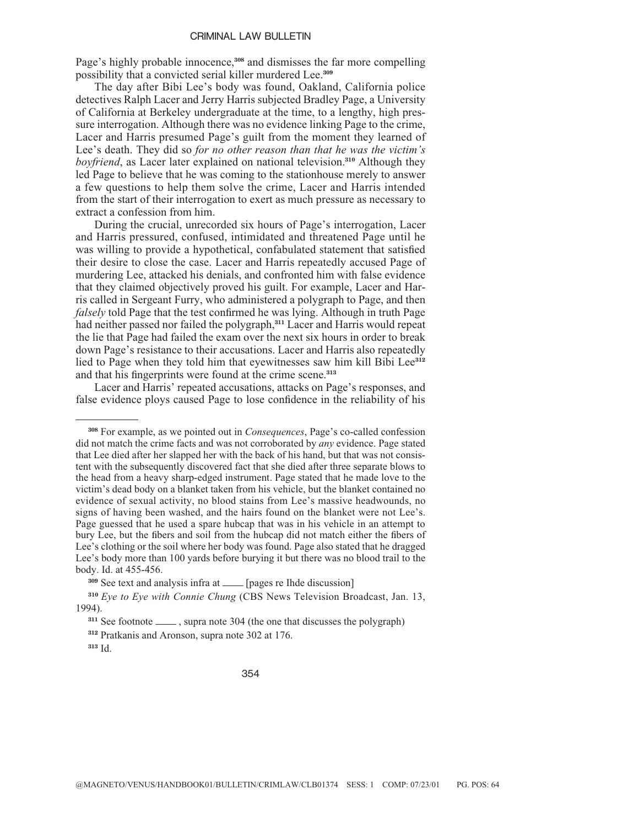Page's highly probable innocence,<sup>308</sup> and dismisses the far more compelling possibility that a convicted serial killer murdered Lee.**<sup>309</sup>**

The day after Bibi Lee's body was found, Oakland, California police detectives Ralph Lacer and Jerry Harris subjected Bradley Page, a University of California at Berkeley undergraduate at the time, to a lengthy, high pressure interrogation. Although there was no evidence linking Page to the crime, Lacer and Harris presumed Page's guilt from the moment they learned of Lee's death. They did so *for no other reason than that he was the victim's boyfriend*, as Lacer later explained on national television.**<sup>310</sup>** Although they led Page to believe that he was coming to the stationhouse merely to answer a few questions to help them solve the crime, Lacer and Harris intended from the start of their interrogation to exert as much pressure as necessary to extract a confession from him.

During the crucial, unrecorded six hours of Page's interrogation, Lacer and Harris pressured, confused, intimidated and threatened Page until he was willing to provide a hypothetical, confabulated statement that satisfied their desire to close the case. Lacer and Harris repeatedly accused Page of murdering Lee, attacked his denials, and confronted him with false evidence that they claimed objectively proved his guilt. For example, Lacer and Harris called in Sergeant Furry, who administered a polygraph to Page, and then *falsely* told Page that the test confirmed he was lying. Although in truth Page had neither passed nor failed the polygraph,**<sup>311</sup>** Lacer and Harris would repeat the lie that Page had failed the exam over the next six hours in order to break down Page's resistance to their accusations. Lacer and Harris also repeatedly lied to Page when they told him that eyewitnesses saw him kill Bibi Lee**<sup>312</sup>** and that his fingerprints were found at the crime scene.<sup>313</sup>

Lacer and Harris' repeated accusations, attacks on Page's responses, and false evidence ploys caused Page to lose confidence in the reliability of his

**<sup>308</sup>** For example, as we pointed out in *Consequences*, Page's co-called confession did not match the crime facts and was not corroborated by *any* evidence. Page stated that Lee died after her slapped her with the back of his hand, but that was not consistent with the subsequently discovered fact that she died after three separate blows to the head from a heavy sharp-edged instrument. Page stated that he made love to the victim's dead body on a blanket taken from his vehicle, but the blanket contained no evidence of sexual activity, no blood stains from Lee's massive headwounds, no signs of having been washed, and the hairs found on the blanket were not Lee's. Page guessed that he used a spare hubcap that was in his vehicle in an attempt to bury Lee, but the fibers and soil from the hubcap did not match either the fibers of Lee's clothing or the soil where her body was found. Page also stated that he dragged Lee's body more than 100 yards before burying it but there was no blood trail to the body. Id. at 455-456.

<sup>&</sup>lt;sup>309</sup> See text and analysis infra at \_\_\_\_ [pages re Ihde discussion]

**<sup>310</sup>** *Eye to Eye with Connie Chung* (CBS News Television Broadcast, Jan. 13, 1994).

<sup>&</sup>lt;sup>311</sup> See footnote  $\_\_\_\$ , supra note 304 (the one that discusses the polygraph) **<sup>312</sup>** Pratkanis and Aronson, supra note 302 at 176.

**<sup>313</sup>** Id.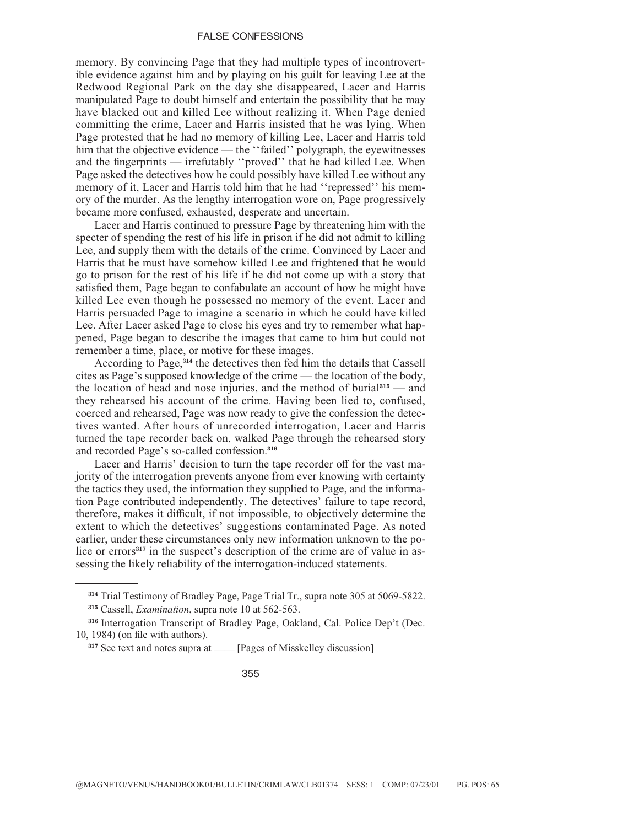memory. By convincing Page that they had multiple types of incontrovertible evidence against him and by playing on his guilt for leaving Lee at the Redwood Regional Park on the day she disappeared, Lacer and Harris manipulated Page to doubt himself and entertain the possibility that he may have blacked out and killed Lee without realizing it. When Page denied committing the crime, Lacer and Harris insisted that he was lying. When Page protested that he had no memory of killing Lee, Lacer and Harris told him that the objective evidence — the ''failed'' polygraph, the eyewitnesses and the fingerprints — irrefutably "proved" that he had killed Lee. When Page asked the detectives how he could possibly have killed Lee without any memory of it, Lacer and Harris told him that he had ''repressed'' his memory of the murder. As the lengthy interrogation wore on, Page progressively became more confused, exhausted, desperate and uncertain.

Lacer and Harris continued to pressure Page by threatening him with the specter of spending the rest of his life in prison if he did not admit to killing Lee, and supply them with the details of the crime. Convinced by Lacer and Harris that he must have somehow killed Lee and frightened that he would go to prison for the rest of his life if he did not come up with a story that satisfied them, Page began to confabulate an account of how he might have killed Lee even though he possessed no memory of the event. Lacer and Harris persuaded Page to imagine a scenario in which he could have killed Lee. After Lacer asked Page to close his eyes and try to remember what happened, Page began to describe the images that came to him but could not remember a time, place, or motive for these images.

According to Page,**<sup>314</sup>** the detectives then fed him the details that Cassell cites as Page's supposed knowledge of the crime — the location of the body, the location of head and nose injuries, and the method of burial**<sup>315</sup>** — and they rehearsed his account of the crime. Having been lied to, confused, coerced and rehearsed, Page was now ready to give the confession the detectives wanted. After hours of unrecorded interrogation, Lacer and Harris turned the tape recorder back on, walked Page through the rehearsed story and recorded Page's so-called confession.**<sup>316</sup>**

Lacer and Harris' decision to turn the tape recorder off for the vast majority of the interrogation prevents anyone from ever knowing with certainty the tactics they used, the information they supplied to Page, and the information Page contributed independently. The detectives' failure to tape record, therefore, makes it difficult, if not impossible, to objectively determine the extent to which the detectives' suggestions contaminated Page. As noted earlier, under these circumstances only new information unknown to the police or errors**<sup>317</sup>** in the suspect's description of the crime are of value in assessing the likely reliability of the interrogation-induced statements.

**<sup>314</sup>** Trial Testimony of Bradley Page, Page Trial Tr., supra note 305 at 5069-5822. **<sup>315</sup>** Cassell, *Examination*, supra note 10 at 562-563.

**<sup>316</sup>** Interrogation Transcript of Bradley Page, Oakland, Cal. Police Dep't (Dec.  $10, 1984$ ) (on file with authors).

 $317$  See text and notes supra at  $\qquad$  [Pages of Misskelley discussion]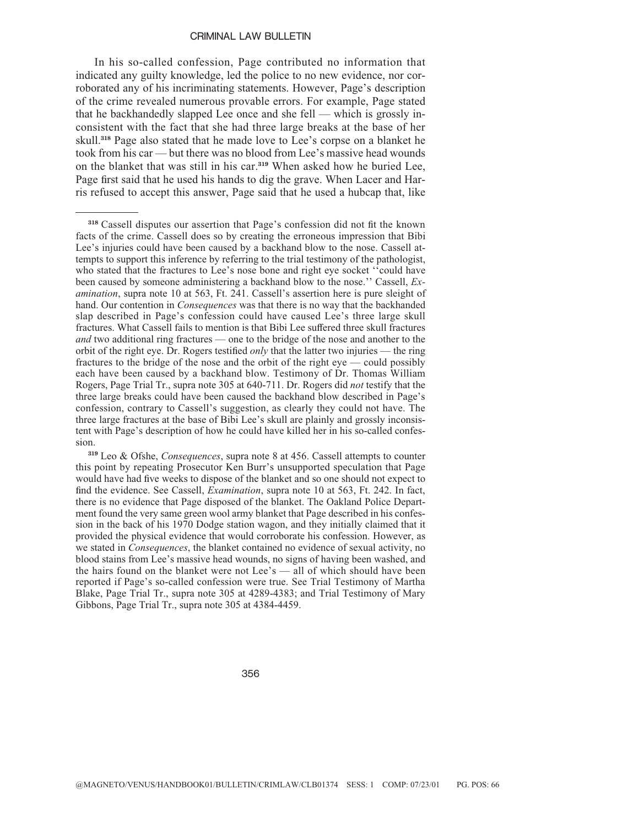#### CRIMINAL LAW BULLETIN

In his so-called confession, Page contributed no information that indicated any guilty knowledge, led the police to no new evidence, nor corroborated any of his incriminating statements. However, Page's description of the crime revealed numerous provable errors. For example, Page stated that he backhandedly slapped Lee once and she fell — which is grossly inconsistent with the fact that she had three large breaks at the base of her skull.**<sup>318</sup>** Page also stated that he made love to Lee's corpse on a blanket he took from his car — but there was no blood from Lee's massive head wounds on the blanket that was still in his car.**<sup>319</sup>** When asked how he buried Lee, Page first said that he used his hands to dig the grave. When Lacer and Harris refused to accept this answer, Page said that he used a hubcap that, like

**<sup>319</sup>** Leo & Ofshe, *Consequences*, supra note 8 at 456. Cassell attempts to counter this point by repeating Prosecutor Ken Burr's unsupported speculation that Page would have had five weeks to dispose of the blanket and so one should not expect to find the evidence. See Cassell, *Examination*, supra note 10 at 563, Ft. 242. In fact, there is no evidence that Page disposed of the blanket. The Oakland Police Department found the very same green wool army blanket that Page described in his confession in the back of his 1970 Dodge station wagon, and they initially claimed that it provided the physical evidence that would corroborate his confession. However, as we stated in *Consequences*, the blanket contained no evidence of sexual activity, no blood stains from Lee's massive head wounds, no signs of having been washed, and the hairs found on the blanket were not Lee's — all of which should have been reported if Page's so-called confession were true. See Trial Testimony of Martha Blake, Page Trial Tr., supra note 305 at 4289-4383; and Trial Testimony of Mary Gibbons, Page Trial Tr., supra note 305 at 4384-4459.

<sup>&</sup>lt;sup>318</sup> Cassell disputes our assertion that Page's confession did not fit the known facts of the crime. Cassell does so by creating the erroneous impression that Bibi Lee's injuries could have been caused by a backhand blow to the nose. Cassell attempts to support this inference by referring to the trial testimony of the pathologist, who stated that the fractures to Lee's nose bone and right eye socket ''could have been caused by someone administering a backhand blow to the nose.'' Cassell, *Examination*, supra note 10 at 563, Ft. 241. Cassell's assertion here is pure sleight of hand. Our contention in *Consequences* was that there is no way that the backhanded slap described in Page's confession could have caused Lee's three large skull fractures. What Cassell fails to mention is that Bibi Lee suffered three skull fractures *and* two additional ring fractures — one to the bridge of the nose and another to the orbit of the right eye. Dr. Rogers testied *only* that the latter two injuries — the ring fractures to the bridge of the nose and the orbit of the right eye — could possibly each have been caused by a backhand blow. Testimony of Dr. Thomas William Rogers, Page Trial Tr., supra note 305 at 640-711. Dr. Rogers did *not* testify that the three large breaks could have been caused the backhand blow described in Page's confession, contrary to Cassell's suggestion, as clearly they could not have. The three large fractures at the base of Bibi Lee's skull are plainly and grossly inconsistent with Page's description of how he could have killed her in his so-called confession.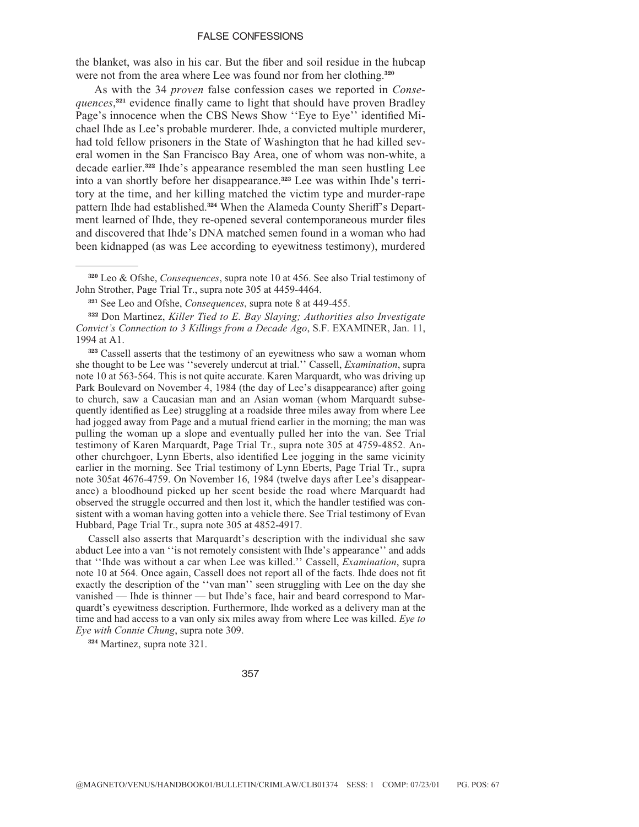the blanket, was also in his car. But the fiber and soil residue in the hubcap were not from the area where Lee was found nor from her clothing.**<sup>320</sup>**

As with the 34 *proven* false confession cases we reported in *Conse*quences,<sup>321</sup> evidence finally came to light that should have proven Bradley Page's innocence when the CBS News Show "Eye to Eye" identified Michael Ihde as Lee's probable murderer. Ihde, a convicted multiple murderer, had told fellow prisoners in the State of Washington that he had killed several women in the San Francisco Bay Area, one of whom was non-white, a decade earlier.**<sup>322</sup>** Ihde's appearance resembled the man seen hustling Lee into a van shortly before her disappearance.**<sup>323</sup>** Lee was within Ihde's territory at the time, and her killing matched the victim type and murder-rape pattern Ihde had established.<sup>324</sup> When the Alameda County Sheriff's Department learned of Ihde, they re-opened several contemporaneous murder files and discovered that Ihde's DNA matched semen found in a woman who had been kidnapped (as was Lee according to eyewitness testimony), murdered

**<sup>323</sup>** Cassell asserts that the testimony of an eyewitness who saw a woman whom she thought to be Lee was ''severely undercut at trial.'' Cassell, *Examination*, supra note 10 at 563-564. This is not quite accurate. Karen Marquardt, who was driving up Park Boulevard on November 4, 1984 (the day of Lee's disappearance) after going to church, saw a Caucasian man and an Asian woman (whom Marquardt subsequently identified as Lee) struggling at a roadside three miles away from where Lee had jogged away from Page and a mutual friend earlier in the morning; the man was pulling the woman up a slope and eventually pulled her into the van. See Trial testimony of Karen Marquardt, Page Trial Tr., supra note 305 at 4759-4852. Another churchgoer, Lynn Eberts, also identified Lee jogging in the same vicinity earlier in the morning. See Trial testimony of Lynn Eberts, Page Trial Tr., supra note 305at 4676-4759. On November 16, 1984 (twelve days after Lee's disappearance) a bloodhound picked up her scent beside the road where Marquardt had observed the struggle occurred and then lost it, which the handler testified was consistent with a woman having gotten into a vehicle there. See Trial testimony of Evan Hubbard, Page Trial Tr., supra note 305 at 4852-4917.

Cassell also asserts that Marquardt's description with the individual she saw abduct Lee into a van ''is not remotely consistent with Ihde's appearance'' and adds that ''Ihde was without a car when Lee was killed.'' Cassell, *Examination*, supra note 10 at 564. Once again, Cassell does not report all of the facts. Ihde does not fit exactly the description of the ''van man'' seen struggling with Lee on the day she vanished — Ihde is thinner — but Ihde's face, hair and beard correspond to Marquardt's eyewitness description. Furthermore, Ihde worked as a delivery man at the time and had access to a van only six miles away from where Lee was killed. *Eye to Eye with Connie Chung*, supra note 309.

**<sup>324</sup>** Martinez, supra note 321.

**<sup>320</sup>** Leo & Ofshe, *Consequences*, supra note 10 at 456. See also Trial testimony of John Strother, Page Trial Tr., supra note 305 at 4459-4464.

**<sup>321</sup>** See Leo and Ofshe, *Consequences*, supra note 8 at 449-455.

**<sup>322</sup>** Don Martinez, *Killer Tied to E. Bay Slaying; Authorities also Investigate Convict's Connection to 3 Killings from a Decade Ago*, S.F. EXAMINER, Jan. 11, 1994 at A1.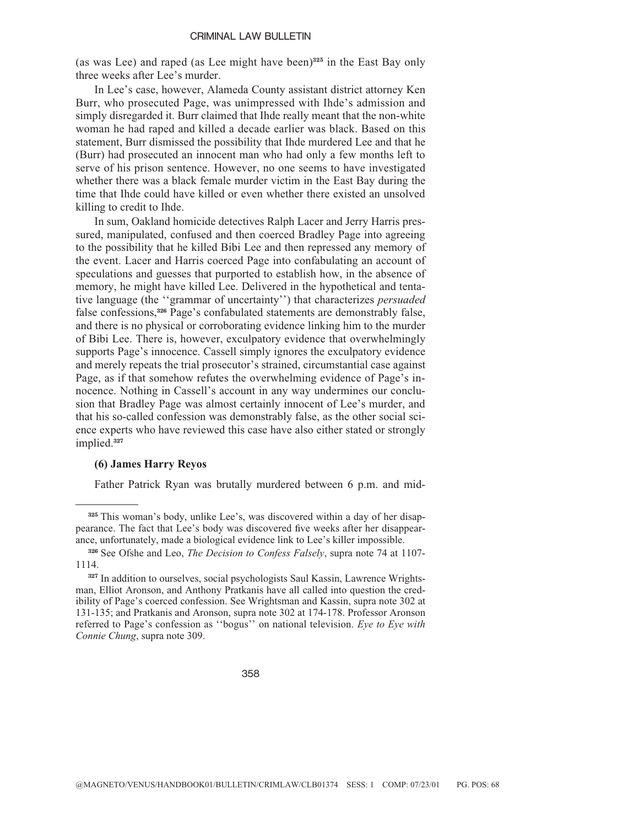(as was Lee) and raped (as Lee might have been)**<sup>325</sup>** in the East Bay only three weeks after Lee's murder.

In Lee's case, however, Alameda County assistant district attorney Ken Burr, who prosecuted Page, was unimpressed with Ihde's admission and simply disregarded it. Burr claimed that Ihde really meant that the non-white woman he had raped and killed a decade earlier was black. Based on this statement, Burr dismissed the possibility that Ihde murdered Lee and that he (Burr) had prosecuted an innocent man who had only a few months left to serve of his prison sentence. However, no one seems to have investigated whether there was a black female murder victim in the East Bay during the time that Ihde could have killed or even whether there existed an unsolved killing to credit to Ihde.

In sum, Oakland homicide detectives Ralph Lacer and Jerry Harris pressured, manipulated, confused and then coerced Bradley Page into agreeing to the possibility that he killed Bibi Lee and then repressed any memory of the event. Lacer and Harris coerced Page into confabulating an account of speculations and guesses that purported to establish how, in the absence of memory, he might have killed Lee. Delivered in the hypothetical and tentative language (the ''grammar of uncertainty'') that characterizes *persuaded* false confessions,**<sup>326</sup>** Page's confabulated statements are demonstrably false, and there is no physical or corroborating evidence linking him to the murder of Bibi Lee. There is, however, exculpatory evidence that overwhelmingly supports Page's innocence. Cassell simply ignores the exculpatory evidence and merely repeats the trial prosecutor's strained, circumstantial case against Page, as if that somehow refutes the overwhelming evidence of Page's innocence. Nothing in Cassell's account in any way undermines our conclusion that Bradley Page was almost certainly innocent of Lee's murder, and that his so-called confession was demonstrably false, as the other social science experts who have reviewed this case have also either stated or strongly implied.**<sup>327</sup>**

# **(6) James Harry Reyos**

Father Patrick Ryan was brutally murdered between 6 p.m. and mid-

**<sup>325</sup>** This woman's body, unlike Lee's, was discovered within a day of her disappearance. The fact that Lee's body was discovered five weeks after her disappearance, unfortunately, made a biological evidence link to Lee's killer impossible.

**<sup>326</sup>** See Ofshe and Leo, *The Decision to Confess Falsely*, supra note 74 at 1107- 1114.

**<sup>327</sup>** In addition to ourselves, social psychologists Saul Kassin, Lawrence Wrightsman, Elliot Aronson, and Anthony Pratkanis have all called into question the credibility of Page's coerced confession. See Wrightsman and Kassin, supra note 302 at 131-135; and Pratkanis and Aronson, supra note 302 at 174-178. Professor Aronson referred to Page's confession as ''bogus'' on national television. *Eye to Eye with Connie Chung*, supra note 309.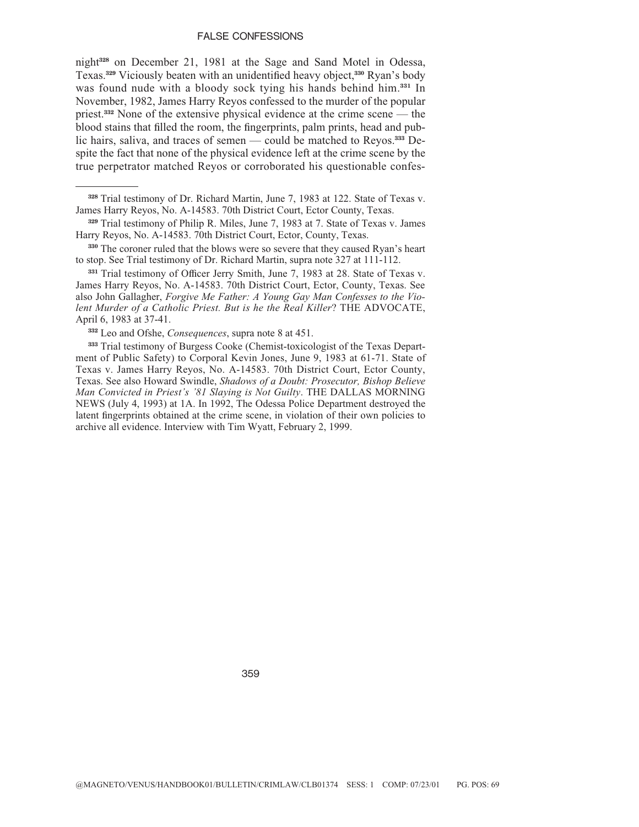night**<sup>328</sup>** on December 21, 1981 at the Sage and Sand Motel in Odessa, Texas.<sup>329</sup> Viciously beaten with an unidentified heavy object,<sup>330</sup> Ryan's body was found nude with a bloody sock tying his hands behind him.**<sup>331</sup>** In November, 1982, James Harry Reyos confessed to the murder of the popular priest.**<sup>332</sup>** None of the extensive physical evidence at the crime scene — the blood stains that filled the room, the fingerprints, palm prints, head and public hairs, saliva, and traces of semen — could be matched to Reyos.**<sup>333</sup>** Despite the fact that none of the physical evidence left at the crime scene by the true perpetrator matched Reyos or corroborated his questionable confes-

**<sup>332</sup>** Leo and Ofshe, *Consequences*, supra note 8 at 451.

**<sup>328</sup>** Trial testimony of Dr. Richard Martin, June 7, 1983 at 122. State of Texas v. James Harry Reyos, No. A-14583. 70th District Court, Ector County, Texas.

**<sup>329</sup>** Trial testimony of Philip R. Miles, June 7, 1983 at 7. State of Texas v. James Harry Reyos, No. A-14583. 70th District Court, Ector, County, Texas.

**<sup>330</sup>** The coroner ruled that the blows were so severe that they caused Ryan's heart to stop. See Trial testimony of Dr. Richard Martin, supra note 327 at 111-112.

<sup>&</sup>lt;sup>331</sup> Trial testimony of Officer Jerry Smith, June 7, 1983 at 28. State of Texas v. James Harry Reyos, No. A-14583. 70th District Court, Ector, County, Texas. See also John Gallagher, *Forgive Me Father: A Young Gay Man Confesses to the Violent Murder of a Catholic Priest. But is he the Real Killer*? THE ADVOCATE, April 6, 1983 at 37-41.

**<sup>333</sup>** Trial testimony of Burgess Cooke (Chemist-toxicologist of the Texas Department of Public Safety) to Corporal Kevin Jones, June 9, 1983 at 61-71. State of Texas v. James Harry Reyos, No. A-14583. 70th District Court, Ector County, Texas. See also Howard Swindle, *Shadows of a Doubt: Prosecutor, Bishop Believe Man Convicted in Priest's '81 Slaying is Not Guilty*. THE DALLAS MORNING NEWS (July 4, 1993) at 1A. In 1992, The Odessa Police Department destroyed the latent fingerprints obtained at the crime scene, in violation of their own policies to archive all evidence. Interview with Tim Wyatt, February 2, 1999.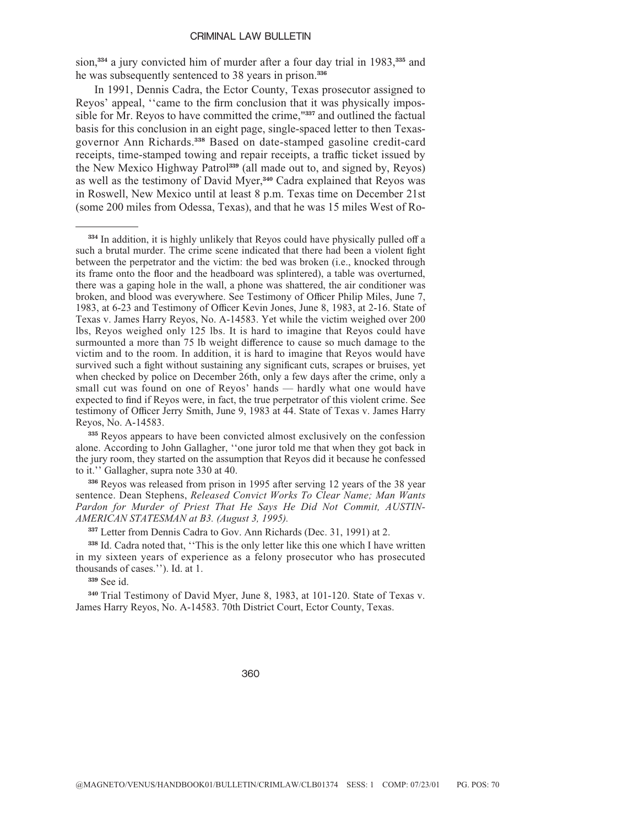sion,**<sup>334</sup>** a jury convicted him of murder after a four day trial in 1983,**<sup>335</sup>** and he was subsequently sentenced to 38 years in prison.**<sup>336</sup>**

In 1991, Dennis Cadra, the Ector County, Texas prosecutor assigned to Reyos' appeal, "came to the firm conclusion that it was physically impossible for Mr. Reyos to have committed the crime,"**<sup>337</sup>** and outlined the factual basis for this conclusion in an eight page, single-spaced letter to then Texasgovernor Ann Richards.**<sup>338</sup>** Based on date-stamped gasoline credit-card receipts, time-stamped towing and repair receipts, a traffic ticket issued by the New Mexico Highway Patrol**<sup>339</sup>** (all made out to, and signed by, Reyos) as well as the testimony of David Myer,**<sup>340</sup>** Cadra explained that Reyos was in Roswell, New Mexico until at least 8 p.m. Texas time on December 21st (some 200 miles from Odessa, Texas), and that he was 15 miles West of Ro-

**<sup>335</sup>** Reyos appears to have been convicted almost exclusively on the confession alone. According to John Gallagher, ''one juror told me that when they got back in the jury room, they started on the assumption that Reyos did it because he confessed to it.'' Gallagher, supra note 330 at 40.

**<sup>336</sup>** Reyos was released from prison in 1995 after serving 12 years of the 38 year sentence. Dean Stephens, *Released Convict Works To Clear Name; Man Wants Pardon for Murder of Priest That He Says He Did Not Commit, AUSTIN-AMERICAN STATESMAN at B3. (August 3, 1995).*

**<sup>337</sup>** Letter from Dennis Cadra to Gov. Ann Richards (Dec. 31, 1991) at 2.

**<sup>338</sup>** Id. Cadra noted that, ''This is the only letter like this one which I have written in my sixteen years of experience as a felony prosecutor who has prosecuted thousands of cases.''). Id. at 1.

**<sup>339</sup>** See id.

**<sup>340</sup>** Trial Testimony of David Myer, June 8, 1983, at 101-120. State of Texas v. James Harry Reyos, No. A-14583. 70th District Court, Ector County, Texas.

360

<sup>&</sup>lt;sup>334</sup> In addition, it is highly unlikely that Reyos could have physically pulled off a such a brutal murder. The crime scene indicated that there had been a violent fight between the perpetrator and the victim: the bed was broken (i.e., knocked through its frame onto the floor and the headboard was splintered), a table was overturned, there was a gaping hole in the wall, a phone was shattered, the air conditioner was broken, and blood was everywhere. See Testimony of Officer Philip Miles, June 7, 1983, at 6-23 and Testimony of Officer Kevin Jones, June 8, 1983, at 2-16. State of Texas v. James Harry Reyos, No. A-14583. Yet while the victim weighed over 200 lbs, Reyos weighed only 125 lbs. It is hard to imagine that Reyos could have surmounted a more than 75 lb weight difference to cause so much damage to the victim and to the room. In addition, it is hard to imagine that Reyos would have survived such a fight without sustaining any significant cuts, scrapes or bruises, yet when checked by police on December 26th, only a few days after the crime, only a small cut was found on one of Reyos' hands — hardly what one would have expected to find if Reyos were, in fact, the true perpetrator of this violent crime. See testimony of Officer Jerry Smith, June 9, 1983 at 44. State of Texas v. James Harry Reyos, No. A-14583.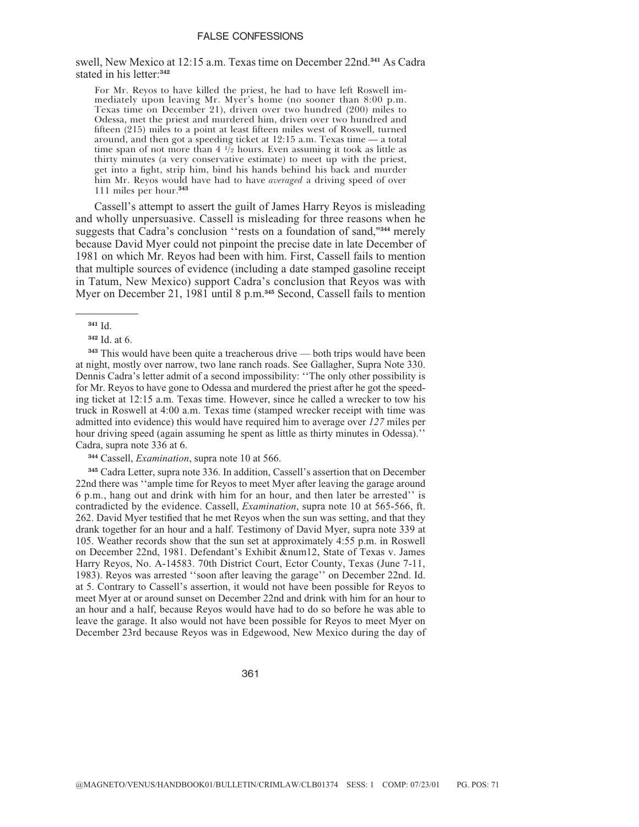swell, New Mexico at 12:15 a.m. Texas time on December 22nd.**<sup>341</sup>** As Cadra stated in his letter:**<sup>342</sup>**

For Mr. Reyos to have killed the priest, he had to have left Roswell immediately upon leaving Mr. Myer's home (no sooner than 8:00 p.m. Texas time on December 21), driven over two hundred (200) miles to Odessa, met the priest and murdered him, driven over two hundred and fifteen (215) miles to a point at least fifteen miles west of Roswell, turned around, and then got a speeding ticket at 12:15 a.m. Texas time — a total time span of not more than  $4\frac{1}{2}$  hours. Even assuming it took as little as thirty minutes (a very conservative estimate) to meet up with the priest, get into a fight, strip him, bind his hands behind his back and murder him Mr. Reyos would have had to have *averaged* a driving speed of over 111 miles per hour.**<sup>343</sup>**

Cassell's attempt to assert the guilt of James Harry Reyos is misleading and wholly unpersuasive. Cassell is misleading for three reasons when he suggests that Cadra's conclusion ''rests on a foundation of sand,"**<sup>344</sup>** merely because David Myer could not pinpoint the precise date in late December of 1981 on which Mr. Reyos had been with him. First, Cassell fails to mention that multiple sources of evidence (including a date stamped gasoline receipt in Tatum, New Mexico) support Cadra's conclusion that Reyos was with Myer on December 21, 1981 until 8 p.m.**<sup>345</sup>** Second, Cassell fails to mention

**<sup>343</sup>** This would have been quite a treacherous drive — both trips would have been at night, mostly over narrow, two lane ranch roads. See Gallagher, Supra Note 330. Dennis Cadra's letter admit of a second impossibility: ''The only other possibility is for Mr. Reyos to have gone to Odessa and murdered the priest after he got the speeding ticket at 12:15 a.m. Texas time. However, since he called a wrecker to tow his truck in Roswell at 4:00 a.m. Texas time (stamped wrecker receipt with time was admitted into evidence) this would have required him to average over *127* miles per hour driving speed (again assuming he spent as little as thirty minutes in Odessa).'' Cadra, supra note 336 at 6.

**<sup>344</sup>** Cassell, *Examination*, supra note 10 at 566.

**<sup>345</sup>** Cadra Letter, supra note 336. In addition, Cassell's assertion that on December 22nd there was ''ample time for Reyos to meet Myer after leaving the garage around 6 p.m., hang out and drink with him for an hour, and then later be arrested'' is contradicted by the evidence. Cassell, *Examination*, supra note 10 at 565-566, ft. 262. David Myer testied that he met Reyos when the sun was setting, and that they drank together for an hour and a half. Testimony of David Myer, supra note 339 at 105. Weather records show that the sun set at approximately 4:55 p.m. in Roswell on December 22nd, 1981. Defendant's Exhibit &num12, State of Texas v. James Harry Reyos, No. A-14583. 70th District Court, Ector County, Texas (June 7-11, 1983). Reyos was arrested ''soon after leaving the garage'' on December 22nd. Id. at 5. Contrary to Cassell's assertion, it would not have been possible for Reyos to meet Myer at or around sunset on December 22nd and drink with him for an hour to an hour and a half, because Reyos would have had to do so before he was able to leave the garage. It also would not have been possible for Reyos to meet Myer on December 23rd because Reyos was in Edgewood, New Mexico during the day of

**<sup>341</sup>** Id.

**<sup>342</sup>** Id. at 6.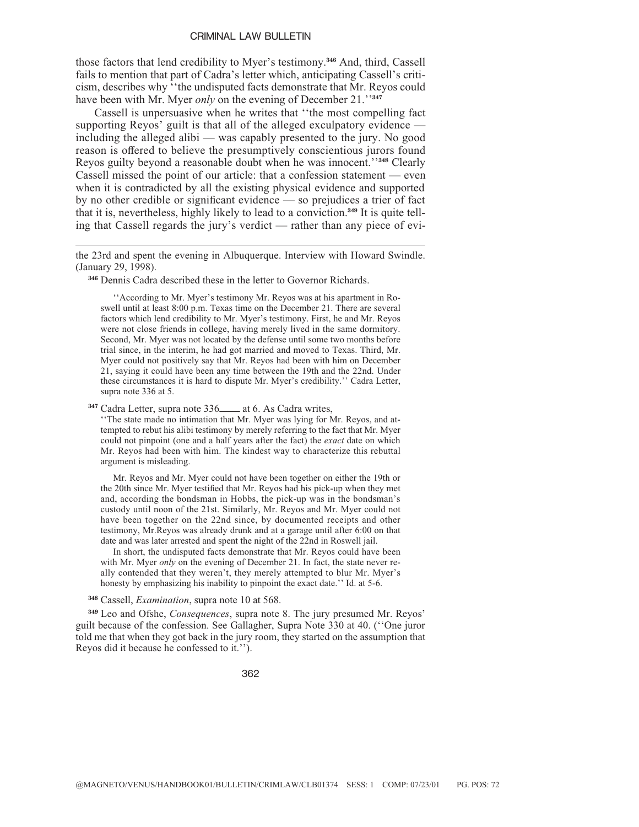those factors that lend credibility to Myer's testimony.**<sup>346</sup>** And, third, Cassell fails to mention that part of Cadra's letter which, anticipating Cassell's criticism, describes why ''the undisputed facts demonstrate that Mr. Reyos could have been with Mr. Myer *only* on the evening of December 21.''**<sup>347</sup>**

Cassell is unpersuasive when he writes that ''the most compelling fact supporting Reyos' guilt is that all of the alleged exculpatory evidence including the alleged alibi — was capably presented to the jury. No good reason is offered to believe the presumptively conscientious jurors found Reyos guilty beyond a reasonable doubt when he was innocent.''**<sup>348</sup>** Clearly Cassell missed the point of our article: that a confession statement — even when it is contradicted by all the existing physical evidence and supported by no other credible or signicant evidence — so prejudices a trier of fact that it is, nevertheless, highly likely to lead to a conviction.**<sup>349</sup>** It is quite telling that Cassell regards the jury's verdict — rather than any piece of evi-

the 23rd and spent the evening in Albuquerque. Interview with Howard Swindle. (January 29, 1998).

**<sup>346</sup>** Dennis Cadra described these in the letter to Governor Richards.

''According to Mr. Myer's testimony Mr. Reyos was at his apartment in Roswell until at least 8:00 p.m. Texas time on the December 21. There are several factors which lend credibility to Mr. Myer's testimony. First, he and Mr. Reyos were not close friends in college, having merely lived in the same dormitory. Second, Mr. Myer was not located by the defense until some two months before trial since, in the interim, he had got married and moved to Texas. Third, Mr. Myer could not positively say that Mr. Reyos had been with him on December 21, saying it could have been any time between the 19th and the 22nd. Under these circumstances it is hard to dispute Mr. Myer's credibility.'' Cadra Letter, supra note 336 at 5.

<sup>347</sup> Cadra Letter, supra note 336 at 6. As Cadra writes,

''The state made no intimation that Mr. Myer was lying for Mr. Reyos, and attempted to rebut his alibi testimony by merely referring to the fact that Mr. Myer could not pinpoint (one and a half years after the fact) the *exact* date on which Mr. Reyos had been with him. The kindest way to characterize this rebuttal argument is misleading.

Mr. Reyos and Mr. Myer could not have been together on either the 19th or the 20th since Mr. Myer testied that Mr. Reyos had his pick-up when they met and, according the bondsman in Hobbs, the pick-up was in the bondsman's custody until noon of the 21st. Similarly, Mr. Reyos and Mr. Myer could not have been together on the 22nd since, by documented receipts and other testimony, Mr.Reyos was already drunk and at a garage until after 6:00 on that date and was later arrested and spent the night of the 22nd in Roswell jail.

In short, the undisputed facts demonstrate that Mr. Reyos could have been with Mr. Myer *only* on the evening of December 21. In fact, the state never really contended that they weren't, they merely attempted to blur Mr. Myer's honesty by emphasizing his inability to pinpoint the exact date." Id. at 5-6.

**<sup>348</sup>** Cassell, *Examination*, supra note 10 at 568.

**<sup>349</sup>** Leo and Ofshe, *Consequences*, supra note 8. The jury presumed Mr. Reyos' guilt because of the confession. See Gallagher, Supra Note 330 at 40. (''One juror told me that when they got back in the jury room, they started on the assumption that Reyos did it because he confessed to it.'').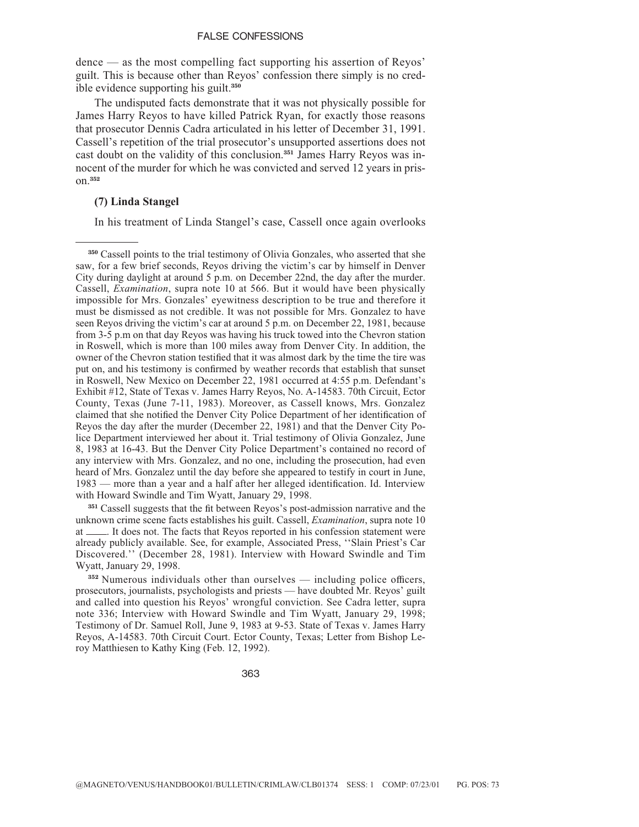dence — as the most compelling fact supporting his assertion of Reyos' guilt. This is because other than Reyos' confession there simply is no credible evidence supporting his guilt.**<sup>350</sup>**

The undisputed facts demonstrate that it was not physically possible for James Harry Reyos to have killed Patrick Ryan, for exactly those reasons that prosecutor Dennis Cadra articulated in his letter of December 31, 1991. Cassell's repetition of the trial prosecutor's unsupported assertions does not cast doubt on the validity of this conclusion.**<sup>351</sup>** James Harry Reyos was innocent of the murder for which he was convicted and served 12 years in prison.**<sup>352</sup>**

# **(7) Linda Stangel**

In his treatment of Linda Stangel's case, Cassell once again overlooks

<sup>351</sup> Cassell suggests that the fit between Reyos's post-admission narrative and the unknown crime scene facts establishes his guilt. Cassell, *Examination*, supra note 10 at \_\_\_\_\_. It does not. The facts that Reyos reported in his confession statement were already publicly available. See, for example, Associated Press, ''Slain Priest's Car Discovered.'' (December 28, 1981). Interview with Howard Swindle and Tim Wyatt, January 29, 1998.

 $352$  Numerous individuals other than ourselves  $-$  including police officers, prosecutors, journalists, psychologists and priests — have doubted Mr. Reyos' guilt and called into question his Reyos' wrongful conviction. See Cadra letter, supra note 336; Interview with Howard Swindle and Tim Wyatt, January 29, 1998; Testimony of Dr. Samuel Roll, June 9, 1983 at 9-53. State of Texas v. James Harry Reyos, A-14583. 70th Circuit Court. Ector County, Texas; Letter from Bishop Leroy Matthiesen to Kathy King (Feb. 12, 1992).

**<sup>350</sup>** Cassell points to the trial testimony of Olivia Gonzales, who asserted that she saw, for a few brief seconds, Reyos driving the victim's car by himself in Denver City during daylight at around 5 p.m. on December 22nd, the day after the murder. Cassell, *Examination*, supra note 10 at 566. But it would have been physically impossible for Mrs. Gonzales' eyewitness description to be true and therefore it must be dismissed as not credible. It was not possible for Mrs. Gonzalez to have seen Reyos driving the victim's car at around 5 p.m. on December 22, 1981, because from 3-5 p.m on that day Reyos was having his truck towed into the Chevron station in Roswell, which is more than 100 miles away from Denver City. In addition, the owner of the Chevron station testied that it was almost dark by the time the tire was put on, and his testimony is confirmed by weather records that establish that sunset in Roswell, New Mexico on December 22, 1981 occurred at 4:55 p.m. Defendant's Exhibit #12, State of Texas v. James Harry Reyos, No. A-14583. 70th Circuit, Ector County, Texas (June 7-11, 1983). Moreover, as Cassell knows, Mrs. Gonzalez claimed that she notified the Denver City Police Department of her identification of Reyos the day after the murder (December 22, 1981) and that the Denver City Police Department interviewed her about it. Trial testimony of Olivia Gonzalez, June 8, 1983 at 16-43. But the Denver City Police Department's contained no record of any interview with Mrs. Gonzalez, and no one, including the prosecution, had even heard of Mrs. Gonzalez until the day before she appeared to testify in court in June, 1983 — more than a year and a half after her alleged identification. Id. Interview with Howard Swindle and Tim Wyatt, January 29, 1998.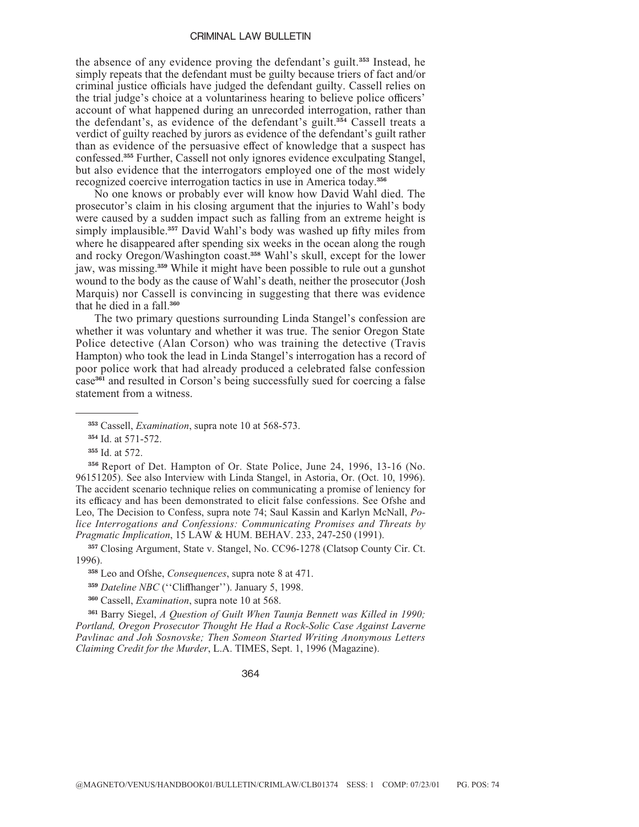### CRIMINAL LAW BULLETIN

the absence of any evidence proving the defendant's guilt.**<sup>353</sup>** Instead, he simply repeats that the defendant must be guilty because triers of fact and/or criminal justice officials have judged the defendant guilty. Cassell relies on the trial judge's choice at a voluntariness hearing to believe police officers' account of what happened during an unrecorded interrogation, rather than the defendant's, as evidence of the defendant's guilt.**<sup>354</sup>** Cassell treats a verdict of guilty reached by jurors as evidence of the defendant's guilt rather than as evidence of the persuasive effect of knowledge that a suspect has confessed.**<sup>355</sup>** Further, Cassell not only ignores evidence exculpating Stangel, but also evidence that the interrogators employed one of the most widely recognized coercive interrogation tactics in use in America today.**<sup>356</sup>**

No one knows or probably ever will know how David Wahl died. The prosecutor's claim in his closing argument that the injuries to Wahl's body were caused by a sudden impact such as falling from an extreme height is simply implausible.<sup>357</sup> David Wahl's body was washed up fifty miles from where he disappeared after spending six weeks in the ocean along the rough and rocky Oregon/Washington coast.**<sup>358</sup>** Wahl's skull, except for the lower jaw, was missing.**<sup>359</sup>** While it might have been possible to rule out a gunshot wound to the body as the cause of Wahl's death, neither the prosecutor (Josh Marquis) nor Cassell is convincing in suggesting that there was evidence that he died in a fall.**<sup>360</sup>**

The two primary questions surrounding Linda Stangel's confession are whether it was voluntary and whether it was true. The senior Oregon State Police detective (Alan Corson) who was training the detective (Travis Hampton) who took the lead in Linda Stangel's interrogation has a record of poor police work that had already produced a celebrated false confession case**<sup>361</sup>** and resulted in Corson's being successfully sued for coercing a false statement from a witness.

**<sup>357</sup>** Closing Argument, State v. Stangel, No. CC96-1278 (Clatsop County Cir. Ct. 1996).

**<sup>361</sup>** Barry Siegel, *A Question of Guilt When Taunja Bennett was Killed in 1990; Portland, Oregon Prosecutor Thought He Had a Rock-Solic Case Against Laverne Pavlinac and Joh Sosnovske; Then Someon Started Writing Anonymous Letters Claiming Credit for the Murder*, L.A. TIMES, Sept. 1, 1996 (Magazine).

**<sup>353</sup>** Cassell, *Examination*, supra note 10 at 568-573.

**<sup>354</sup>** Id. at 571-572.

**<sup>355</sup>** Id. at 572.

**<sup>356</sup>** Report of Det. Hampton of Or. State Police, June 24, 1996, 13-16 (No. 96151205). See also Interview with Linda Stangel, in Astoria, Or. (Oct. 10, 1996). The accident scenario technique relies on communicating a promise of leniency for its efficacy and has been demonstrated to elicit false confessions. See Ofshe and Leo, The Decision to Confess, supra note 74; Saul Kassin and Karlyn McNall, *Police Interrogations and Confessions: Communicating Promises and Threats by Pragmatic Implication*, 15 LAW & HUM. BEHAV. 233, 247-250 (1991).

**<sup>358</sup>** Leo and Ofshe, *Consequences*, supra note 8 at 471.

**<sup>359</sup>** *Dateline NBC* (''Clihanger''). January 5, 1998.

**<sup>360</sup>** Cassell, *Examination*, supra note 10 at 568.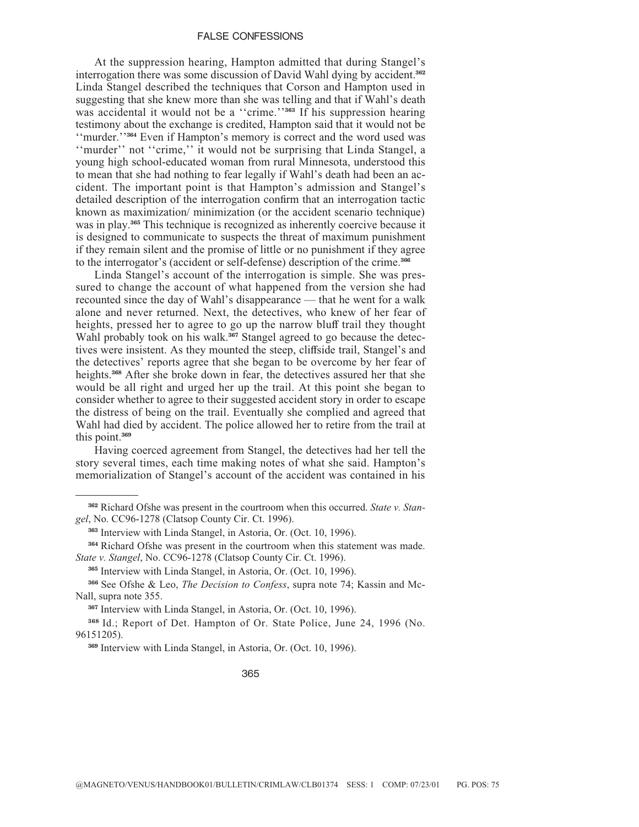At the suppression hearing, Hampton admitted that during Stangel's interrogation there was some discussion of David Wahl dying by accident.**<sup>362</sup>** Linda Stangel described the techniques that Corson and Hampton used in suggesting that she knew more than she was telling and that if Wahl's death was accidental it would not be a ''crime.''**<sup>363</sup>** If his suppression hearing testimony about the exchange is credited, Hampton said that it would not be ''murder.''**<sup>364</sup>** Even if Hampton's memory is correct and the word used was ''murder'' not ''crime,'' it would not be surprising that Linda Stangel, a young high school-educated woman from rural Minnesota, understood this to mean that she had nothing to fear legally if Wahl's death had been an accident. The important point is that Hampton's admission and Stangel's detailed description of the interrogation confirm that an interrogation tactic known as maximization/ minimization (or the accident scenario technique) was in play.**<sup>365</sup>** This technique is recognized as inherently coercive because it is designed to communicate to suspects the threat of maximum punishment if they remain silent and the promise of little or no punishment if they agree to the interrogator's (accident or self-defense) description of the crime.**<sup>366</sup>**

Linda Stangel's account of the interrogation is simple. She was pressured to change the account of what happened from the version she had recounted since the day of Wahl's disappearance — that he went for a walk alone and never returned. Next, the detectives, who knew of her fear of heights, pressed her to agree to go up the narrow bluff trail they thought Wahl probably took on his walk.<sup>367</sup> Stangel agreed to go because the detectives were insistent. As they mounted the steep, cliffside trail, Stangel's and the detectives' reports agree that she began to be overcome by her fear of heights.**<sup>368</sup>** After she broke down in fear, the detectives assured her that she would be all right and urged her up the trail. At this point she began to consider whether to agree to their suggested accident story in order to escape the distress of being on the trail. Eventually she complied and agreed that Wahl had died by accident. The police allowed her to retire from the trail at this point.**<sup>369</sup>**

Having coerced agreement from Stangel, the detectives had her tell the story several times, each time making notes of what she said. Hampton's memorialization of Stangel's account of the accident was contained in his

**<sup>368</sup>** Id.; Report of Det. Hampton of Or. State Police, June 24, 1996 (No. 96151205).

**<sup>362</sup>** Richard Ofshe was present in the courtroom when this occurred. *State v. Stangel*, No. CC96-1278 (Clatsop County Cir. Ct. 1996).

**<sup>363</sup>** Interview with Linda Stangel, in Astoria, Or. (Oct. 10, 1996).

**<sup>364</sup>** Richard Ofshe was present in the courtroom when this statement was made. *State v. Stangel*, No. CC96-1278 (Clatsop County Cir. Ct. 1996).

**<sup>365</sup>** Interview with Linda Stangel, in Astoria, Or. (Oct. 10, 1996).

**<sup>366</sup>** See Ofshe & Leo, *The Decision to Confess*, supra note 74; Kassin and Mc-Nall, supra note 355.

**<sup>367</sup>** Interview with Linda Stangel, in Astoria, Or. (Oct. 10, 1996).

**<sup>369</sup>** Interview with Linda Stangel, in Astoria, Or. (Oct. 10, 1996).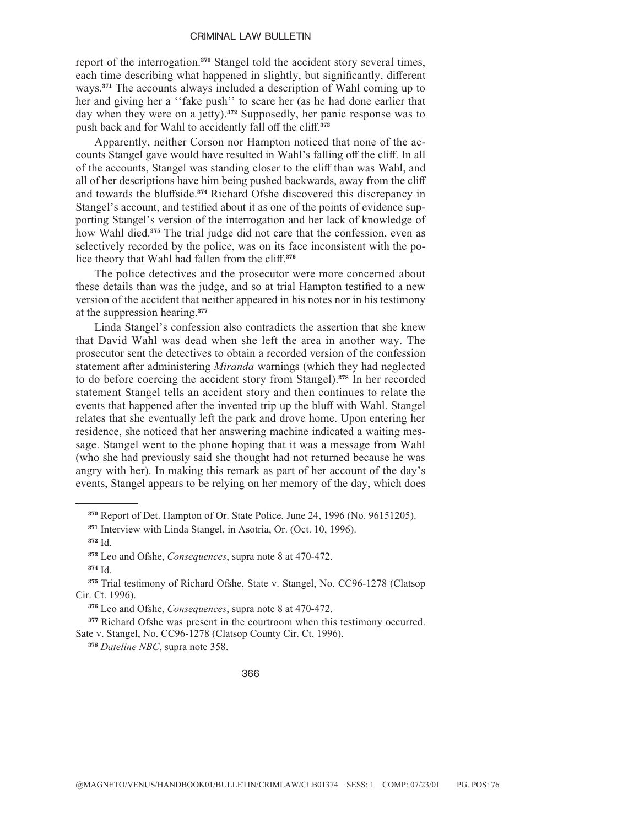report of the interrogation.**<sup>370</sup>** Stangel told the accident story several times, each time describing what happened in slightly, but significantly, different ways.**<sup>371</sup>** The accounts always included a description of Wahl coming up to her and giving her a ''fake push'' to scare her (as he had done earlier that day when they were on a jetty).**<sup>372</sup>** Supposedly, her panic response was to push back and for Wahl to accidently fall off the cliff.<sup>373</sup>

Apparently, neither Corson nor Hampton noticed that none of the accounts Stangel gave would have resulted in Wahl's falling off the cliff. In all of the accounts, Stangel was standing closer to the cliff than was Wahl, and all of her descriptions have him being pushed backwards, away from the cli and towards the bluffside.<sup>374</sup> Richard Ofshe discovered this discrepancy in Stangel's account, and testified about it as one of the points of evidence supporting Stangel's version of the interrogation and her lack of knowledge of how Wahl died.**<sup>375</sup>** The trial judge did not care that the confession, even as selectively recorded by the police, was on its face inconsistent with the police theory that Wahl had fallen from the cliff.<sup>376</sup>

The police detectives and the prosecutor were more concerned about these details than was the judge, and so at trial Hampton testified to a new version of the accident that neither appeared in his notes nor in his testimony at the suppression hearing.**<sup>377</sup>**

Linda Stangel's confession also contradicts the assertion that she knew that David Wahl was dead when she left the area in another way. The prosecutor sent the detectives to obtain a recorded version of the confession statement after administering *Miranda* warnings (which they had neglected to do before coercing the accident story from Stangel).**<sup>378</sup>** In her recorded statement Stangel tells an accident story and then continues to relate the events that happened after the invented trip up the bluff with Wahl. Stangel relates that she eventually left the park and drove home. Upon entering her residence, she noticed that her answering machine indicated a waiting message. Stangel went to the phone hoping that it was a message from Wahl (who she had previously said she thought had not returned because he was angry with her). In making this remark as part of her account of the day's events, Stangel appears to be relying on her memory of the day, which does

<sup>377</sup> Richard Ofshe was present in the courtroom when this testimony occurred. Sate v. Stangel, No. CC96-1278 (Clatsop County Cir. Ct. 1996).

**<sup>378</sup>** *Dateline NBC*, supra note 358.

**<sup>370</sup>** Report of Det. Hampton of Or. State Police, June 24, 1996 (No. 96151205).

**<sup>371</sup>** Interview with Linda Stangel, in Asotria, Or. (Oct. 10, 1996).

**<sup>372</sup>** Id.

**<sup>373</sup>** Leo and Ofshe, *Consequences*, supra note 8 at 470-472.

**<sup>374</sup>** Id.

**<sup>375</sup>** Trial testimony of Richard Ofshe, State v. Stangel, No. CC96-1278 (Clatsop Cir. Ct. 1996).

**<sup>376</sup>** Leo and Ofshe, *Consequences*, supra note 8 at 470-472.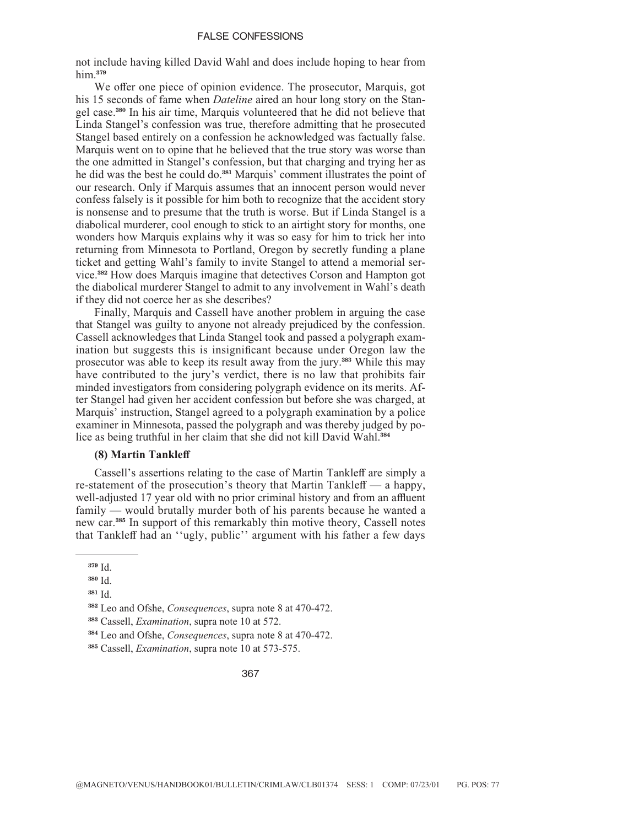not include having killed David Wahl and does include hoping to hear from him.**<sup>379</sup>**

We offer one piece of opinion evidence. The prosecutor, Marquis, got his 15 seconds of fame when *Dateline* aired an hour long story on the Stangel case.**<sup>380</sup>** In his air time, Marquis volunteered that he did not believe that Linda Stangel's confession was true, therefore admitting that he prosecuted Stangel based entirely on a confession he acknowledged was factually false. Marquis went on to opine that he believed that the true story was worse than the one admitted in Stangel's confession, but that charging and trying her as he did was the best he could do.**<sup>381</sup>** Marquis' comment illustrates the point of our research. Only if Marquis assumes that an innocent person would never confess falsely is it possible for him both to recognize that the accident story is nonsense and to presume that the truth is worse. But if Linda Stangel is a diabolical murderer, cool enough to stick to an airtight story for months, one wonders how Marquis explains why it was so easy for him to trick her into returning from Minnesota to Portland, Oregon by secretly funding a plane ticket and getting Wahl's family to invite Stangel to attend a memorial service.**<sup>382</sup>** How does Marquis imagine that detectives Corson and Hampton got the diabolical murderer Stangel to admit to any involvement in Wahl's death if they did not coerce her as she describes?

Finally, Marquis and Cassell have another problem in arguing the case that Stangel was guilty to anyone not already prejudiced by the confession. Cassell acknowledges that Linda Stangel took and passed a polygraph examination but suggests this is insignificant because under Oregon law the prosecutor was able to keep its result away from the jury.**<sup>383</sup>** While this may have contributed to the jury's verdict, there is no law that prohibits fair minded investigators from considering polygraph evidence on its merits. After Stangel had given her accident confession but before she was charged, at Marquis' instruction, Stangel agreed to a polygraph examination by a police examiner in Minnesota, passed the polygraph and was thereby judged by police as being truthful in her claim that she did not kill David Wahl.**<sup>384</sup>**

## **(8) Martin Tankle**

Cassell's assertions relating to the case of Martin Tankleff are simply a re-statement of the prosecution's theory that Martin Tankleff — a happy, well-adjusted 17 year old with no prior criminal history and from an affluent family — would brutally murder both of his parents because he wanted a new car.**<sup>385</sup>** In support of this remarkably thin motive theory, Cassell notes that Tankleff had an "ugly, public" argument with his father a few days

**<sup>379</sup>** Id.

**<sup>380</sup>** Id.

**<sup>381</sup>** Id.

**<sup>382</sup>** Leo and Ofshe, *Consequences*, supra note 8 at 470-472.

**<sup>383</sup>** Cassell, *Examination*, supra note 10 at 572.

**<sup>384</sup>** Leo and Ofshe, *Consequences*, supra note 8 at 470-472.

**<sup>385</sup>** Cassell, *Examination*, supra note 10 at 573-575.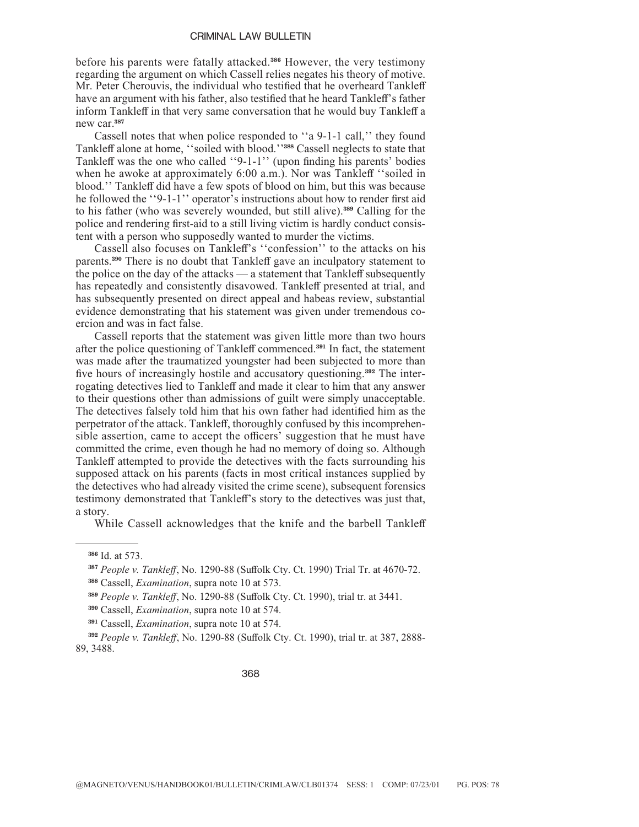before his parents were fatally attacked.**<sup>386</sup>** However, the very testimony regarding the argument on which Cassell relies negates his theory of motive. Mr. Peter Cherouvis, the individual who testified that he overheard Tankleff have an argument with his father, also testified that he heard Tankleff's father inform Tankleff in that very same conversation that he would buy Tankleff a new car.**<sup>387</sup>**

Cassell notes that when police responded to ''a 9-1-1 call,'' they found Tankleff alone at home, "soiled with blood."<sup>388</sup> Cassell neglects to state that Tankleff was the one who called "9-1-1" (upon finding his parents' bodies when he awoke at approximately 6:00 a.m.). Nor was Tankleff "soiled in blood." Tankleff did have a few spots of blood on him, but this was because he followed the "9-1-1" operator's instructions about how to render first aid to his father (who was severely wounded, but still alive).**<sup>389</sup>** Calling for the police and rendering first-aid to a still living victim is hardly conduct consistent with a person who supposedly wanted to murder the victims.

Cassell also focuses on Tankleff's "confession" to the attacks on his parents.<sup>390</sup> There is no doubt that Tankleff gave an inculpatory statement to the police on the day of the attacks  $\frac{d}{dx}$  a statement that Tankleff subsequently has repeatedly and consistently disavowed. Tankleff presented at trial, and has subsequently presented on direct appeal and habeas review, substantial evidence demonstrating that his statement was given under tremendous coercion and was in fact false.

Cassell reports that the statement was given little more than two hours after the police questioning of Tankleff commenced.<sup>391</sup> In fact, the statement was made after the traumatized youngster had been subjected to more than five hours of increasingly hostile and accusatory questioning.<sup>392</sup> The interrogating detectives lied to Tankleff and made it clear to him that any answer to their questions other than admissions of guilt were simply unacceptable. The detectives falsely told him that his own father had identified him as the perpetrator of the attack. Tankleff, thoroughly confused by this incomprehensible assertion, came to accept the officers' suggestion that he must have committed the crime, even though he had no memory of doing so. Although Tankleff attempted to provide the detectives with the facts surrounding his supposed attack on his parents (facts in most critical instances supplied by the detectives who had already visited the crime scene), subsequent forensics testimony demonstrated that Tankleff's story to the detectives was just that, a story.

While Cassell acknowledges that the knife and the barbell Tankleff

**<sup>386</sup>** Id. at 573.

<sup>387</sup> People v. Tankleff, No. 1290-88 (Suffolk Cty. Ct. 1990) Trial Tr. at 4670-72.

**<sup>388</sup>** Cassell, *Examination*, supra note 10 at 573.

<sup>&</sup>lt;sup>389</sup> *People v. Tankleff*, No. 1290-88 (Suffolk Cty. Ct. 1990), trial tr. at 3441.

**<sup>390</sup>** Cassell, *Examination*, supra note 10 at 574.

**<sup>391</sup>** Cassell, *Examination*, supra note 10 at 574.

<sup>&</sup>lt;sup>392</sup> People v. Tankleff, No. 1290-88 (Suffolk Cty. Ct. 1990), trial tr. at 387, 2888-89, 3488.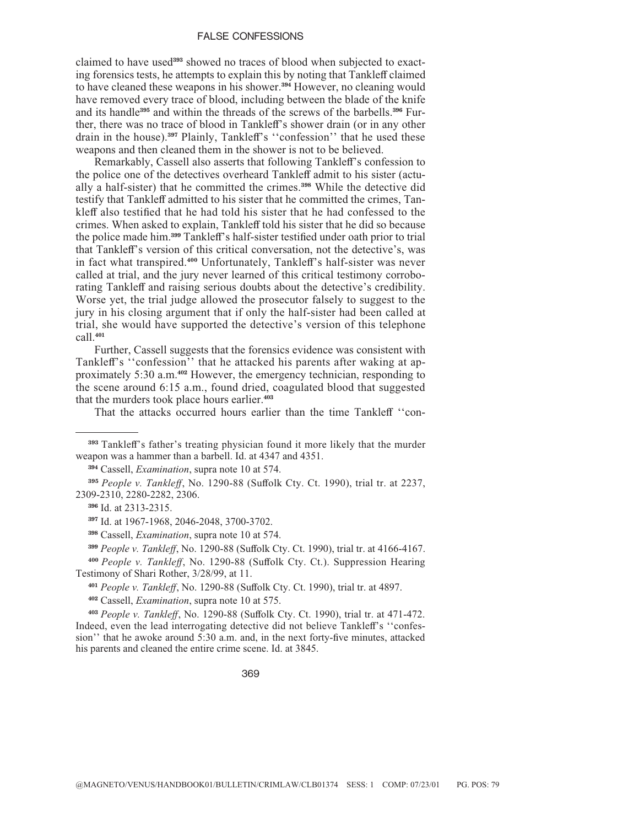### FALSE CONFESSIONS

claimed to have used**<sup>393</sup>** showed no traces of blood when subjected to exacting forensics tests, he attempts to explain this by noting that Tankleff claimed to have cleaned these weapons in his shower.**<sup>394</sup>** However, no cleaning would have removed every trace of blood, including between the blade of the knife and its handle**<sup>395</sup>** and within the threads of the screws of the barbells.**<sup>396</sup>** Further, there was no trace of blood in Tankleff's shower drain (or in any other drain in the house).<sup>397</sup> Plainly, Tankleff's "confession" that he used these weapons and then cleaned them in the shower is not to be believed.

Remarkably, Cassell also asserts that following Tankleff's confession to the police one of the detectives overheard Tankleff admit to his sister (actually a half-sister) that he committed the crimes.**<sup>398</sup>** While the detective did testify that Tankleff admitted to his sister that he committed the crimes, Tankleff also testified that he had told his sister that he had confessed to the crimes. When asked to explain, Tankleff told his sister that he did so because the police made him.<sup>399</sup> Tankleff's half-sister testified under oath prior to trial that Tankleff's version of this critical conversation, not the detective's, was in fact what transpired.<sup>400</sup> Unfortunately, Tankleff's half-sister was never called at trial, and the jury never learned of this critical testimony corroborating Tankleff and raising serious doubts about the detective's credibility. Worse yet, the trial judge allowed the prosecutor falsely to suggest to the jury in his closing argument that if only the half-sister had been called at trial, she would have supported the detective's version of this telephone call.**<sup>401</sup>**

Further, Cassell suggests that the forensics evidence was consistent with Tankleff's "confession" that he attacked his parents after waking at approximately 5:30 a.m.**<sup>402</sup>** However, the emergency technician, responding to the scene around 6:15 a.m., found dried, coagulated blood that suggested that the murders took place hours earlier.**<sup>403</sup>**

That the attacks occurred hours earlier than the time Tankleff "con-

<sup>399</sup> *People v. Tankleff*, No. 1290-88 (Suffolk Cty. Ct. 1990), trial tr. at 4166-4167. <sup>400</sup> People v. Tankleff, No. 1290-88 (Suffolk Cty. Ct.). Suppression Hearing Testimony of Shari Rother, 3/28/99, at 11.

401 People v. Tankleff, No. 1290-88 (Suffolk Cty. Ct. 1990), trial tr. at 4897.

**<sup>402</sup>** Cassell, *Examination*, supra note 10 at 575.

403 *People v. Tankleff*, No. 1290-88 (Suffolk Cty. Ct. 1990), trial tr. at 471-472. Indeed, even the lead interrogating detective did not believe Tankleff's "confession'' that he awoke around  $5:30$  a.m. and, in the next forty-five minutes, attacked his parents and cleaned the entire crime scene. Id. at 3845.

<sup>&</sup>lt;sup>393</sup> Tankleff's father's treating physician found it more likely that the murder weapon was a hammer than a barbell. Id. at 4347 and 4351.

**<sup>394</sup>** Cassell, *Examination*, supra note 10 at 574.

<sup>395</sup> *People v. Tankleff*, No. 1290-88 (Suffolk Cty. Ct. 1990), trial tr. at 2237, 2309-2310, 2280-2282, 2306.

**<sup>396</sup>** Id. at 2313-2315.

**<sup>397</sup>** Id. at 1967-1968, 2046-2048, 3700-3702.

**<sup>398</sup>** Cassell, *Examination*, supra note 10 at 574.